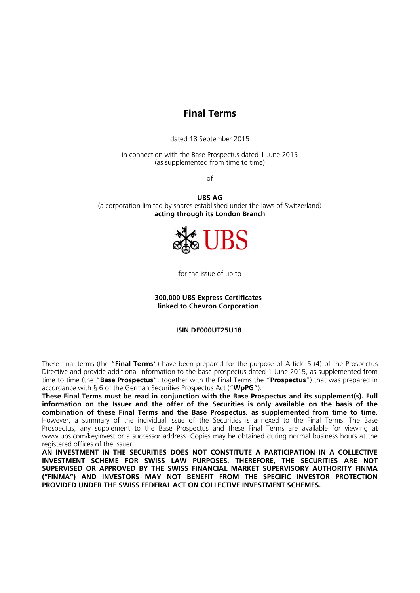# **Final Terms**

dated 18 September 2015

in connection with the Base Prospectus dated 1 June 2015 (as supplemented from time to time)

of

**UBS AG** (a corporation limited by shares established under the laws of Switzerland) **acting through its London Branch**



for the issue of up to

#### **300,000 UBS Express Certificates linked to Chevron Corporation**

#### **ISIN DE000UT25U18**

These final terms (the "**Final Terms**") have been prepared for the purpose of Article 5 (4) of the Prospectus Directive and provide additional information to the base prospectus dated 1 June 2015, as supplemented from time to time (the "**Base Prospectus**", together with the Final Terms the "**Prospectus**") that was prepared in accordance with § 6 of the German Securities Prospectus Act ("**WpPG**").

**These Final Terms must be read in conjunction with the Base Prospectus and its supplement(s). Full information on the Issuer and the offer of the Securities is only available on the basis of the combination of these Final Terms and the Base Prospectus, as supplemented from time to time.**  However, a summary of the individual issue of the Securities is annexed to the Final Terms. The Base Prospectus, any supplement to the Base Prospectus and these Final Terms are available for viewing at www.ubs.com/keyinvest or a successor address. Copies may be obtained during normal business hours at the registered offices of the Issuer.

**AN INVESTMENT IN THE SECURITIES DOES NOT CONSTITUTE A PARTICIPATION IN A COLLECTIVE INVESTMENT SCHEME FOR SWISS LAW PURPOSES. THEREFORE, THE SECURITIES ARE NOT SUPERVISED OR APPROVED BY THE SWISS FINANCIAL MARKET SUPERVISORY AUTHORITY FINMA ("FINMA") AND INVESTORS MAY NOT BENEFIT FROM THE SPECIFIC INVESTOR PROTECTION PROVIDED UNDER THE SWISS FEDERAL ACT ON COLLECTIVE INVESTMENT SCHEMES.**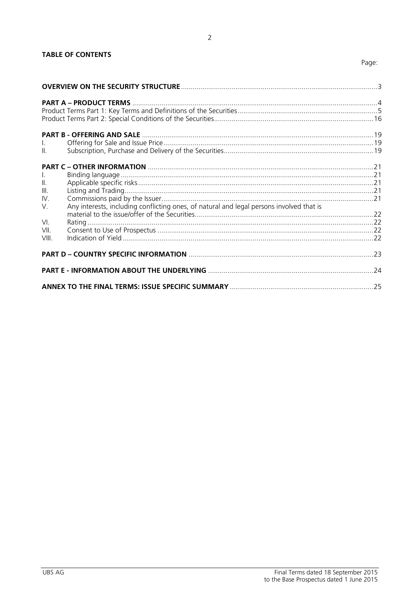## **TABLE OF CONTENTS**

## Page:

| $\mathbb{R}^n$<br>$\mathbf{H}$                                                                                                                         |  |
|--------------------------------------------------------------------------------------------------------------------------------------------------------|--|
| $\parallel$ .<br>III.<br>IV.<br>Any interests, including conflicting ones, of natural and legal persons involved that is<br>V.<br>VI.<br>VII.<br>VIII. |  |
|                                                                                                                                                        |  |
|                                                                                                                                                        |  |
|                                                                                                                                                        |  |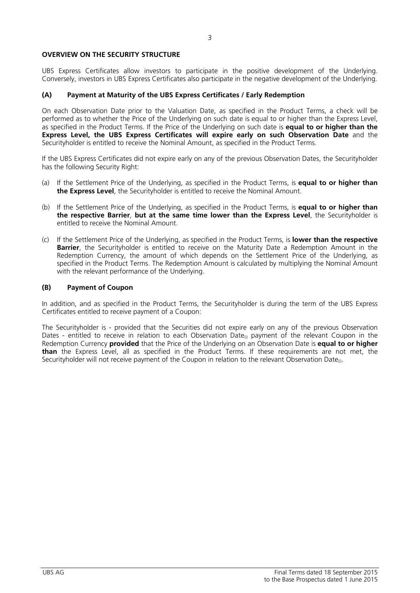#### **OVERVIEW ON THE SECURITY STRUCTURE**

UBS Express Certificates allow investors to participate in the positive development of the Underlying. Conversely, investors in UBS Express Certificates also participate in the negative development of the Underlying.

## **(A) Payment at Maturity of the UBS Express Certificates / Early Redemption**

On each Observation Date prior to the Valuation Date, as specified in the Product Terms, a check will be performed as to whether the Price of the Underlying on such date is equal to or higher than the Express Level, as specified in the Product Terms. If the Price of the Underlying on such date is **equal to or higher than the Express Level, the UBS Express Certificates will expire early on such Observation Date** and the Securityholder is entitled to receive the Nominal Amount, as specified in the Product Terms.

If the UBS Express Certificates did not expire early on any of the previous Observation Dates, the Securityholder has the following Security Right:

- (a) If the Settlement Price of the Underlying, as specified in the Product Terms, is **equal to or higher than the Express Level**, the Securityholder is entitled to receive the Nominal Amount.
- (b) If the Settlement Price of the Underlying, as specified in the Product Terms, is **equal to or higher than the respective Barrier**, **but at the same time lower than the Express Level**, the Securityholder is entitled to receive the Nominal Amount.
- (c) If the Settlement Price of the Underlying, as specified in the Product Terms, is **lower than the respective Barrier**, the Securityholder is entitled to receive on the Maturity Date a Redemption Amount in the Redemption Currency, the amount of which depends on the Settlement Price of the Underlying, as specified in the Product Terms. The Redemption Amount is calculated by multiplying the Nominal Amount with the relevant performance of the Underlying.

#### **(B) Payment of Coupon**

In addition, and as specified in the Product Terms, the Securityholder is during the term of the UBS Express Certificates entitled to receive payment of a Coupon:

The Securityholder is - provided that the Securities did not expire early on any of the previous Observation Dates - entitled to receive in relation to each Observation Date<sub>(i)</sub> payment of the relevant Coupon in the Redemption Currency **provided** that the Price of the Underlying on an Observation Date is **equal to or higher than** the Express Level, all as specified in the Product Terms. If these requirements are not met, the Securityholder will not receive payment of the Coupon in relation to the relevant Observation Date<sub>(i)</sub>.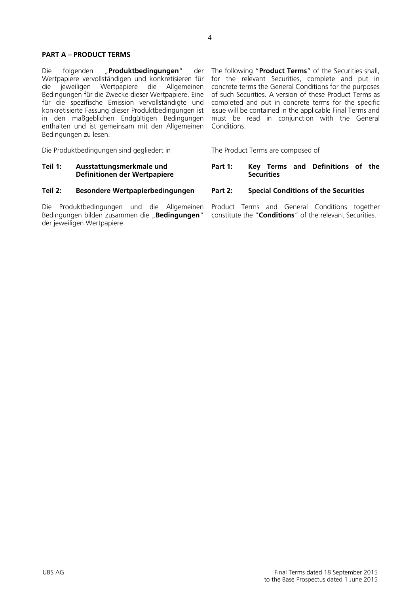#### **PART A – PRODUCT TERMS**

Die folgenden "**Produktbedingungen**" der Wertpapiere vervollständigen und konkretisieren für die jeweiligen Wertpapiere die Allgemeinen Bedingungen für die Zwecke dieser Wertpapiere. Eine für die spezifische Emission vervollständigte und konkretisierte Fassung dieser Produktbedingungen ist in den maßgeblichen Endgültigen Bedingungen enthalten und ist gemeinsam mit den Allgemeinen Bedingungen zu lesen.

Die Produktbedingungen sind gegliedert in The Product Terms are composed of

#### **Teil 1: Ausstattungsmerkmale und Definitionen der Wertpapiere**

Die Produktbedingungen und die Allgemeinen Bedingungen bilden zusammen die "**Bedingungen**" der jeweiligen Wertpapiere.

The following "**Product Terms**" of the Securities shall, for the relevant Securities, complete and put in concrete terms the General Conditions for the purposes of such Securities. A version of these Product Terms as completed and put in concrete terms for the specific issue will be contained in the applicable Final Terms and must be read in conjunction with the General Conditions.

#### **Part 1: Key Terms and Definitions of the Securities**

**Teil 2: Besondere Wertpapierbedingungen Part 2: Special Conditions of the Securities**

Product Terms and General Conditions together constitute the "**Conditions**" of the relevant Securities.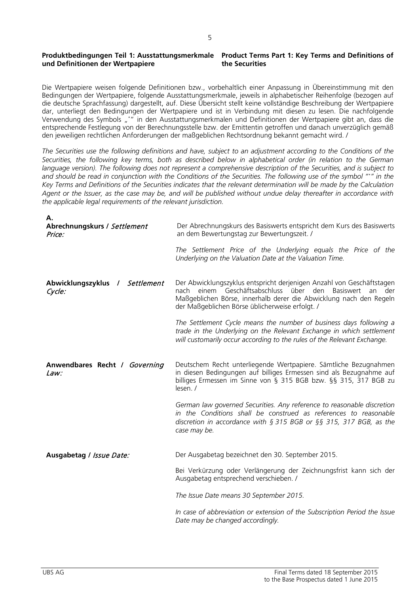#### Produktbedingungen Teil 1: Ausstattungsmerkmale Product Terms Part 1: Key Terms and Definitions of **und Definitionen der Wertpapiere the Securities**

Die Wertpapiere weisen folgende Definitionen bzw., vorbehaltlich einer Anpassung in Übereinstimmung mit den Bedingungen der Wertpapiere, folgende Ausstattungsmerkmale, jeweils in alphabetischer Reihenfolge (bezogen auf die deutsche Sprachfassung) dargestellt, auf. Diese Übersicht stellt keine vollständige Beschreibung der Wertpapiere dar, unterliegt den Bedingungen der Wertpapiere und ist in Verbindung mit diesen zu lesen. Die nachfolgende Verwendung des Symbols "\*" in den Ausstattungsmerkmalen und Definitionen der Wertpapiere gibt an, dass die entsprechende Festlegung von der Berechnungsstelle bzw. der Emittentin getroffen und danach unverzüglich gemäß den jeweiligen rechtlichen Anforderungen der maßgeblichen Rechtsordnung bekannt gemacht wird. /

*The Securities use the following definitions and have, subject to an adjustment according to the Conditions of the Securities, the following key terms, both as described below in alphabetical order (in relation to the German language version). The following does not represent a comprehensive description of the Securities, and is subject to*  and should be read in conjunction with the Conditions of the Securities. The following use of the symbol "\*" in the *Key Terms and Definitions of the Securities indicates that the relevant determination will be made by the Calculation Agent or the Issuer, as the case may be, and will be published without undue delay thereafter in accordance with the applicable legal requirements of the relevant jurisdiction.*

| Α.                                           |                                                                                                                                                                                                                                                                 |
|----------------------------------------------|-----------------------------------------------------------------------------------------------------------------------------------------------------------------------------------------------------------------------------------------------------------------|
| Abrechnungskurs / Settlement<br>Price:       | Der Abrechnungskurs des Basiswerts entspricht dem Kurs des Basiswerts<br>an dem Bewertungstag zur Bewertungszeit. /                                                                                                                                             |
|                                              | The Settlement Price of the Underlying equals the Price of the<br>Underlying on the Valuation Date at the Valuation Time.                                                                                                                                       |
| Abwicklungszyklus / Settlement<br>Cycle:     | Der Abwicklungszyklus entspricht derjenigen Anzahl von Geschäftstagen<br>nach einem Geschäftsabschluss über den Basiswert<br>der<br>an<br>Maßgeblichen Börse, innerhalb derer die Abwicklung nach den Regeln<br>der Maßgeblichen Börse üblicherweise erfolgt. / |
|                                              | The Settlement Cycle means the number of business days following a<br>trade in the Underlying on the Relevant Exchange in which settlement<br>will customarily occur according to the rules of the Relevant Exchange.                                           |
| Anwendbares Recht / Governing<br><i>Law:</i> | Deutschem Recht unterliegende Wertpapiere. Sämtliche Bezugnahmen<br>in diesen Bedingungen auf billiges Ermessen sind als Bezugnahme auf<br>billiges Ermessen im Sinne von § 315 BGB bzw. §§ 315, 317 BGB zu<br>lesen. /                                         |
|                                              | German law governed Securities. Any reference to reasonable discretion<br>in the Conditions shall be construed as references to reasonable<br>discretion in accordance with $\S 315$ BGB or $\S \S 315$ , 317 BGB, as the<br>case may be.                       |
| Ausgabetag / Issue Date:                     | Der Ausgabetag bezeichnet den 30. September 2015.                                                                                                                                                                                                               |
|                                              | Bei Verkürzung oder Verlängerung der Zeichnungsfrist kann sich der<br>Ausgabetag entsprechend verschieben. /                                                                                                                                                    |
|                                              | The Issue Date means 30 September 2015.                                                                                                                                                                                                                         |
|                                              | In case of abbreviation or extension of the Subscription Period the Issue<br>Date may be changed accordingly.                                                                                                                                                   |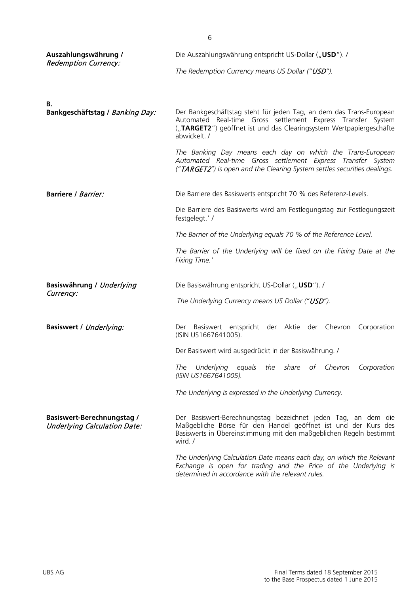| Auszahlungswährung /                                                     | Die Auszahlungswährung entspricht US-Dollar ("USD"). /                                                                                                                                                                     |
|--------------------------------------------------------------------------|----------------------------------------------------------------------------------------------------------------------------------------------------------------------------------------------------------------------------|
| Redemption Currency:                                                     | The Redemption Currency means US Dollar ("USD").                                                                                                                                                                           |
|                                                                          |                                                                                                                                                                                                                            |
| В.<br>Bankgeschäftstag / Banking Day:                                    | Der Bankgeschäftstag steht für jeden Tag, an dem das Trans-European<br>Automated Real-time Gross settlement Express Transfer System<br>("TARGET2") geöffnet ist und das Clearingsystem Wertpapiergeschäfte<br>abwickelt. / |
|                                                                          | The Banking Day means each day on which the Trans-European<br>Automated Real-time Gross settlement Express Transfer System<br>("TARGET2") is open and the Clearing System settles securities dealings.                     |
| Barriere / Barrier:                                                      | Die Barriere des Basiswerts entspricht 70 % des Referenz-Levels.                                                                                                                                                           |
|                                                                          | Die Barriere des Basiswerts wird am Festlegungstag zur Festlegungszeit<br>festgelegt.*/                                                                                                                                    |
|                                                                          | The Barrier of the Underlying equals 70 % of the Reference Level.                                                                                                                                                          |
|                                                                          | The Barrier of the Underlying will be fixed on the Fixing Date at the<br>Fixing Time.*                                                                                                                                     |
| Basiswährung / Underlying<br>Currency:                                   | Die Basiswährung entspricht US-Dollar ("USD"). /                                                                                                                                                                           |
|                                                                          | The Underlying Currency means US Dollar ("USD").                                                                                                                                                                           |
| <b>Basiswert / Underlying:</b>                                           | Basiswert entspricht der Aktie der Chevron Corporation<br>Der<br>(ISIN US1667641005).                                                                                                                                      |
|                                                                          | Der Basiswert wird ausgedrückt in der Basiswährung. /                                                                                                                                                                      |
|                                                                          | the share of Chevron<br>Underlying equals<br>Corporation<br>The<br>(ISIN US1667641005).                                                                                                                                    |
|                                                                          | The Underlying is expressed in the Underlying Currency.                                                                                                                                                                    |
| <b>Basiswert-Berechnungstag /</b><br><b>Underlying Calculation Date:</b> | Der Basiswert-Berechnungstag bezeichnet jeden Tag, an dem die<br>Maßgebliche Börse für den Handel geöffnet ist und der Kurs des<br>Basiswerts in Übereinstimmung mit den maßgeblichen Regeln bestimmt<br>wird. /           |
|                                                                          | The Underlying Calculation Date means each day, on which the Relevant<br>Exchange is open for trading and the Price of the Underlying is<br>determined in accordance with the relevant rules.                              |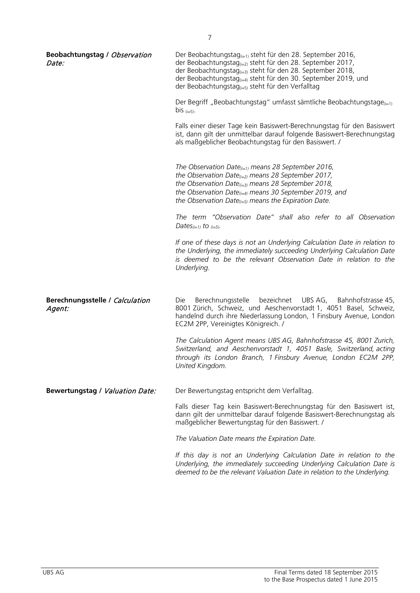| <b>Beobachtungstag / Observation</b><br><i>Date:</i> | Der Beobachtungstag <sub>(i=1)</sub> steht für den 28. September 2016,<br>der Beobachtungstag <sub>(i=2)</sub> steht für den 28. September 2017,<br>der Beobachtungstag <sub>(i=3)</sub> steht für den 28. September 2018,<br>der Beobachtungstag <sub>(i=4)</sub> steht für den 30. September 2019, und<br>der Beobachtungstag <sub>(i=5)</sub> steht für den Verfalltag |
|------------------------------------------------------|---------------------------------------------------------------------------------------------------------------------------------------------------------------------------------------------------------------------------------------------------------------------------------------------------------------------------------------------------------------------------|
|                                                      | Der Begriff "Beobachtungstag" umfasst sämtliche Beobachtungstage <sub>(i=1)</sub><br>bis $(i=5)$ .                                                                                                                                                                                                                                                                        |
|                                                      | Falls einer dieser Tage kein Basiswert-Berechnungstag für den Basiswert<br>ist, dann gilt der unmittelbar darauf folgende Basiswert-Berechnungstag<br>als maßgeblicher Beobachtungstag für den Basiswert. /                                                                                                                                                               |
|                                                      | The Observation Date $_{(i=1)}$ means 28 September 2016,<br>the Observation Date $_{(i=2)}$ means 28 September 2017,<br>the Observation Date $_{(i=3)}$ means 28 September 2018,<br>the Observation Date $_{(i=4)}$ means 30 September 2019, and<br>the Observation Date $_{(i=5)}$ means the Expiration Date.                                                            |
|                                                      | The term "Observation Date" shall also refer to all Observation<br>Dates <sub>(i=1)</sub> to $_{(i=5)}$ .                                                                                                                                                                                                                                                                 |
|                                                      | If one of these days is not an Underlying Calculation Date in relation to<br>the Underlying, the immediately succeeding Underlying Calculation Date<br>is deemed to be the relevant Observation Date in relation to the<br>Underlying.                                                                                                                                    |
| Berechnungsstelle / Calculation<br>Agent:            | Berechnungsstelle bezeichnet<br>UBS AG, Bahnhofstrasse 45,<br>Die<br>8001 Zürich, Schweiz, und Aeschenvorstadt 1, 4051 Basel, Schweiz,<br>handelnd durch ihre Niederlassung London, 1 Finsbury Avenue, London<br>EC2M 2PP, Vereinigtes Königreich. /                                                                                                                      |
|                                                      | The Calculation Agent means UBS AG, Bahnhofstrasse 45, 8001 Zurich,<br>Switzerland, and Aeschenvorstadt 1, 4051 Basle, Switzerland, acting<br>through its London Branch, 1 Finsbury Avenue, London EC2M 2PP,<br>United Kingdom.                                                                                                                                           |
| Bewertungstag / Valuation Date:                      | Der Bewertungstag entspricht dem Verfalltag.                                                                                                                                                                                                                                                                                                                              |
|                                                      | Falls dieser Tag kein Basiswert-Berechnungstag für den Basiswert ist,<br>dann gilt der unmittelbar darauf folgende Basiswert-Berechnungstag als<br>maßgeblicher Bewertungstag für den Basiswert. /                                                                                                                                                                        |
|                                                      | The Valuation Date means the Expiration Date.                                                                                                                                                                                                                                                                                                                             |
|                                                      | If this day is not an Underlying Calculation Date in relation to the<br>Underlying, the immediately succeeding Underlying Calculation Date is<br>deemed to be the relevant Valuation Date in relation to the Underlying.                                                                                                                                                  |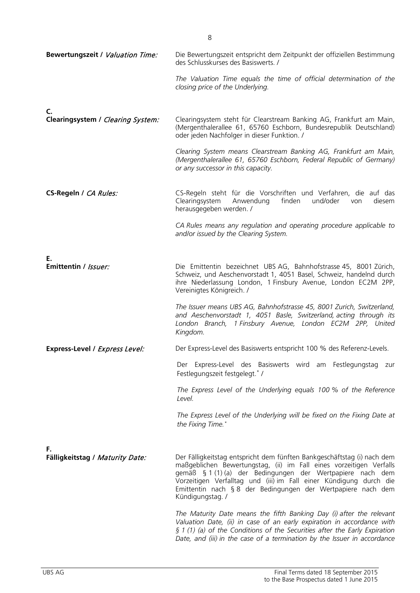| Bewertungszeit / Valuation Time:        | Die Bewertungszeit entspricht dem Zeitpunkt der offiziellen Bestimmung<br>des Schlusskurses des Basiswerts. /                                                                                                                                                                                                                                                          |
|-----------------------------------------|------------------------------------------------------------------------------------------------------------------------------------------------------------------------------------------------------------------------------------------------------------------------------------------------------------------------------------------------------------------------|
|                                         | The Valuation Time equals the time of official determination of the<br>closing price of the Underlying.                                                                                                                                                                                                                                                                |
|                                         |                                                                                                                                                                                                                                                                                                                                                                        |
| C.<br>Clearingsystem / Clearing System: | Clearingsystem steht für Clearstream Banking AG, Frankfurt am Main,<br>(Mergenthalerallee 61, 65760 Eschborn, Bundesrepublik Deutschland)<br>oder jeden Nachfolger in dieser Funktion. /                                                                                                                                                                               |
|                                         | Clearing System means Clearstream Banking AG, Frankfurt am Main,<br>(Mergenthalerallee 61, 65760 Eschborn, Federal Republic of Germany)<br>or any successor in this capacity.                                                                                                                                                                                          |
|                                         |                                                                                                                                                                                                                                                                                                                                                                        |
| CS-Regeln / CA Rules:                   | CS-Regeln steht für die Vorschriften und Verfahren, die auf das<br>Clearingsystem<br>Anwendung<br>finden<br>und/oder<br>diesem<br>von<br>herausgegeben werden. /                                                                                                                                                                                                       |
|                                         | CA Rules means any regulation and operating procedure applicable to<br>and/or issued by the Clearing System.                                                                                                                                                                                                                                                           |
|                                         |                                                                                                                                                                                                                                                                                                                                                                        |
| Е.                                      |                                                                                                                                                                                                                                                                                                                                                                        |
| Emittentin / /ssuer:                    | Die Emittentin bezeichnet UBS AG, Bahnhofstrasse 45, 8001 Zürich,<br>Schweiz, und Aeschenvorstadt 1, 4051 Basel, Schweiz, handelnd durch<br>ihre Niederlassung London, 1 Finsbury Avenue, London EC2M 2PP,<br>Vereinigtes Königreich. /                                                                                                                                |
|                                         | The Issuer means UBS AG, Bahnhofstrasse 45, 8001 Zurich, Switzerland,<br>and Aeschenvorstadt 1, 4051 Basle, Switzerland, acting through its<br>London Branch, 1 Finsbury Avenue, London EC2M 2PP, United<br>Kingdom.                                                                                                                                                   |
| Express-Level / Express Level:          | Der Express-Level des Basiswerts entspricht 100 % des Referenz-Levels.                                                                                                                                                                                                                                                                                                 |
|                                         | Der Express-Level des Basiswerts wird am Festlegungstag zur<br>Festlegungszeit festgelegt.*/                                                                                                                                                                                                                                                                           |
|                                         | The Express Level of the Underlying equals 100 % of the Reference<br>Level.                                                                                                                                                                                                                                                                                            |
|                                         | The Express Level of the Underlying will be fixed on the Fixing Date at<br>the Fixing Time.*                                                                                                                                                                                                                                                                           |
|                                         |                                                                                                                                                                                                                                                                                                                                                                        |
| F.                                      |                                                                                                                                                                                                                                                                                                                                                                        |
| Fälligkeitstag / Maturity Date:         | Der Fälligkeitstag entspricht dem fünften Bankgeschäftstag (i) nach dem<br>maßgeblichen Bewertungstag, (ii) im Fall eines vorzeitigen Verfalls<br>gemäß § 1 (1) (a) der Bedingungen der Wertpapiere nach dem<br>Vorzeitigen Verfalltag und (iii) im Fall einer Kündigung durch die<br>Emittentin nach § 8 der Bedingungen der Wertpapiere nach dem<br>Kündigungstag. / |
|                                         | The Maturity Date means the fifth Banking Day (i) after the relevant<br>Valuation Date, (ii) in case of an early expiration in accordance with<br>$\S$ 1 (1) (a) of the Conditions of the Securities after the Early Expiration<br>Date, and (iii) in the case of a termination by the Issuer in accordance                                                            |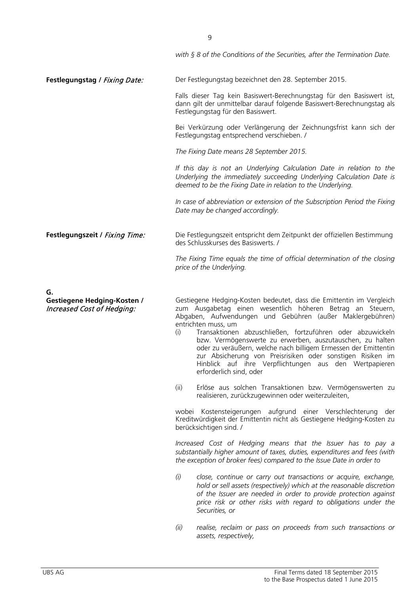|                                                                        | with $\S 8$ of the Conditions of the Securities, after the Termination Date.                                                                                                                                |
|------------------------------------------------------------------------|-------------------------------------------------------------------------------------------------------------------------------------------------------------------------------------------------------------|
| Festlegungstag / Fixing Date:                                          | Der Festlegungstag bezeichnet den 28. September 2015.                                                                                                                                                       |
|                                                                        | Falls dieser Tag kein Basiswert-Berechnungstag für den Basiswert ist,<br>dann gilt der unmittelbar darauf folgende Basiswert-Berechnungstag als<br>Festlegungstag für den Basiswert.                        |
|                                                                        | Bei Verkürzung oder Verlängerung der Zeichnungsfrist kann sich der<br>Festlegungstag entsprechend verschieben. /                                                                                            |
|                                                                        | The Fixing Date means 28 September 2015.                                                                                                                                                                    |
|                                                                        | If this day is not an Underlying Calculation Date in relation to the<br>Underlying the immediately succeeding Underlying Calculation Date is<br>deemed to be the Fixing Date in relation to the Underlying. |
|                                                                        | In case of abbreviation or extension of the Subscription Period the Fixing<br>Date may be changed accordingly.                                                                                              |
| Festlegungszeit / Fixing Time:                                         | Die Festlegungszeit entspricht dem Zeitpunkt der offiziellen Bestimmung<br>des Schlusskurses des Basiswerts. /                                                                                              |
|                                                                        | The Fixing Time equals the time of official determination of the closing<br>price of the Underlying.                                                                                                        |
| G.<br><b>Gestiegene Hedging-Kosten /</b><br>Increased Cost of Hedging: | Gestiegene Hedging-Kosten bedeutet, dass die Emittentin im Vergleich<br>zum Ausgabetag einen wesentlich höheren Betrag an Steuern,<br>Abgaben, Aufwendungen und Gebühren (außer Maklergebühren)             |

- entrichten muss, um (i) Transaktionen abzuschließen, fortzuführen oder abzuwickeln bzw. Vermögenswerte zu erwerben, auszutauschen, zu halten oder zu veräußern, welche nach billigem Ermessen der Emittentin zur Absicherung von Preisrisiken oder sonstigen Risiken im Hinblick auf ihre Verpflichtungen aus den Wertpapieren erforderlich sind, oder
- (ii) Erlöse aus solchen Transaktionen bzw. Vermögenswerten zu realisieren, zurückzugewinnen oder weiterzuleiten,

wobei Kostensteigerungen aufgrund einer Verschlechterung der Kreditwürdigkeit der Emittentin nicht als Gestiegene Hedging-Kosten zu berücksichtigen sind. /

 *Increased Cost of Hedging means that the Issuer has to pay a substantially higher amount of taxes, duties, expenditures and fees (with the exception of broker fees) compared to the Issue Date in order to*

- *(i) close, continue or carry out transactions or acquire, exchange, hold or sell assets (respectively) which at the reasonable discretion of the Issuer are needed in order to provide protection against price risk or other risks with regard to obligations under the Securities, or*
- *(ii) realise, reclaim or pass on proceeds from such transactions or assets, respectively,*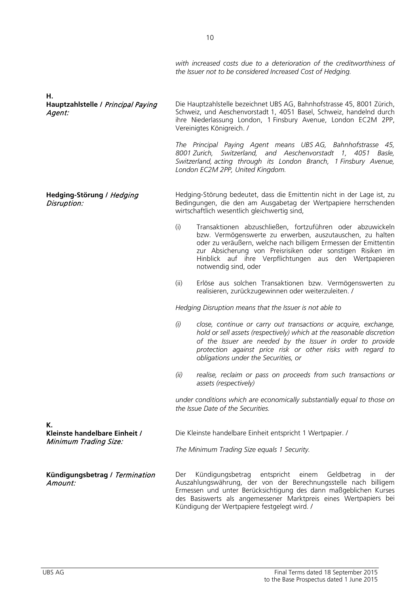*with increased costs due to a deterioration of the creditworthiness of the Issuer not to be considered Increased Cost of Hedging.*

| Н.<br>Hauptzahlstelle / Principal Paying<br>Agent:           | Die Hauptzahlstelle bezeichnet UBS AG, Bahnhofstrasse 45, 8001 Zürich,<br>Schweiz, und Aeschenvorstadt 1, 4051 Basel, Schweiz, handelnd durch<br>ihre Niederlassung London, 1 Finsbury Avenue, London EC2M 2PP,<br>Vereinigtes Königreich. /<br>The Principal Paying Agent means UBS AG, Bahnhofstrasse 45,<br>8001 Zurich, Switzerland, and Aeschenvorstadt 1, 4051 Basle,<br>Switzerland, acting through its London Branch, 1 Finsbury Avenue,<br>London EC2M 2PP, United Kingdom. |  |
|--------------------------------------------------------------|--------------------------------------------------------------------------------------------------------------------------------------------------------------------------------------------------------------------------------------------------------------------------------------------------------------------------------------------------------------------------------------------------------------------------------------------------------------------------------------|--|
| Hedging-Störung / Hedging<br>Disruption:                     | Hedging-Störung bedeutet, dass die Emittentin nicht in der Lage ist, zu<br>Bedingungen, die den am Ausgabetag der Wertpapiere herrschenden<br>wirtschaftlich wesentlich gleichwertig sind,                                                                                                                                                                                                                                                                                           |  |
|                                                              | (i)<br>Transaktionen abzuschließen, fortzuführen oder abzuwickeln<br>bzw. Vermögenswerte zu erwerben, auszutauschen, zu halten<br>oder zu veräußern, welche nach billigem Ermessen der Emittentin<br>zur Absicherung von Preisrisiken oder sonstigen Risiken im<br>Hinblick auf ihre Verpflichtungen aus den Wertpapieren<br>notwendig sind, oder                                                                                                                                    |  |
|                                                              | (ii)<br>Erlöse aus solchen Transaktionen bzw. Vermögenswerten zu<br>realisieren, zurückzugewinnen oder weiterzuleiten. /                                                                                                                                                                                                                                                                                                                                                             |  |
|                                                              | Hedging Disruption means that the Issuer is not able to                                                                                                                                                                                                                                                                                                                                                                                                                              |  |
|                                                              | (i)<br>close, continue or carry out transactions or acquire, exchange,<br>hold or sell assets (respectively) which at the reasonable discretion<br>of the Issuer are needed by the Issuer in order to provide<br>protection against price risk or other risks with regard to<br>obligations under the Securities, or                                                                                                                                                                 |  |
|                                                              | (ii)<br>realise, reclaim or pass on proceeds from such transactions or<br>assets (respectively)                                                                                                                                                                                                                                                                                                                                                                                      |  |
|                                                              | under conditions which are economically substantially equal to those on<br>the Issue Date of the Securities.                                                                                                                                                                                                                                                                                                                                                                         |  |
| К.<br>Kleinste handelbare Einheit /<br>Minimum Trading Size: | Die Kleinste handelbare Einheit entspricht 1 Wertpapier. /                                                                                                                                                                                                                                                                                                                                                                                                                           |  |
|                                                              | The Minimum Trading Size equals 1 Security.                                                                                                                                                                                                                                                                                                                                                                                                                                          |  |
| Kündigungsbetrag / Termination<br>Amount:                    | Kündigungsbetrag<br>entspricht<br>einem<br>Geldbetrag<br>Der<br>in<br>der<br>Auszahlungswährung, der von der Berechnungsstelle nach billigem<br>Ermessen und unter Berücksichtigung des dann maßgeblichen Kurses<br>des Basiswerts als angemessener Marktpreis eines Wertpapiers bei<br>Kündigung der Wertpapiere festgelegt wird. /                                                                                                                                                 |  |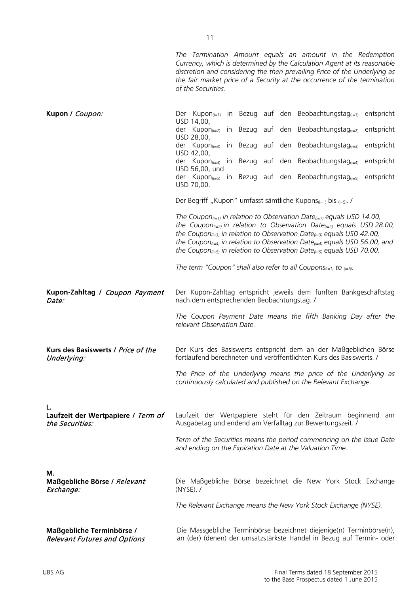|                                                                  | The Termination Amount equals an amount in the Redemption<br>Currency, which is determined by the Calculation Agent at its reasonable<br>discretion and considering the then prevailing Price of the Underlying as<br>the fair market price of a Security at the occurrence of the termination<br>of the Securities.                                                                                                                                                                                                                                                                       |
|------------------------------------------------------------------|--------------------------------------------------------------------------------------------------------------------------------------------------------------------------------------------------------------------------------------------------------------------------------------------------------------------------------------------------------------------------------------------------------------------------------------------------------------------------------------------------------------------------------------------------------------------------------------------|
| Kupon / Coupon:                                                  | in Bezug auf den Beobachtungstag $_{(i=1)}$ entspricht<br>Der Kupon $(i=1)$<br>USD 14,00,                                                                                                                                                                                                                                                                                                                                                                                                                                                                                                  |
|                                                                  | auf den Beobachtungstag $_{(i=2)}$<br>der Kupon $_{(i=2)}$<br>in Bezug<br>entspricht<br>USD 28,00,                                                                                                                                                                                                                                                                                                                                                                                                                                                                                         |
|                                                                  | auf den Beobachtungstag(i=3) entspricht<br>$der$ Kupon $(i=3)$<br>in Bezug<br>USD 42,00,                                                                                                                                                                                                                                                                                                                                                                                                                                                                                                   |
|                                                                  | in Bezug auf den Beobachtungstag $_{(i=4)}$ entspricht<br>der Kupon $_{(i=4)}$                                                                                                                                                                                                                                                                                                                                                                                                                                                                                                             |
|                                                                  | USD 56,00, und<br>in Bezug auf den Beobachtungstag $_{(i=5)}$ entspricht<br>$der$ Kupon $_{(i=5)}$<br>USD 70,00.                                                                                                                                                                                                                                                                                                                                                                                                                                                                           |
|                                                                  | Der Begriff "Kupon" umfasst sämtliche Kupons $(i=1)$ bis $(i=5)$ .                                                                                                                                                                                                                                                                                                                                                                                                                                                                                                                         |
|                                                                  | The Coupon <sub>(i=1)</sub> in relation to Observation Date <sub>(i=1)</sub> equals USD 14.00,<br>the Coupon <sub>(i=2)</sub> in relation to Observation Date <sub>(i=2)</sub> equals USD 28.00,<br>the Coupon <sub>(i=3)</sub> in relation to Observation Date <sub>(i=3)</sub> equals USD 42.00,<br>the Coupon <sub>(i=4)</sub> in relation to Observation Date <sub>(i=4)</sub> equals USD 56.00, and<br>the Coupon <sub>(i=5)</sub> in relation to Observation Date <sub>(i=5)</sub> equals USD 70.00.<br>The term "Coupon" shall also refer to all Coupons $_{(i=1)}$ to $_{(i=5)}$ . |
| Kupon-Zahltag / Coupon Payment<br>Date:                          | Der Kupon-Zahltag entspricht jeweils dem fünften Bankgeschäftstag<br>nach dem entsprechenden Beobachtungstag. /                                                                                                                                                                                                                                                                                                                                                                                                                                                                            |
|                                                                  | The Coupon Payment Date means the fifth Banking Day after the<br>relevant Observation Date.                                                                                                                                                                                                                                                                                                                                                                                                                                                                                                |
| Kurs des Basiswerts / Price of the<br>Underlying:                | Der Kurs des Basiswerts entspricht dem an der Maßgeblichen Börse<br>fortlaufend berechneten und veröffentlichten Kurs des Basiswerts. /                                                                                                                                                                                                                                                                                                                                                                                                                                                    |
|                                                                  | The Price of the Underlying means the price of the Underlying as<br>continuously calculated and published on the Relevant Exchange.                                                                                                                                                                                                                                                                                                                                                                                                                                                        |
|                                                                  |                                                                                                                                                                                                                                                                                                                                                                                                                                                                                                                                                                                            |
| Laufzeit der Wertpapiere / Term of<br>the Securities:            | Laufzeit der Wertpapiere steht für den Zeitraum beginnend am<br>Ausgabetag und endend am Verfalltag zur Bewertungszeit. /                                                                                                                                                                                                                                                                                                                                                                                                                                                                  |
|                                                                  | Term of the Securities means the period commencing on the Issue Date<br>and ending on the Expiration Date at the Valuation Time.                                                                                                                                                                                                                                                                                                                                                                                                                                                           |
| М.<br>Maßgebliche Börse / Relevant<br>Exchange:                  | Die Maßgebliche Börse bezeichnet die New York Stock Exchange<br>$(NYSE)$ . /                                                                                                                                                                                                                                                                                                                                                                                                                                                                                                               |
|                                                                  | The Relevant Exchange means the New York Stock Exchange (NYSE).                                                                                                                                                                                                                                                                                                                                                                                                                                                                                                                            |
| Maßgebliche Terminbörse /<br><b>Relevant Futures and Options</b> | Die Massgebliche Terminbörse bezeichnet diejenige(n) Terminbörse(n),<br>an (der) (denen) der umsatzstärkste Handel in Bezug auf Termin- oder                                                                                                                                                                                                                                                                                                                                                                                                                                               |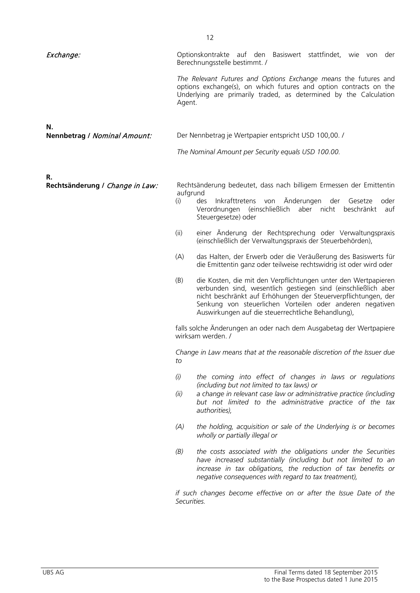| Exchange:                          | Optionskontrakte auf den Basiswert stattfindet, wie von der<br>Berechnungsstelle bestimmt. /                                                                                                                                                                                                                                 |
|------------------------------------|------------------------------------------------------------------------------------------------------------------------------------------------------------------------------------------------------------------------------------------------------------------------------------------------------------------------------|
|                                    | The Relevant Futures and Options Exchange means the futures and<br>options exchange(s), on which futures and option contracts on the<br>Underlying are primarily traded, as determined by the Calculation<br>Agent.                                                                                                          |
| N.<br>Nennbetrag / Nominal Amount: | Der Nennbetrag je Wertpapier entspricht USD 100,00. /                                                                                                                                                                                                                                                                        |
|                                    | The Nominal Amount per Security equals USD 100.00.                                                                                                                                                                                                                                                                           |
| R.                                 |                                                                                                                                                                                                                                                                                                                              |
| Rechtsänderung / Change in Law:    | Rechtsänderung bedeutet, dass nach billigem Ermessen der Emittentin<br>aufgrund<br>Inkrafttretens von Änderungen<br>(i)<br>des<br>der<br>Gesetze<br>oder<br>Verordnungen (einschließlich<br>aber nicht beschränkt<br>auf<br>Steuergesetze) oder                                                                              |
|                                    | (ii)<br>einer Änderung der Rechtsprechung oder Verwaltungspraxis<br>(einschließlich der Verwaltungspraxis der Steuerbehörden),                                                                                                                                                                                               |
|                                    | das Halten, der Erwerb oder die Veräußerung des Basiswerts für<br>(A)<br>die Emittentin ganz oder teilweise rechtswidrig ist oder wird oder                                                                                                                                                                                  |
|                                    | (B)<br>die Kosten, die mit den Verpflichtungen unter den Wertpapieren<br>verbunden sind, wesentlich gestiegen sind (einschließlich aber<br>nicht beschränkt auf Erhöhungen der Steuerverpflichtungen, der<br>Senkung von steuerlichen Vorteilen oder anderen negativen<br>Auswirkungen auf die steuerrechtliche Behandlung), |
|                                    | falls solche Änderungen an oder nach dem Ausgabetag der Wertpapiere<br>wirksam werden. /                                                                                                                                                                                                                                     |
|                                    | Change in Law means that at the reasonable discretion of the Issuer due<br>to                                                                                                                                                                                                                                                |
|                                    | the coming into effect of changes in laws or regulations<br>(i)<br>(including but not limited to tax laws) or                                                                                                                                                                                                                |
|                                    | a change in relevant case law or administrative practice (including<br>(ii)<br>but not limited to the administrative practice of the tax<br>authorities),                                                                                                                                                                    |
|                                    | the holding, acquisition or sale of the Underlying is or becomes<br>(A)<br>wholly or partially illegal or                                                                                                                                                                                                                    |
|                                    | the costs associated with the obligations under the Securities<br>(B)<br>have increased substantially (including but not limited to an<br>increase in tax obligations, the reduction of tax benefits or<br>negative consequences with regard to tax treatment),                                                              |
|                                    | if such changes become effective on or after the Issue Date of the<br>Securities.                                                                                                                                                                                                                                            |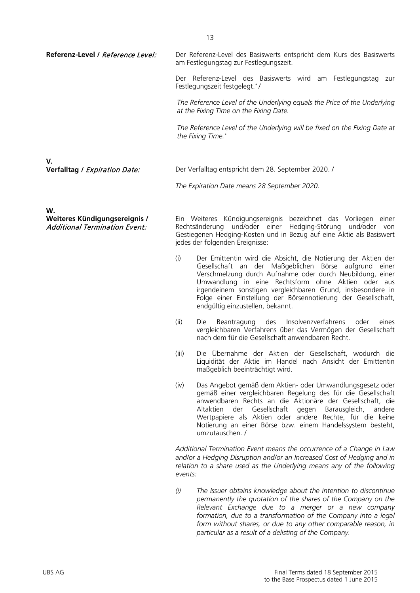**Referenz-Level /** *Reference Level:* Der Referenz-Level des Basiswerts entspricht dem Kurs des Basiswerts am Festlegungstag zur Festlegungszeit.

Der Referenz-Level des Basiswerts wird am Festlegungstag zur Festlegungszeit festgelegt.\* /

*The Reference Level of the Underlying equals the Price of the Underlying at the Fixing Time on the Fixing Date.*

*The Reference Level of the Underlying will be fixed on the Fixing Date at the Fixing Time.\**

**V.**

**Verfalltag / Expiration Date:** Der Verfalltag entspricht dem 28. September 2020. /

*The Expiration Date means 28 September 2020.*

**W.**

**Weiteres Kündigungsereignis /**  Additional Termination Event:

Ein Weiteres Kündigungsereignis bezeichnet das Vorliegen einer Rechtsänderung und/oder einer Hedging-Störung und/oder von Gestiegenen Hedging-Kosten und in Bezug auf eine Aktie als Basiswert jedes der folgenden Ereignisse:

- (i) Der Emittentin wird die Absicht, die Notierung der Aktien der Gesellschaft an der Maßgeblichen Börse aufgrund einer Verschmelzung durch Aufnahme oder durch Neubildung, einer Umwandlung in eine Rechtsform ohne Aktien oder aus irgendeinem sonstigen vergleichbaren Grund, insbesondere in Folge einer Einstellung der Börsennotierung der Gesellschaft, endgültig einzustellen, bekannt.
- (ii) Die Beantragung des Insolvenzverfahrens oder eines vergleichbaren Verfahrens über das Vermögen der Gesellschaft nach dem für die Gesellschaft anwendbaren Recht.
- (iii) Die Übernahme der Aktien der Gesellschaft, wodurch die Liquidität der Aktie im Handel nach Ansicht der Emittentin maßgeblich beeinträchtigt wird.
- (iv) Das Angebot gemäß dem Aktien- oder Umwandlungsgesetz oder gemäß einer vergleichbaren Regelung des für die Gesellschaft anwendbaren Rechts an die Aktionäre der Gesellschaft, die Altaktien der Gesellschaft gegen Barausgleich, andere Wertpapiere als Aktien oder andere Rechte, für die keine Notierung an einer Börse bzw. einem Handelssystem besteht, umzutauschen. /

*Additional Termination Event means the occurrence of a Change in Law and/or a Hedging Disruption and/or an Increased Cost of Hedging and in*  relation to a share used as the Underlying means any of the following *events:*

*(i) The Issuer obtains knowledge about the intention to discontinue permanently the quotation of the shares of the Company on the Relevant Exchange due to a merger or a new company formation, due to a transformation of the Company into a legal form without shares, or due to any other comparable reason, in particular as a result of a delisting of the Company.*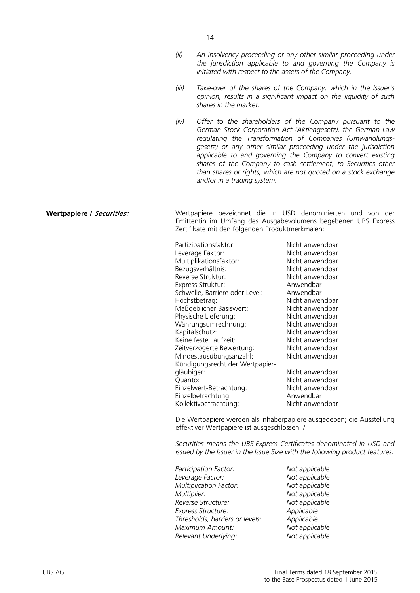- *(ii) An insolvency proceeding or any other similar proceeding under the jurisdiction applicable to and governing the Company is initiated with respect to the assets of the Company.*
- *(iii) Take-over of the shares of the Company, which in the Issuer's opinion, results in a significant impact on the liquidity of such shares in the market.*
- *(iv) Offer to the shareholders of the Company pursuant to the German Stock Corporation Act (Aktiengesetz), the German Law regulating the Transformation of Companies (Umwandlungsgesetz) or any other similar proceeding under the jurisdiction applicable to and governing the Company to convert existing shares of the Company to cash settlement, to Securities other than shares or rights, which are not quoted on a stock exchange and/or in a trading system.*

Wertpapiere / Securities: Wertpapiere bezeichnet die in USD denominierten und von der Emittentin im Umfang des Ausgabevolumens begebenen UBS Express Zertifikate mit den folgenden Produktmerkmalen:

| Partizipationsfaktor:           | Nicht anwendbar |
|---------------------------------|-----------------|
| Leverage Faktor:                | Nicht anwendbar |
| Multiplikationsfaktor:          | Nicht anwendbar |
| Bezugsverhältnis:               | Nicht anwendbar |
| Reverse Struktur:               | Nicht anwendbar |
| Express Struktur:               | Anwendbar       |
| Schwelle, Barriere oder Level:  | Anwendbar       |
| Höchstbetrag:                   | Nicht anwendbar |
| Maßgeblicher Basiswert:         | Nicht anwendbar |
| Physische Lieferung:            | Nicht anwendbar |
| Währungsumrechnung:             | Nicht anwendbar |
| Kapitalschutz:                  | Nicht anwendbar |
| Keine feste Laufzeit:           | Nicht anwendbar |
| Zeitverzögerte Bewertung:       | Nicht anwendbar |
| Mindestausübungsanzahl:         | Nicht anwendbar |
| Kündigungsrecht der Wertpapier- |                 |
| gläubiger:                      | Nicht anwendbar |
| Quanto:                         | Nicht anwendbar |
| Einzelwert-Betrachtung:         | Nicht anwendbar |
| Einzelbetrachtung:              | Anwendbar       |
| Kollektivbetrachtung:           | Nicht anwendbar |

Die Wertpapiere werden als Inhaberpapiere ausgegeben; die Ausstellung effektiver Wertpapiere ist ausgeschlossen. /

 *Securities means the UBS Express Certificates denominated in USD and issued by the Issuer in the Issue Size with the following product features:*

*Participation Factor: Not applicable Leverage Factor: Not applicable Multiplication Factor: Multiplier: Not applicable Reverse Structure: Not applicable Express Structure: Applicable Thresholds, barriers or levels: Applicable Maximum Amount: Not applicable Relevant Underlying: Not applicable*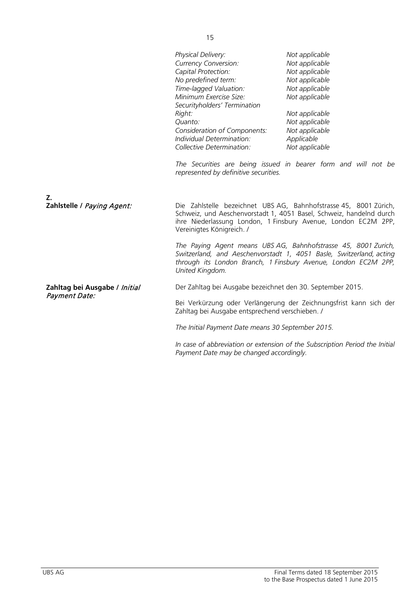|                                  | Physical Delivery:<br>Currency Conversion:<br>Capital Protection:<br>No predefined term:<br>Time-lagged Valuation:<br>Minimum Exercise Size:<br>Securityholders' Termination<br>Right:<br>Quanto:<br>Consideration of Components:<br>Individual Determination:<br>Collective Determination: | Not applicable<br>Not applicable<br>Not applicable<br>Not applicable<br>Not applicable<br>Not applicable<br>Not applicable<br>Not applicable<br>Not applicable<br>Applicable<br>Not applicable             |
|----------------------------------|---------------------------------------------------------------------------------------------------------------------------------------------------------------------------------------------------------------------------------------------------------------------------------------------|------------------------------------------------------------------------------------------------------------------------------------------------------------------------------------------------------------|
|                                  | represented by definitive securities.                                                                                                                                                                                                                                                       | The Securities are being issued in bearer form and will not be                                                                                                                                             |
| Z.<br>Zahlstelle / Paying Agent: | Vereinigtes Königreich. /                                                                                                                                                                                                                                                                   | Die Zahlstelle bezeichnet UBS AG, Bahnhofstrasse 45, 8001 Zürich,<br>Schweiz, und Aeschenvorstadt 1, 4051 Basel, Schweiz, handelnd durch<br>ihre Niederlassung London, 1 Finsbury Avenue, London EC2M 2PP, |
|                                  | United Kingdom.                                                                                                                                                                                                                                                                             | The Paying Agent means UBS AG, Bahnhofstrasse 45, 8001 Zurich,<br>Switzerland, and Aeschenvorstadt 1, 4051 Basle, Switzerland, acting<br>through its London Branch, 1 Finsbury Avenue, London EC2M 2PP,    |
| Zahltag bei Ausgabe / Initial    | Der Zahltag bei Ausgabe bezeichnet den 30. September 2015.                                                                                                                                                                                                                                  |                                                                                                                                                                                                            |
| Payment Date:                    | Zahltag bei Ausgabe entsprechend verschieben. /                                                                                                                                                                                                                                             | Bei Verkürzung oder Verlängerung der Zeichnungsfrist kann sich der                                                                                                                                         |
|                                  | The Initial Payment Date means 30 September 2015.                                                                                                                                                                                                                                           |                                                                                                                                                                                                            |
|                                  |                                                                                                                                                                                                                                                                                             | In case of abbreviation or extension of the Subscription Period the Initial                                                                                                                                |

*Payment Date may be changed accordingly.*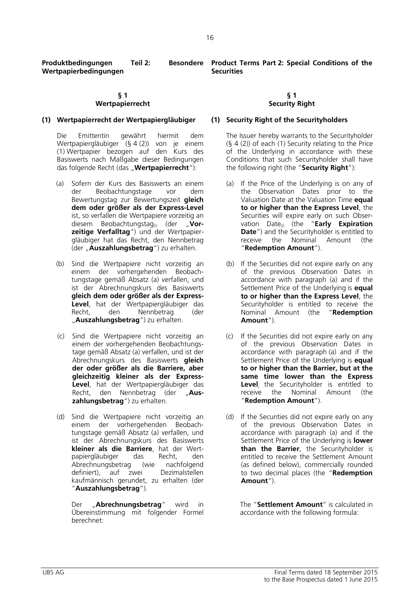**Produktbedingungen Teil 2: Wertpapierbedingungen**

### **§ 1 Wertpapierrecht**

## **(1) Wertpapierrecht der Wertpapiergläubiger (1) Security Right of the Securityholders**

Die Emittentin gewährt hiermit dem Wertpapiergläubiger (§ 4 (2)) von je einem (1) Wertpapier bezogen auf den Kurs des Basiswerts nach Maßgabe dieser Bedingungen das folgende Recht (das "**Wertpapierrecht**"):

- (a) Sofern der Kurs des Basiswerts an einem der Beobachtungstage vor dem Bewertungstag zur Bewertungszeit **gleich dem oder größer als der Express-Level** ist, so verfallen die Wertpapiere vorzeitig an diesem Beobachtungstag<sub>(i)</sub> (der "**Vorzeitige Verfalltag**") und der Wertpapiergläubiger hat das Recht, den Nennbetrag (der "**Auszahlungsbetrag**") zu erhalten.
- (b) Sind die Wertpapiere nicht vorzeitig an einem der vorhergehenden Beobachtungstage gemäß Absatz (a) verfallen, und ist der Abrechnungskurs des Basiswerts **gleich dem oder größer als der Express-Level**, hat der Wertpapiergläubiger das Recht, den Nennbetrag (der "**Auszahlungsbetrag**") zu erhalten.
- (c) Sind die Wertpapiere nicht vorzeitig an einem der vorhergehenden Beobachtungstage gemäß Absatz (a) verfallen, und ist der Abrechnungskurs des Basiswerts **gleich der oder größer als die Barriere, aber gleichzeitig kleiner als der Express-Level**, hat der Wertpapiergläubiger das Recht, den Nennbetrag (der "Aus**zahlungsbetrag**") zu erhalten.
- (d) Sind die Wertpapiere nicht vorzeitig an einem der vorhergehenden Beobachtungstage gemäß Absatz (a) verfallen, und ist der Abrechnungskurs des Basiswerts **kleiner als die Barriere**, hat der Wertpapiergläubiger das Recht, den Abrechnungsbetrag (wie nachfolgend definiert), auf zwei Dezimalstellen kaufmännisch gerundet, zu erhalten (der "**Auszahlungsbetrag**").

Der "**Abrechnungsbetrag**" wird in Übereinstimmung mit folgender Formel berechnet:

**Besondere** Product Terms Part 2: Special Conditions of the **Securities**

#### **§ 1 Security Right**

The Issuer hereby warrants to the Securityholder (§ 4 (2)) of each (1) Security relating to the Price of the Underlying in accordance with these Conditions that such Securityholder shall have the following right (the "**Security Right**"):

- (a) If the Price of the Underlying is on any of the Observation Dates prior to the Valuation Date at the Valuation Time **equal to or higher than the Express Level**, the Securities will expire early on such Observation Date(i) (the "**Early Expiration Date**") and the Securityholder is entitled to receive the Nominal Amount (the Nominal Amount (the "**Redemption Amount**").
- (b) If the Securities did not expire early on any of the previous Observation Dates in accordance with paragraph (a) and if the Settlement Price of the Underlying is **equal to or higher than the Express Level**, the Securityholder is entitled to receive the Nominal Amount (the "**Redemption Amount**").
- (c) If the Securities did not expire early on any of the previous Observation Dates in accordance with paragraph (a) and if the Settlement Price of the Underlying is **equal to or higher than the Barrier, but at the same time lower than the Express**  Level, the Securityholder is entitled to receive the Nominal Amount (the Nominal Amount (the "**Redemption Amount**").
- (d) If the Securities did not expire early on any of the previous Observation Dates in accordance with paragraph (a) and if the Settlement Price of the Underlying is **lower than the Barrier**, the Securityholder is entitled to receive the Settlement Amount (as defined below), commercially rounded to two decimal places (the "**Redemption Amount**").

The "**Settlement Amount**" is calculated in accordance with the following formula: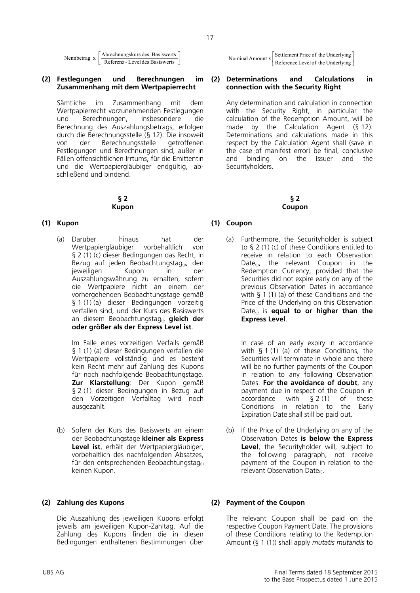Nennbetrag  $x \left[ \frac{\text{Abrechnungskurs des Basiswerts}}{\text{Referenz-Leveldes Basiswerts}} \right]$ ļ.

#### **(2) Festlegungen und Berechnungen im Zusammenhang mit dem Wertpapierrecht**

Sämtliche im Zusammenhang mit dem Wertpapierrecht vorzunehmenden Festlegungen<br>und Berechnungen, insbesondere die Berechnungen, Berechnung des Auszahlungsbetrags, erfolgen durch die Berechnungsstelle (§ 12). Die insoweit<br>von der Berechnungsstelle getroffenen Berechnungsstelle Festlegungen und Berechnungen sind, außer in Fällen offensichtlichen Irrtums, für die Emittentin und die Wertpapiergläubiger endgültig, abschließend und bindend.

#### **§ 2 Kupon**

(a) Darüber hinaus hat der Wertpapiergläubiger vorbehaltlich von § 2 (1) (c) dieser Bedingungen das Recht, in Bezug auf jeden Beobachtungstag<sub>(i)</sub>, den jeweiligen Kupon in der Auszahlungswährung zu erhalten, sofern die Wertpapiere nicht an einem der vorhergehenden Beobachtungstage gemäß § 1 (1) (a) dieser Bedingungen vorzeitig verfallen sind, und der Kurs des Basiswerts an diesem Beobachtungstag(i) **gleich der oder größer als der Express Level ist**.

Im Falle eines vorzeitigen Verfalls gemäß § 1 (1) (a) dieser Bedingungen verfallen die Wertpapiere vollständig und es besteht kein Recht mehr auf Zahlung des Kupons für noch nachfolgende Beobachtungstage. **Zur Klarstellung**: Der Kupon gemäß § 2 (1) dieser Bedingungen in Bezug auf den Vorzeitigen Verfalltag wird noch ausgezahlt.

(b) Sofern der Kurs des Basiswerts an einem der Beobachtungstage **kleiner als Express Level ist**, erhält der Wertpapiergläubiger, vorbehaltlich des nachfolgenden Absatzes, für den entsprechenden Beobachtungstag $_{(i)}$ keinen Kupon.

Die Auszahlung des jeweiligen Kupons erfolgt jeweils am jeweiligen Kupon-Zahltag. Auf die Zahlung des Kupons finden die in diesen Bedingungen enthaltenen Bestimmungen über Nominal Amount  $x \nvert \nvert \nvert \nvert$  Settlement Price of the Underlying Reference Level of the Underlying Į

#### **(2) Determinations and Calculations in connection with the Security Right**

Any determination and calculation in connection with the Security Right, in particular the calculation of the Redemption Amount, will be made by the Calculation Agent (§ 12). Determinations and calculations made in this respect by the Calculation Agent shall (save in the case of manifest error) be final, conclusive<br>and binding on the Issuer and the on the Issuer and Securityholders.

> **§ 2 Coupon**

### **(1) Kupon (1) Coupon**

(a) Furthermore, the Securityholder is subject to § 2 (1) (c) of these Conditions entitled to receive in relation to each Observation Date $(i)$ , the relevant Coupon in the Redemption Currency, provided that the Securities did not expire early on any of the previous Observation Dates in accordance with § 1 (1) (a) of these Conditions and the Price of the Underlying on this Observation Date(i) is **equal to or higher than the Express Level**.

In case of an early expiry in accordance with § 1 (1) (a) of these Conditions, the Securities will terminate in whole and there will be no further payments of the Coupon in relation to any following Observation Dates. **For the avoidance of doubt**, any payment due in respect of the Coupon in accordance with § 2 (1) of these Conditions in relation to the Early Expiration Date shall still be paid out.

(b) If the Price of the Underlying on any of the Observation Dates **is below the Express Level**, the Securityholder will, subject to the following paragraph, not receive payment of the Coupon in relation to the relevant Observation Date $_{(i)}$ .

#### **(2) Zahlung des Kupons (2) Payment of the Coupon**

The relevant Coupon shall be paid on the respective Coupon Payment Date. The provisions of these Conditions relating to the Redemption Amount (§ 1 (1)) shall apply *mutatis mutandis* to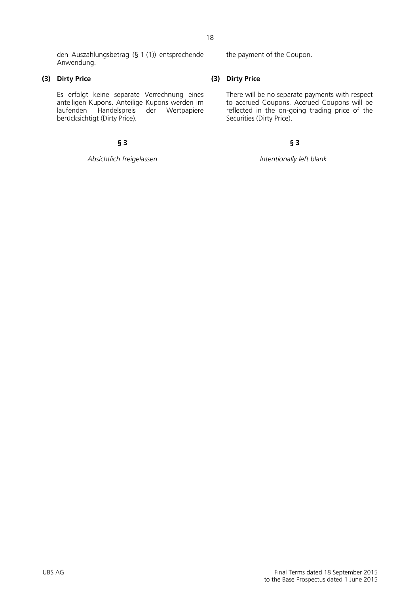den Auszahlungsbetrag (§ 1 (1)) entsprechende Anwendung.

## **(3) Dirty Price (3) Dirty Price**

Es erfolgt keine separate Verrechnung eines anteiligen Kupons. Anteilige Kupons werden im laufenden Handelspreis der Wertpapiere berücksichtigt (Dirty Price).

### *Absichtlich freigelassen Intentionally left blank*

the payment of the Coupon.

There will be no separate payments with respect to accrued Coupons. Accrued Coupons will be reflected in the on-going trading price of the Securities (Dirty Price).

## **§ 3 § 3**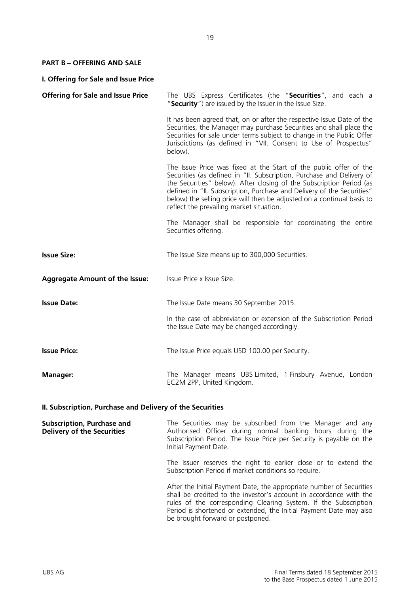## **PART B – OFFERING AND SALE**

| I. Offering for Sale and Issue Price     |                                                                                                                                                                                                                                                                                                                                                                                                                    |
|------------------------------------------|--------------------------------------------------------------------------------------------------------------------------------------------------------------------------------------------------------------------------------------------------------------------------------------------------------------------------------------------------------------------------------------------------------------------|
| <b>Offering for Sale and Issue Price</b> | The UBS Express Certificates (the "Securities", and each a<br>"Security") are issued by the Issuer in the Issue Size.                                                                                                                                                                                                                                                                                              |
|                                          | It has been agreed that, on or after the respective Issue Date of the<br>Securities, the Manager may purchase Securities and shall place the<br>Securities for sale under terms subject to change in the Public Offer<br>Jurisdictions (as defined in "VII. Consent to Use of Prospectus"<br>below).                                                                                                               |
|                                          | The Issue Price was fixed at the Start of the public offer of the<br>Securities (as defined in "II. Subscription, Purchase and Delivery of<br>the Securities" below). After closing of the Subscription Period (as<br>defined in "II. Subscription, Purchase and Delivery of the Securities"<br>below) the selling price will then be adjusted on a continual basis to<br>reflect the prevailing market situation. |
|                                          | The Manager shall be responsible for coordinating the entire<br>Securities offering.                                                                                                                                                                                                                                                                                                                               |
| <b>Issue Size:</b>                       | The Issue Size means up to 300,000 Securities.                                                                                                                                                                                                                                                                                                                                                                     |
| <b>Aggregate Amount of the Issue:</b>    | Issue Price x Issue Size.                                                                                                                                                                                                                                                                                                                                                                                          |
| <b>Issue Date:</b>                       | The Issue Date means 30 September 2015.                                                                                                                                                                                                                                                                                                                                                                            |
|                                          | In the case of abbreviation or extension of the Subscription Period<br>the Issue Date may be changed accordingly.                                                                                                                                                                                                                                                                                                  |
| <b>Issue Price:</b>                      | The Issue Price equals USD 100.00 per Security.                                                                                                                                                                                                                                                                                                                                                                    |
| <b>Manager:</b>                          | The Manager means UBS Limited, 1 Finsbury Avenue, London<br>EC2M 2PP, United Kingdom.                                                                                                                                                                                                                                                                                                                              |

## **II. Subscription, Purchase and Delivery of the Securities**

| <b>Subscription, Purchase and</b><br><b>Delivery of the Securities</b> | The Securities may be subscribed from the Manager and any<br>Authorised Officer during normal banking hours during the<br>Subscription Period. The Issue Price per Security is payable on the<br>Initial Payment Date.                                                                                                  |
|------------------------------------------------------------------------|-------------------------------------------------------------------------------------------------------------------------------------------------------------------------------------------------------------------------------------------------------------------------------------------------------------------------|
|                                                                        | The Issuer reserves the right to earlier close or to extend the<br>Subscription Period if market conditions so require.                                                                                                                                                                                                 |
|                                                                        | After the Initial Payment Date, the appropriate number of Securities<br>shall be credited to the investor's account in accordance with the<br>rules of the corresponding Clearing System. If the Subscription<br>Period is shortened or extended, the Initial Payment Date may also<br>be brought forward or postponed. |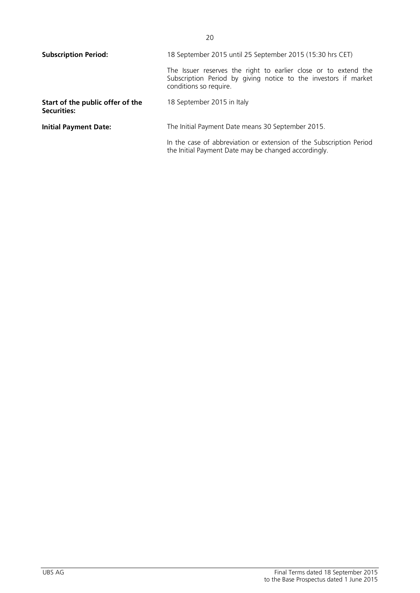| <b>Subscription Period:</b>                            | 18 September 2015 until 25 September 2015 (15:30 hrs CET)                                                                                                    |
|--------------------------------------------------------|--------------------------------------------------------------------------------------------------------------------------------------------------------------|
|                                                        | The Issuer reserves the right to earlier close or to extend the<br>Subscription Period by giving notice to the investors if market<br>conditions so require. |
| Start of the public offer of the<br><b>Securities:</b> | 18 September 2015 in Italy                                                                                                                                   |
| <b>Initial Payment Date:</b>                           | The Initial Payment Date means 30 September 2015.                                                                                                            |
|                                                        | In the case of abbreviation or extension of the Subscription Period<br>the Initial Payment Date may be changed accordingly.                                  |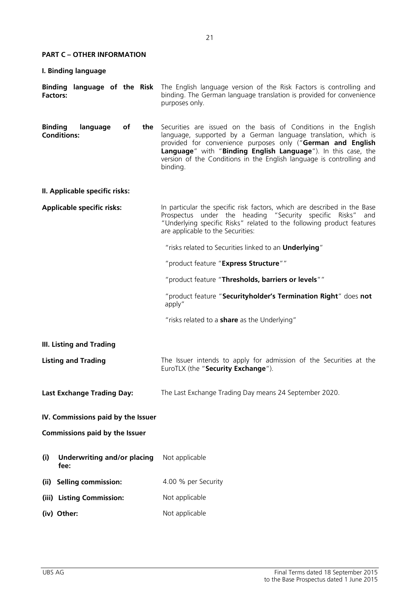### **PART C – OTHER INFORMATION**

| I. Binding language                                           |                                                                                                                                                                                                                                                                                                                                                       |
|---------------------------------------------------------------|-------------------------------------------------------------------------------------------------------------------------------------------------------------------------------------------------------------------------------------------------------------------------------------------------------------------------------------------------------|
| <b>Factors:</b>                                               | <b>Binding language of the Risk</b> The English language version of the Risk Factors is controlling and<br>binding. The German language translation is provided for convenience<br>purposes only.                                                                                                                                                     |
| <b>Binding</b><br>language<br>of<br>the<br><b>Conditions:</b> | Securities are issued on the basis of Conditions in the English<br>language, supported by a German language translation, which is<br>provided for convenience purposes only ("German and English<br>Language" with "Binding English Language"). In this case, the<br>version of the Conditions in the English language is controlling and<br>binding. |
| II. Applicable specific risks:                                |                                                                                                                                                                                                                                                                                                                                                       |
| <b>Applicable specific risks:</b>                             | In particular the specific risk factors, which are described in the Base<br>Prospectus under the heading "Security specific Risks"<br>and<br>"Underlying specific Risks" related to the following product features<br>are applicable to the Securities:                                                                                               |
|                                                               | "risks related to Securities linked to an Underlying"                                                                                                                                                                                                                                                                                                 |
|                                                               | "product feature "Express Structure""                                                                                                                                                                                                                                                                                                                 |
|                                                               | "product feature "Thresholds, barriers or levels""                                                                                                                                                                                                                                                                                                    |
|                                                               | "product feature "Securityholder's Termination Right" does not<br>apply"                                                                                                                                                                                                                                                                              |
|                                                               | "risks related to a <b>share</b> as the Underlying"                                                                                                                                                                                                                                                                                                   |
| <b>III. Listing and Trading</b>                               |                                                                                                                                                                                                                                                                                                                                                       |
| <b>Listing and Trading</b>                                    | The Issuer intends to apply for admission of the Securities at the<br>EuroTLX (the "Security Exchange").                                                                                                                                                                                                                                              |
| <b>Last Exchange Trading Day:</b>                             | The Last Exchange Trading Day means 24 September 2020.                                                                                                                                                                                                                                                                                                |
| IV. Commissions paid by the Issuer                            |                                                                                                                                                                                                                                                                                                                                                       |
| <b>Commissions paid by the Issuer</b>                         |                                                                                                                                                                                                                                                                                                                                                       |
| <b>Underwriting and/or placing</b><br>(i)<br>fee:             | Not applicable                                                                                                                                                                                                                                                                                                                                        |
| <b>Selling commission:</b><br>(ii)                            | 4.00 % per Security                                                                                                                                                                                                                                                                                                                                   |
| (iii) Listing Commission:                                     | Not applicable                                                                                                                                                                                                                                                                                                                                        |
| (iv) Other:                                                   | Not applicable                                                                                                                                                                                                                                                                                                                                        |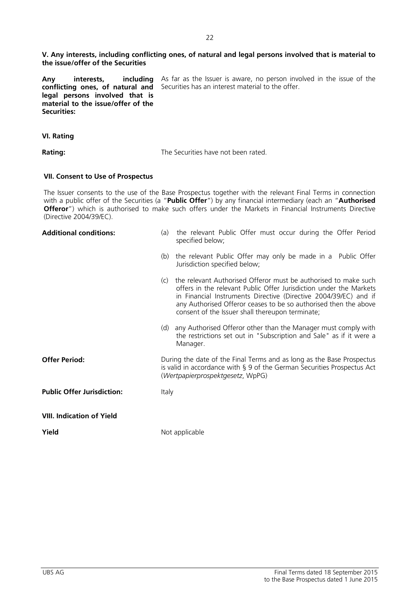Any interests, **conflicting ones, of natural and legal persons involved that is material to the issue/offer of the Securities:**

including As far as the Issuer is aware, no person involved in the issue of the Securities has an interest material to the offer.

#### **VI. Rating**

**Rating:** The Securities have not been rated.

#### **VII. Consent to Use of Prospectus**

The Issuer consents to the use of the Base Prospectus together with the relevant Final Terms in connection with a public offer of the Securities (a "**Public Offer**") by any financial intermediary (each an "**Authorised Offeror**") which is authorised to make such offers under the Markets in Financial Instruments Directive (Directive 2004/39/EC).

| <b>Additional conditions:</b>     | (a)   | the relevant Public Offer must occur during the Offer Period<br>specified below;                                                                                                                                                                                                                                                  |
|-----------------------------------|-------|-----------------------------------------------------------------------------------------------------------------------------------------------------------------------------------------------------------------------------------------------------------------------------------------------------------------------------------|
|                                   | (b)   | the relevant Public Offer may only be made in a Public Offer<br>Jurisdiction specified below;                                                                                                                                                                                                                                     |
|                                   | (C)   | the relevant Authorised Offeror must be authorised to make such<br>offers in the relevant Public Offer Jurisdiction under the Markets<br>in Financial Instruments Directive (Directive 2004/39/EC) and if<br>any Authorised Offeror ceases to be so authorised then the above<br>consent of the Issuer shall thereupon terminate; |
|                                   | (d)   | any Authorised Offeror other than the Manager must comply with<br>the restrictions set out in "Subscription and Sale" as if it were a<br>Manager.                                                                                                                                                                                 |
| <b>Offer Period:</b>              |       | During the date of the Final Terms and as long as the Base Prospectus<br>is valid in accordance with § 9 of the German Securities Prospectus Act<br>(Wertpapierprospektgesetz, WpPG)                                                                                                                                              |
| <b>Public Offer Jurisdiction:</b> | Italy |                                                                                                                                                                                                                                                                                                                                   |
| <b>VIII. Indication of Yield</b>  |       |                                                                                                                                                                                                                                                                                                                                   |
| Yield                             |       | Not applicable                                                                                                                                                                                                                                                                                                                    |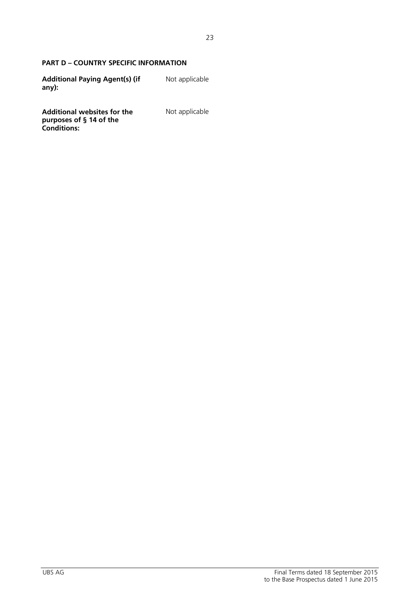## **PART D – COUNTRY SPECIFIC INFORMATION**

| <b>Additional Paying Agent(s) (if</b> | Not applicable |
|---------------------------------------|----------------|
| $any)$ :                              |                |

 **Additional websites for the purposes of § 14 of the Conditions:**

Not applicable

23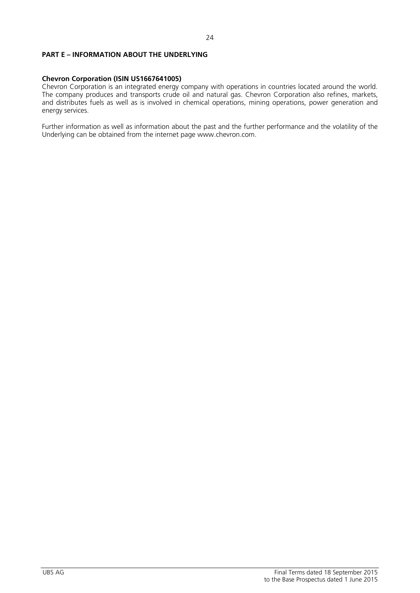#### **PART E – INFORMATION ABOUT THE UNDERLYING**

#### **Chevron Corporation (ISIN US1667641005)**

Chevron Corporation is an integrated energy company with operations in countries located around the world. The company produces and transports crude oil and natural gas. Chevron Corporation also refines, markets, and distributes fuels as well as is involved in chemical operations, mining operations, power generation and energy services.

Further information as well as information about the past and the further performance and the volatility of the Underlying can be obtained from the internet page www.chevron.com.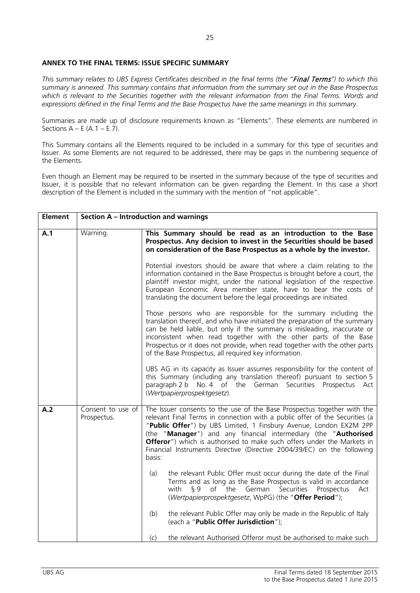#### **ANNEX TO THE FINAL TERMS: ISSUE SPECIFIC SUMMARY**

*This summary relates to UBS Express Certificates described in the final terms (the "*Final Terms*") to which this summary is annexed. This summary contains that information from the summary set out in the Base Prospectus which is relevant to the Securities together with the relevant information from the Final Terms. Words and expressions defined in the Final Terms and the Base Prospectus have the same meanings in this summary.*

Summaries are made up of disclosure requirements known as "Elements". These elements are numbered in Sections  $A - E(A.1 - E.7)$ .

This Summary contains all the Elements required to be included in a summary for this type of securities and Issuer. As some Elements are not required to be addressed, there may be gaps in the numbering sequence of the Elements.

Even though an Element may be required to be inserted in the summary because of the type of securities and Issuer, it is possible that no relevant information can be given regarding the Element. In this case a short description of the Element is included in the summary with the mention of "not applicable".

| <b>Element</b> |                                  | <b>Section A - Introduction and warnings</b>                                                                                                                                                                                                                                                                                                                                                                                                                   |
|----------------|----------------------------------|----------------------------------------------------------------------------------------------------------------------------------------------------------------------------------------------------------------------------------------------------------------------------------------------------------------------------------------------------------------------------------------------------------------------------------------------------------------|
| A.1            | Warning.                         | This Summary should be read as an introduction to the Base<br>Prospectus. Any decision to invest in the Securities should be based<br>on consideration of the Base Prospectus as a whole by the investor.                                                                                                                                                                                                                                                      |
|                |                                  | Potential investors should be aware that where a claim relating to the<br>information contained in the Base Prospectus is brought before a court, the<br>plaintiff investor might, under the national legislation of the respective<br>European Economic Area member state, have to bear the costs of<br>translating the document before the legal proceedings are initiated.                                                                                  |
|                |                                  | Those persons who are responsible for the summary including the<br>translation thereof, and who have initiated the preparation of the summary<br>can be held liable, but only if the summary is misleading, inaccurate or<br>inconsistent when read together with the other parts of the Base<br>Prospectus or it does not provide, when read together with the other parts<br>of the Base Prospectus, all required key information.                           |
|                |                                  | UBS AG in its capacity as Issuer assumes responsibility for the content of<br>this Summary (including any translation thereof) pursuant to section 5<br>paragraph 2 b No. 4 of the German<br>Securities Prospectus Act<br>(Wertpapierprospektgesetz).                                                                                                                                                                                                          |
| A.2            | Consent to use of<br>Prospectus. | The Issuer consents to the use of the Base Prospectus together with the<br>relevant Final Terms in connection with a public offer of the Securities (a<br>"Public Offer") by UBS Limited, 1 Finsbury Avenue, London EX2M 2PP<br>(the "Manager") and any financial intermediary (the "Authorised<br>Offeror") which is authorised to make such offers under the Markets in<br>Financial Instruments Directive (Directive 2004/39/EC) on the following<br>basis: |
|                |                                  | the relevant Public Offer must occur during the date of the Final<br>(a)<br>Terms and as long as the Base Prospectus is valid in accordance<br>§ 9 of the German Securities Prospectus<br>with<br>Act<br>(Wertpapierprospektgesetz, WpPG) (the "Offer Period");                                                                                                                                                                                                |
|                |                                  | (b)<br>the relevant Public Offer may only be made in the Republic of Italy<br>(each a "Public Offer Jurisdiction");                                                                                                                                                                                                                                                                                                                                            |
|                |                                  | the relevant Authorised Offeror must be authorised to make such<br>(c)                                                                                                                                                                                                                                                                                                                                                                                         |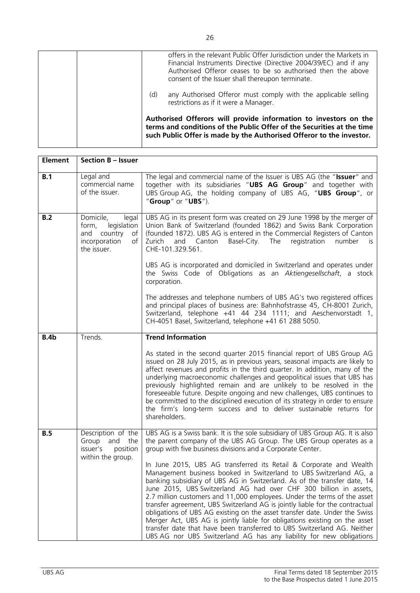|     | offers in the relevant Public Offer Jurisdiction under the Markets in<br>Financial Instruments Directive (Directive 2004/39/EC) and if any<br>Authorised Offeror ceases to be so authorised then the above<br>consent of the Issuer shall thereupon terminate. |
|-----|----------------------------------------------------------------------------------------------------------------------------------------------------------------------------------------------------------------------------------------------------------------|
| (d) | any Authorised Offeror must comply with the applicable selling<br>restrictions as if it were a Manager.                                                                                                                                                        |
|     | Authorised Offerors will provide information to investors on the<br>terms and conditions of the Public Offer of the Securities at the time<br>such Public Offer is made by the Authorised Offeror to the investor.                                             |

| <b>Element</b> | <b>Section B - Issuer</b>                                                                             |                                                                                                                                                                                                                                                                                                                                                                                                                                                                                                                                                                                                                                                                                                                                                                                                                                                                                                                                                                                           |
|----------------|-------------------------------------------------------------------------------------------------------|-------------------------------------------------------------------------------------------------------------------------------------------------------------------------------------------------------------------------------------------------------------------------------------------------------------------------------------------------------------------------------------------------------------------------------------------------------------------------------------------------------------------------------------------------------------------------------------------------------------------------------------------------------------------------------------------------------------------------------------------------------------------------------------------------------------------------------------------------------------------------------------------------------------------------------------------------------------------------------------------|
| B.1            | Legal and<br>commercial name<br>of the issuer.                                                        | The legal and commercial name of the Issuer is UBS AG (the "Issuer" and<br>together with its subsidiaries "UBS AG Group" and together with<br>UBS Group AG, the holding company of UBS AG, "UBS Group", or<br>"Group" or "UBS").                                                                                                                                                                                                                                                                                                                                                                                                                                                                                                                                                                                                                                                                                                                                                          |
| B.2            | Domicile,<br>legal<br>legislation<br>form,<br>and country<br>of<br>incorporation<br>of<br>the issuer. | UBS AG in its present form was created on 29 June 1998 by the merger of<br>Union Bank of Switzerland (founded 1862) and Swiss Bank Corporation<br>(founded 1872). UBS AG is entered in the Commercial Registers of Canton<br>Zurich<br>and Canton<br>Basel-City. The<br>registration<br>number<br>is.<br>CHE-101.329.561.                                                                                                                                                                                                                                                                                                                                                                                                                                                                                                                                                                                                                                                                 |
|                |                                                                                                       | UBS AG is incorporated and domiciled in Switzerland and operates under<br>the Swiss Code of Obligations as an Aktiengesellschaft, a stock<br>corporation.                                                                                                                                                                                                                                                                                                                                                                                                                                                                                                                                                                                                                                                                                                                                                                                                                                 |
|                |                                                                                                       | The addresses and telephone numbers of UBS AG's two registered offices<br>and principal places of business are: Bahnhofstrasse 45, CH-8001 Zurich,<br>Switzerland, telephone +41 44 234 1111; and Aeschenvorstadt 1,<br>CH-4051 Basel, Switzerland, telephone +41 61 288 5050.                                                                                                                                                                                                                                                                                                                                                                                                                                                                                                                                                                                                                                                                                                            |
| <b>B.4b</b>    | Trends.                                                                                               | <b>Trend Information</b>                                                                                                                                                                                                                                                                                                                                                                                                                                                                                                                                                                                                                                                                                                                                                                                                                                                                                                                                                                  |
|                |                                                                                                       | As stated in the second quarter 2015 financial report of UBS Group AG<br>issued on 28 July 2015, as in previous years, seasonal impacts are likely to<br>affect revenues and profits in the third quarter. In addition, many of the<br>underlying macroeconomic challenges and geopolitical issues that UBS has<br>previously highlighted remain and are unlikely to be resolved in the<br>foreseeable future. Despite ongoing and new challenges, UBS continues to<br>be committed to the disciplined execution of its strategy in order to ensure<br>the firm's long-term success and to deliver sustainable returns for<br>shareholders.                                                                                                                                                                                                                                                                                                                                               |
| <b>B.5</b>     | Description of the<br>and<br>the<br>Group<br>position<br>issuer's<br>within the group.                | UBS AG is a Swiss bank. It is the sole subsidiary of UBS Group AG. It is also<br>the parent company of the UBS AG Group. The UBS Group operates as a<br>group with five business divisions and a Corporate Center.<br>In June 2015, UBS AG transferred its Retail & Corporate and Wealth<br>Management business booked in Switzerland to UBS Switzerland AG, a<br>banking subsidiary of UBS AG in Switzerland. As of the transfer date, 14<br>June 2015, UBS Switzerland AG had over CHF 300 billion in assets,<br>2.7 million customers and 11,000 employees. Under the terms of the asset<br>transfer agreement, UBS Switzerland AG is jointly liable for the contractual<br>obligations of UBS AG existing on the asset transfer date. Under the Swiss<br>Merger Act, UBS AG is jointly liable for obligations existing on the asset<br>transfer date that have been transferred to UBS Switzerland AG. Neither<br>UBS AG nor UBS Switzerland AG has any liability for new obligations |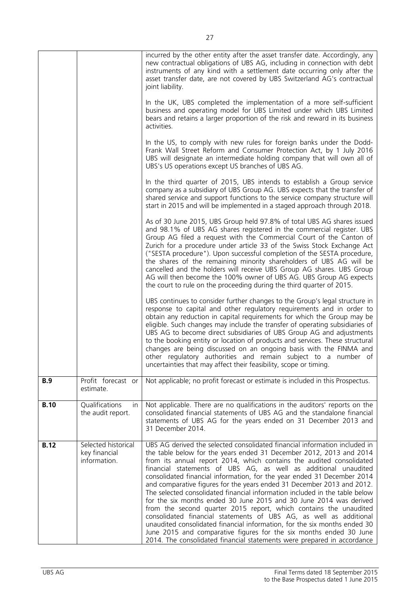|             |                                                      | incurred by the other entity after the asset transfer date. Accordingly, any<br>new contractual obligations of UBS AG, including in connection with debt<br>instruments of any kind with a settlement date occurring only after the<br>asset transfer date, are not covered by UBS Switzerland AG's contractual<br>joint liability.                                                                                                                                                                                                                                                                                                                                                                                                                                                                                                                                                                                                                                             |
|-------------|------------------------------------------------------|---------------------------------------------------------------------------------------------------------------------------------------------------------------------------------------------------------------------------------------------------------------------------------------------------------------------------------------------------------------------------------------------------------------------------------------------------------------------------------------------------------------------------------------------------------------------------------------------------------------------------------------------------------------------------------------------------------------------------------------------------------------------------------------------------------------------------------------------------------------------------------------------------------------------------------------------------------------------------------|
|             |                                                      | In the UK, UBS completed the implementation of a more self-sufficient<br>business and operating model for UBS Limited under which UBS Limited<br>bears and retains a larger proportion of the risk and reward in its business<br>activities.                                                                                                                                                                                                                                                                                                                                                                                                                                                                                                                                                                                                                                                                                                                                    |
|             |                                                      | In the US, to comply with new rules for foreign banks under the Dodd-<br>Frank Wall Street Reform and Consumer Protection Act, by 1 July 2016<br>UBS will designate an intermediate holding company that will own all of<br>UBS's US operations except US branches of UBS AG.                                                                                                                                                                                                                                                                                                                                                                                                                                                                                                                                                                                                                                                                                                   |
|             |                                                      | In the third quarter of 2015, UBS intends to establish a Group service<br>company as a subsidiary of UBS Group AG. UBS expects that the transfer of<br>shared service and support functions to the service company structure will<br>start in 2015 and will be implemented in a staged approach through 2018.                                                                                                                                                                                                                                                                                                                                                                                                                                                                                                                                                                                                                                                                   |
|             |                                                      | As of 30 June 2015, UBS Group held 97.8% of total UBS AG shares issued<br>and 98.1% of UBS AG shares registered in the commercial register. UBS<br>Group AG filed a request with the Commercial Court of the Canton of<br>Zurich for a procedure under article 33 of the Swiss Stock Exchange Act<br>("SESTA procedure"). Upon successful completion of the SESTA procedure,<br>the shares of the remaining minority shareholders of UBS AG will be<br>cancelled and the holders will receive UBS Group AG shares. UBS Group<br>AG will then become the 100% owner of UBS AG. UBS Group AG expects<br>the court to rule on the proceeding during the third quarter of 2015.                                                                                                                                                                                                                                                                                                     |
|             |                                                      | UBS continues to consider further changes to the Group's legal structure in<br>response to capital and other regulatory requirements and in order to<br>obtain any reduction in capital requirements for which the Group may be<br>eligible. Such changes may include the transfer of operating subsidiaries of<br>UBS AG to become direct subsidiaries of UBS Group AG and adjustments<br>to the booking entity or location of products and services. These structural<br>changes are being discussed on an ongoing basis with the FINMA and<br>other regulatory authorities and remain subject to a number of<br>uncertainties that may affect their feasibility, scope or timing.                                                                                                                                                                                                                                                                                            |
| <b>B.9</b>  | Profit forecast or<br>estimate.                      | Not applicable; no profit forecast or estimate is included in this Prospectus.                                                                                                                                                                                                                                                                                                                                                                                                                                                                                                                                                                                                                                                                                                                                                                                                                                                                                                  |
| <b>B.10</b> | Qualifications<br>in.<br>the audit report.           | Not applicable. There are no qualifications in the auditors' reports on the<br>consolidated financial statements of UBS AG and the standalone financial<br>statements of UBS AG for the years ended on 31 December 2013 and<br>31 December 2014.                                                                                                                                                                                                                                                                                                                                                                                                                                                                                                                                                                                                                                                                                                                                |
| <b>B.12</b> | Selected historical<br>key financial<br>information. | UBS AG derived the selected consolidated financial information included in<br>the table below for the years ended 31 December 2012, 2013 and 2014<br>from its annual report 2014, which contains the audited consolidated<br>financial statements of UBS AG, as well as additional unaudited<br>consolidated financial information, for the year ended 31 December 2014<br>and comparative figures for the years ended 31 December 2013 and 2012.<br>The selected consolidated financial information included in the table below<br>for the six months ended 30 June 2015 and 30 June 2014 was derived<br>from the second quarter 2015 report, which contains the unaudited<br>consolidated financial statements of UBS AG, as well as additional<br>unaudited consolidated financial information, for the six months ended 30<br>June 2015 and comparative figures for the six months ended 30 June<br>2014. The consolidated financial statements were prepared in accordance |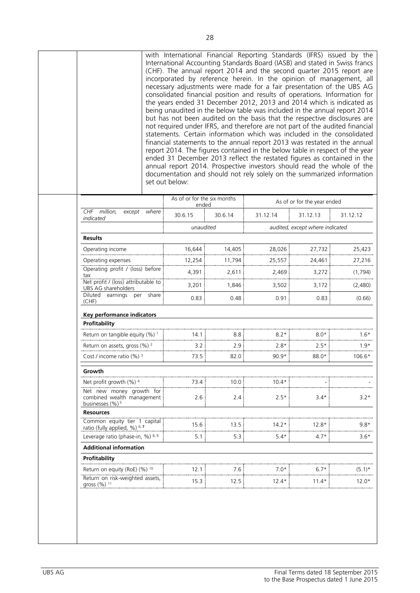|                                                                                       |       | set out below:                       |         | with International Financial Reporting Standards (IFRS) issued by the<br>International Accounting Standards Board (IASB) and stated in Swiss francs<br>(CHF). The annual report 2014 and the second quarter 2015 report are<br>incorporated by reference herein. In the opinion of management, all<br>necessary adjustments were made for a fair presentation of the UBS AG<br>consolidated financial position and results of operations. Information for<br>the years ended 31 December 2012, 2013 and 2014 which is indicated as<br>being unaudited in the below table was included in the annual report 2014<br>but has not been audited on the basis that the respective disclosures are<br>not required under IFRS, and therefore are not part of the audited financial<br>statements. Certain information which was included in the consolidated<br>financial statements to the annual report 2013 was restated in the annual<br>report 2014. The figures contained in the below table in respect of the year<br>ended 31 December 2013 reflect the restated figures as contained in the<br>annual report 2014. Prospective investors should read the whole of the<br>documentation and should not rely solely on the summarized information |                                 |           |
|---------------------------------------------------------------------------------------|-------|--------------------------------------|---------|----------------------------------------------------------------------------------------------------------------------------------------------------------------------------------------------------------------------------------------------------------------------------------------------------------------------------------------------------------------------------------------------------------------------------------------------------------------------------------------------------------------------------------------------------------------------------------------------------------------------------------------------------------------------------------------------------------------------------------------------------------------------------------------------------------------------------------------------------------------------------------------------------------------------------------------------------------------------------------------------------------------------------------------------------------------------------------------------------------------------------------------------------------------------------------------------------------------------------------------------------|---------------------------------|-----------|
|                                                                                       |       | As of or for the six months<br>ended |         |                                                                                                                                                                                                                                                                                                                                                                                                                                                                                                                                                                                                                                                                                                                                                                                                                                                                                                                                                                                                                                                                                                                                                                                                                                                    | As of or for the year ended     |           |
| CHF million,<br>except<br>indicated                                                   | where | 30.6.15                              | 30.6.14 | 31.12.14                                                                                                                                                                                                                                                                                                                                                                                                                                                                                                                                                                                                                                                                                                                                                                                                                                                                                                                                                                                                                                                                                                                                                                                                                                           | 31.12.13                        | 31.12.12  |
|                                                                                       |       | unaudited                            |         |                                                                                                                                                                                                                                                                                                                                                                                                                                                                                                                                                                                                                                                                                                                                                                                                                                                                                                                                                                                                                                                                                                                                                                                                                                                    | audited, except where indicated |           |
| <b>Results</b>                                                                        |       |                                      |         |                                                                                                                                                                                                                                                                                                                                                                                                                                                                                                                                                                                                                                                                                                                                                                                                                                                                                                                                                                                                                                                                                                                                                                                                                                                    |                                 |           |
| Operating income                                                                      |       | 16,644                               | 14,405  | 28,026                                                                                                                                                                                                                                                                                                                                                                                                                                                                                                                                                                                                                                                                                                                                                                                                                                                                                                                                                                                                                                                                                                                                                                                                                                             | 27,732                          | 25,423    |
| Operating expenses                                                                    |       | 12,254                               | 11,794  | 25,557                                                                                                                                                                                                                                                                                                                                                                                                                                                                                                                                                                                                                                                                                                                                                                                                                                                                                                                                                                                                                                                                                                                                                                                                                                             | 24,461                          | 27,216    |
| Operating profit / (loss) before<br>tax                                               |       | 4,391                                | 2,611   | 2,469                                                                                                                                                                                                                                                                                                                                                                                                                                                                                                                                                                                                                                                                                                                                                                                                                                                                                                                                                                                                                                                                                                                                                                                                                                              | 3,272                           | (1,794)   |
| Net profit / (loss) attributable to<br>UBS AG shareholders                            |       | 3,201                                | 1,846   | 3,502                                                                                                                                                                                                                                                                                                                                                                                                                                                                                                                                                                                                                                                                                                                                                                                                                                                                                                                                                                                                                                                                                                                                                                                                                                              | 3,172                           | (2,480)   |
| Diluted<br>earnings<br>per<br>(CHF)                                                   | share | 0.83                                 | 0.48    | 0.91                                                                                                                                                                                                                                                                                                                                                                                                                                                                                                                                                                                                                                                                                                                                                                                                                                                                                                                                                                                                                                                                                                                                                                                                                                               | 0.83                            | (0.66)    |
| Key performance indicators                                                            |       |                                      |         |                                                                                                                                                                                                                                                                                                                                                                                                                                                                                                                                                                                                                                                                                                                                                                                                                                                                                                                                                                                                                                                                                                                                                                                                                                                    |                                 |           |
| Profitability                                                                         |       |                                      |         |                                                                                                                                                                                                                                                                                                                                                                                                                                                                                                                                                                                                                                                                                                                                                                                                                                                                                                                                                                                                                                                                                                                                                                                                                                                    |                                 |           |
| Return on tangible equity (%) <sup>1</sup>                                            |       | 14.1                                 | 8.8     | $8.2*$                                                                                                                                                                                                                                                                                                                                                                                                                                                                                                                                                                                                                                                                                                                                                                                                                                                                                                                                                                                                                                                                                                                                                                                                                                             | $8.0*$                          | $1.6*$    |
| Return on assets, gross (%) <sup>2</sup>                                              |       | 3.2                                  | 2.9     | $2.8*$                                                                                                                                                                                                                                                                                                                                                                                                                                                                                                                                                                                                                                                                                                                                                                                                                                                                                                                                                                                                                                                                                                                                                                                                                                             | $2.5*$                          | $1.9*$    |
| Cost / income ratio (%) 3                                                             |       | 73.5                                 | 82.0    | $90.9*$                                                                                                                                                                                                                                                                                                                                                                                                                                                                                                                                                                                                                                                                                                                                                                                                                                                                                                                                                                                                                                                                                                                                                                                                                                            | 88.0*                           | 106.6*    |
| Growth                                                                                |       |                                      |         |                                                                                                                                                                                                                                                                                                                                                                                                                                                                                                                                                                                                                                                                                                                                                                                                                                                                                                                                                                                                                                                                                                                                                                                                                                                    |                                 |           |
| Net profit growth (%) 4                                                               |       | 73.4                                 | 10.0    | $10.4*$                                                                                                                                                                                                                                                                                                                                                                                                                                                                                                                                                                                                                                                                                                                                                                                                                                                                                                                                                                                                                                                                                                                                                                                                                                            |                                 |           |
| Net new money growth for<br>combined wealth management<br>businesses (%) <sup>5</sup> |       | 2.6                                  | 2.4     | $2.5*$                                                                                                                                                                                                                                                                                                                                                                                                                                                                                                                                                                                                                                                                                                                                                                                                                                                                                                                                                                                                                                                                                                                                                                                                                                             | $3.4*$                          | $3.2*$    |
| <b>Resources</b>                                                                      |       |                                      |         |                                                                                                                                                                                                                                                                                                                                                                                                                                                                                                                                                                                                                                                                                                                                                                                                                                                                                                                                                                                                                                                                                                                                                                                                                                                    |                                 |           |
| Common equity tier 1 capital<br>ratio (fully applied, %) 6, 7                         |       | 15.6                                 | 13.5    | $14.2*$                                                                                                                                                                                                                                                                                                                                                                                                                                                                                                                                                                                                                                                                                                                                                                                                                                                                                                                                                                                                                                                                                                                                                                                                                                            | $12.8*$                         | $9.8*$    |
| Leverage ratio (phase-in, %) 8, 9                                                     |       | 5.1                                  | 5.3     | $5.4*$                                                                                                                                                                                                                                                                                                                                                                                                                                                                                                                                                                                                                                                                                                                                                                                                                                                                                                                                                                                                                                                                                                                                                                                                                                             | $4.7*$                          | $3.6*$    |
| <b>Additional information</b>                                                         |       |                                      |         |                                                                                                                                                                                                                                                                                                                                                                                                                                                                                                                                                                                                                                                                                                                                                                                                                                                                                                                                                                                                                                                                                                                                                                                                                                                    |                                 |           |
| Profitability                                                                         |       |                                      |         |                                                                                                                                                                                                                                                                                                                                                                                                                                                                                                                                                                                                                                                                                                                                                                                                                                                                                                                                                                                                                                                                                                                                                                                                                                                    |                                 |           |
|                                                                                       |       | 12.1                                 | 7.6     | $7.0*$                                                                                                                                                                                                                                                                                                                                                                                                                                                                                                                                                                                                                                                                                                                                                                                                                                                                                                                                                                                                                                                                                                                                                                                                                                             | $6.7*$                          | $(5.1)^*$ |
| Return on equity (RoE) (%) 10<br>Return on risk-weighted assets,                      |       |                                      |         |                                                                                                                                                                                                                                                                                                                                                                                                                                                                                                                                                                                                                                                                                                                                                                                                                                                                                                                                                                                                                                                                                                                                                                                                                                                    |                                 |           |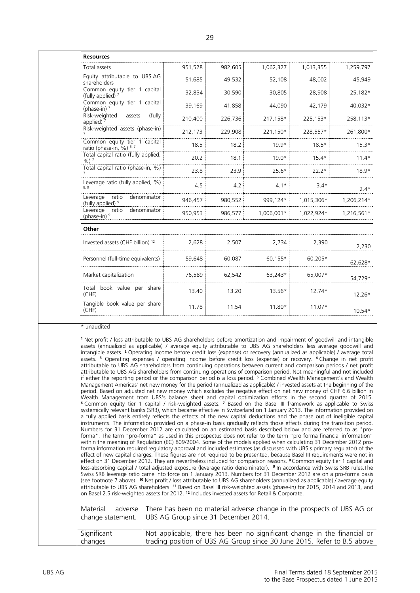| 951,528<br>982,605<br>1,062,327<br>1,013,355<br>Total assets<br>Equity attributable to UBS AG<br>51,685<br>49,532<br>52,108<br>48,002<br>shareholders<br>Common equity tier 1 capital<br>32,834<br>30,590<br>30,805<br>28,908<br>(fully applied) 7<br>Common equity tier 1 capital<br>39,169<br>41,858<br>42,179<br>44,090<br>(phase-in) $7$<br>Risk-weighted<br>(fully<br>assets<br>210,400<br>226,736<br>225,153*<br>217,158*<br>applied) <sup>7</sup><br>Risk-weighted assets (phase-in)<br>229,908<br>212,173<br>221,150*<br>228,557*<br>Common equity tier 1 capital<br>18.5<br>18.2<br>$19.9*$<br>$18.5*$<br>ratio (phase-in, %) 6, 7<br>Total capital ratio (fully applied,<br>20.2<br>18.1<br>$19.0*$<br>$15.4*$<br>$%$ ) 7<br>Total capital ratio (phase-in, %)<br>23.8<br>23.9<br>$25.6*$<br>$22.2*$<br>Leverage ratio (fully applied, %)<br>4.2<br>4.5<br>$4.1*$<br>$3.4*$<br>8,9<br>ratio<br>denominator<br>Leverage<br>946,457<br>980,552<br>999,124*<br>1,015,306*<br>(fully applied) <sup>9</sup><br>Leverage ratio<br>denominator<br>950,953<br>986.577<br>1.006.001*<br>1,022,924*<br>(phase-in) 9<br>Other<br>Invested assets (CHF billion) <sup>12</sup><br>2,628<br>2,507<br>2,734<br>2,390<br>Personnel (full-time equivalents)<br>59,648<br>60,087<br>60,155*<br>60,205*<br>76,589<br>65,007*<br>Market capitalization<br>62,542<br>63,243*<br>Total book value per share<br>13.40<br>13.56*<br>$12.74*$<br>13.20<br>(CHF)<br>Tangible book value per share<br>11.78<br>11.54<br>$11.07*$<br>$11.80*$<br>(CHF)<br>* unaudited<br><sup>1</sup> Net profit / loss attributable to UBS AG shareholders before amortization and impairment of goodwill and intangible<br>assets (annualized as applicable) / average equity attributable to UBS AG shareholders less average goodwill and<br>intangible assets. <sup>2</sup> Operating income before credit loss (expense) or recovery (annualized as applicable) / average total<br>assets. <sup>3</sup> Operating expenses / operating income before credit loss (expense) or recovery. <sup>4</sup> Change in net profit<br>attributable to UBS AG shareholders from continuing operations between current and comparison periods / net profit<br>attributable to UBS AG shareholders from continuing operations of comparison period. Not meaningful and not included<br>if either the reporting period or the comparison period is a loss period. <sup>5</sup> Combined Wealth Management's and Wealth<br>Management Americas' net new money for the period (annualized as applicable) / invested assets at the beginning of the<br>period. Based on adjusted net new money which excludes the negative effect on net new money of CHF 6.6 billion in<br>Wealth Management from UBS's balance sheet and capital optimization efforts in the second quarter of 2015.<br><sup>6</sup> Common equity tier 1 capital / risk-weighted assets. <sup>7</sup> Based on the Basel III framework as applicable to Swiss<br>systemically relevant banks (SRB), which became effective in Switzerland on 1 January 2013. The information provided on<br>a fully applied basis entirely reflects the effects of the new capital deductions and the phase out of ineligible capital<br>instruments. The information provided on a phase-in basis gradually reflects those effects during the transition period.<br>Numbers for 31 December 2012 are calculated on an estimated basis described below and are referred to as "pro-<br>forma". The term "pro-forma" as used in this prospectus does not refer to the term "pro forma financial information"<br>within the meaning of Regulation (EC) 809/2004. Some of the models applied when calculating 31 December 2012 pro-<br>forma information required requlatory approval and included estimates (as discussed with UBS's primary requlator) of the<br>effect of new capital charges. These figures are not required to be presented, because Basel III requirements were not in<br>effect on 31 December 2012. They are nevertheless included for comparison reasons. <sup>8</sup> Common equity tier 1 capital and<br>loss-absorbing capital / total adjusted exposure (leverage ratio denominator). <sup>9</sup> In accordance with Swiss SRB rules. The<br>Swiss SRB leverage ratio came into force on 1 January 2013. Numbers for 31 December 2012 are on a pro-forma basis<br>(see footnote 7 above). <sup>10</sup> Net profit / loss attributable to UBS AG shareholders (annualized as applicable) / average equity<br>attributable to UBS AG shareholders. 11 Based on Basel III risk-weighted assets (phase-in) for 2015, 2014 and 2013, and<br>on Basel 2.5 risk-weighted assets for 2012. <sup>12</sup> Includes invested assets for Retail & Corporate.<br>There has been no material adverse change in the prospects of UBS AG or<br>Material<br>adverse<br>change statement.<br>UBS AG Group since 31 December 2014.<br>Not applicable, there has been no significant change in the financial or | <b>Resources</b> |  |  |            |
|---------------------------------------------------------------------------------------------------------------------------------------------------------------------------------------------------------------------------------------------------------------------------------------------------------------------------------------------------------------------------------------------------------------------------------------------------------------------------------------------------------------------------------------------------------------------------------------------------------------------------------------------------------------------------------------------------------------------------------------------------------------------------------------------------------------------------------------------------------------------------------------------------------------------------------------------------------------------------------------------------------------------------------------------------------------------------------------------------------------------------------------------------------------------------------------------------------------------------------------------------------------------------------------------------------------------------------------------------------------------------------------------------------------------------------------------------------------------------------------------------------------------------------------------------------------------------------------------------------------------------------------------------------------------------------------------------------------------------------------------------------------------------------------------------------------------------------------------------------------------------------------------------------------------------------------------------------------------------------------------------------------------------------------------------------------------------------------------------------------------------------------------------------------------------------------------------------------------------------------------------------------------------------------------------------------------------------------------------------------------------------------------------------------------------------------------------------------------------------------------------------------------------------------------------------------------------------------------------------------------------------------------------------------------------------------------------------------------------------------------------------------------------------------------------------------------------------------------------------------------------------------------------------------------------------------------------------------------------------------------------------------------------------------------------------------------------------------------------------------------------------------------------------------------------------------------------------------------------------------------------------------------------------------------------------------------------------------------------------------------------------------------------------------------------------------------------------------------------------------------------------------------------------------------------------------------------------------------------------------------------------------------------------------------------------------------------------------------------------------------------------------------------------------------------------------------------------------------------------------------------------------------------------------------------------------------------------------------------------------------------------------------------------------------------------------------------------------------------------------------------------------------------------------------------------------------------------------------------------------------------------------------------------------------------------------------------------------------------------------------------------------------------------------------------------------------------------------------------------------------------------------------------------------------------------------------------------------------------------------------------------------------------------------------------------------------------------------------------------------------------------------------------------------------------------------------------------------------------------------------------------------------------------------------------------------------------------------------------------------------------------------------------------|------------------|--|--|------------|
|                                                                                                                                                                                                                                                                                                                                                                                                                                                                                                                                                                                                                                                                                                                                                                                                                                                                                                                                                                                                                                                                                                                                                                                                                                                                                                                                                                                                                                                                                                                                                                                                                                                                                                                                                                                                                                                                                                                                                                                                                                                                                                                                                                                                                                                                                                                                                                                                                                                                                                                                                                                                                                                                                                                                                                                                                                                                                                                                                                                                                                                                                                                                                                                                                                                                                                                                                                                                                                                                                                                                                                                                                                                                                                                                                                                                                                                                                                                                                                                                                                                                                                                                                                                                                                                                                                                                                                                                                                                                                                                                                                                                                                                                                                                                                                                                                                                                                                                                                                                                                                 |                  |  |  | 1,259,797  |
|                                                                                                                                                                                                                                                                                                                                                                                                                                                                                                                                                                                                                                                                                                                                                                                                                                                                                                                                                                                                                                                                                                                                                                                                                                                                                                                                                                                                                                                                                                                                                                                                                                                                                                                                                                                                                                                                                                                                                                                                                                                                                                                                                                                                                                                                                                                                                                                                                                                                                                                                                                                                                                                                                                                                                                                                                                                                                                                                                                                                                                                                                                                                                                                                                                                                                                                                                                                                                                                                                                                                                                                                                                                                                                                                                                                                                                                                                                                                                                                                                                                                                                                                                                                                                                                                                                                                                                                                                                                                                                                                                                                                                                                                                                                                                                                                                                                                                                                                                                                                                                 |                  |  |  | 45,949     |
|                                                                                                                                                                                                                                                                                                                                                                                                                                                                                                                                                                                                                                                                                                                                                                                                                                                                                                                                                                                                                                                                                                                                                                                                                                                                                                                                                                                                                                                                                                                                                                                                                                                                                                                                                                                                                                                                                                                                                                                                                                                                                                                                                                                                                                                                                                                                                                                                                                                                                                                                                                                                                                                                                                                                                                                                                                                                                                                                                                                                                                                                                                                                                                                                                                                                                                                                                                                                                                                                                                                                                                                                                                                                                                                                                                                                                                                                                                                                                                                                                                                                                                                                                                                                                                                                                                                                                                                                                                                                                                                                                                                                                                                                                                                                                                                                                                                                                                                                                                                                                                 |                  |  |  | 25,182*    |
|                                                                                                                                                                                                                                                                                                                                                                                                                                                                                                                                                                                                                                                                                                                                                                                                                                                                                                                                                                                                                                                                                                                                                                                                                                                                                                                                                                                                                                                                                                                                                                                                                                                                                                                                                                                                                                                                                                                                                                                                                                                                                                                                                                                                                                                                                                                                                                                                                                                                                                                                                                                                                                                                                                                                                                                                                                                                                                                                                                                                                                                                                                                                                                                                                                                                                                                                                                                                                                                                                                                                                                                                                                                                                                                                                                                                                                                                                                                                                                                                                                                                                                                                                                                                                                                                                                                                                                                                                                                                                                                                                                                                                                                                                                                                                                                                                                                                                                                                                                                                                                 |                  |  |  | 40,032*    |
|                                                                                                                                                                                                                                                                                                                                                                                                                                                                                                                                                                                                                                                                                                                                                                                                                                                                                                                                                                                                                                                                                                                                                                                                                                                                                                                                                                                                                                                                                                                                                                                                                                                                                                                                                                                                                                                                                                                                                                                                                                                                                                                                                                                                                                                                                                                                                                                                                                                                                                                                                                                                                                                                                                                                                                                                                                                                                                                                                                                                                                                                                                                                                                                                                                                                                                                                                                                                                                                                                                                                                                                                                                                                                                                                                                                                                                                                                                                                                                                                                                                                                                                                                                                                                                                                                                                                                                                                                                                                                                                                                                                                                                                                                                                                                                                                                                                                                                                                                                                                                                 |                  |  |  | 258,113*   |
|                                                                                                                                                                                                                                                                                                                                                                                                                                                                                                                                                                                                                                                                                                                                                                                                                                                                                                                                                                                                                                                                                                                                                                                                                                                                                                                                                                                                                                                                                                                                                                                                                                                                                                                                                                                                                                                                                                                                                                                                                                                                                                                                                                                                                                                                                                                                                                                                                                                                                                                                                                                                                                                                                                                                                                                                                                                                                                                                                                                                                                                                                                                                                                                                                                                                                                                                                                                                                                                                                                                                                                                                                                                                                                                                                                                                                                                                                                                                                                                                                                                                                                                                                                                                                                                                                                                                                                                                                                                                                                                                                                                                                                                                                                                                                                                                                                                                                                                                                                                                                                 |                  |  |  | 261,800*   |
|                                                                                                                                                                                                                                                                                                                                                                                                                                                                                                                                                                                                                                                                                                                                                                                                                                                                                                                                                                                                                                                                                                                                                                                                                                                                                                                                                                                                                                                                                                                                                                                                                                                                                                                                                                                                                                                                                                                                                                                                                                                                                                                                                                                                                                                                                                                                                                                                                                                                                                                                                                                                                                                                                                                                                                                                                                                                                                                                                                                                                                                                                                                                                                                                                                                                                                                                                                                                                                                                                                                                                                                                                                                                                                                                                                                                                                                                                                                                                                                                                                                                                                                                                                                                                                                                                                                                                                                                                                                                                                                                                                                                                                                                                                                                                                                                                                                                                                                                                                                                                                 |                  |  |  | $15.3*$    |
|                                                                                                                                                                                                                                                                                                                                                                                                                                                                                                                                                                                                                                                                                                                                                                                                                                                                                                                                                                                                                                                                                                                                                                                                                                                                                                                                                                                                                                                                                                                                                                                                                                                                                                                                                                                                                                                                                                                                                                                                                                                                                                                                                                                                                                                                                                                                                                                                                                                                                                                                                                                                                                                                                                                                                                                                                                                                                                                                                                                                                                                                                                                                                                                                                                                                                                                                                                                                                                                                                                                                                                                                                                                                                                                                                                                                                                                                                                                                                                                                                                                                                                                                                                                                                                                                                                                                                                                                                                                                                                                                                                                                                                                                                                                                                                                                                                                                                                                                                                                                                                 |                  |  |  | $11.4*$    |
|                                                                                                                                                                                                                                                                                                                                                                                                                                                                                                                                                                                                                                                                                                                                                                                                                                                                                                                                                                                                                                                                                                                                                                                                                                                                                                                                                                                                                                                                                                                                                                                                                                                                                                                                                                                                                                                                                                                                                                                                                                                                                                                                                                                                                                                                                                                                                                                                                                                                                                                                                                                                                                                                                                                                                                                                                                                                                                                                                                                                                                                                                                                                                                                                                                                                                                                                                                                                                                                                                                                                                                                                                                                                                                                                                                                                                                                                                                                                                                                                                                                                                                                                                                                                                                                                                                                                                                                                                                                                                                                                                                                                                                                                                                                                                                                                                                                                                                                                                                                                                                 |                  |  |  | $18.9*$    |
|                                                                                                                                                                                                                                                                                                                                                                                                                                                                                                                                                                                                                                                                                                                                                                                                                                                                                                                                                                                                                                                                                                                                                                                                                                                                                                                                                                                                                                                                                                                                                                                                                                                                                                                                                                                                                                                                                                                                                                                                                                                                                                                                                                                                                                                                                                                                                                                                                                                                                                                                                                                                                                                                                                                                                                                                                                                                                                                                                                                                                                                                                                                                                                                                                                                                                                                                                                                                                                                                                                                                                                                                                                                                                                                                                                                                                                                                                                                                                                                                                                                                                                                                                                                                                                                                                                                                                                                                                                                                                                                                                                                                                                                                                                                                                                                                                                                                                                                                                                                                                                 |                  |  |  | $2.4*$     |
|                                                                                                                                                                                                                                                                                                                                                                                                                                                                                                                                                                                                                                                                                                                                                                                                                                                                                                                                                                                                                                                                                                                                                                                                                                                                                                                                                                                                                                                                                                                                                                                                                                                                                                                                                                                                                                                                                                                                                                                                                                                                                                                                                                                                                                                                                                                                                                                                                                                                                                                                                                                                                                                                                                                                                                                                                                                                                                                                                                                                                                                                                                                                                                                                                                                                                                                                                                                                                                                                                                                                                                                                                                                                                                                                                                                                                                                                                                                                                                                                                                                                                                                                                                                                                                                                                                                                                                                                                                                                                                                                                                                                                                                                                                                                                                                                                                                                                                                                                                                                                                 |                  |  |  | 1,206,214* |
|                                                                                                                                                                                                                                                                                                                                                                                                                                                                                                                                                                                                                                                                                                                                                                                                                                                                                                                                                                                                                                                                                                                                                                                                                                                                                                                                                                                                                                                                                                                                                                                                                                                                                                                                                                                                                                                                                                                                                                                                                                                                                                                                                                                                                                                                                                                                                                                                                                                                                                                                                                                                                                                                                                                                                                                                                                                                                                                                                                                                                                                                                                                                                                                                                                                                                                                                                                                                                                                                                                                                                                                                                                                                                                                                                                                                                                                                                                                                                                                                                                                                                                                                                                                                                                                                                                                                                                                                                                                                                                                                                                                                                                                                                                                                                                                                                                                                                                                                                                                                                                 |                  |  |  | 1,216,561* |
|                                                                                                                                                                                                                                                                                                                                                                                                                                                                                                                                                                                                                                                                                                                                                                                                                                                                                                                                                                                                                                                                                                                                                                                                                                                                                                                                                                                                                                                                                                                                                                                                                                                                                                                                                                                                                                                                                                                                                                                                                                                                                                                                                                                                                                                                                                                                                                                                                                                                                                                                                                                                                                                                                                                                                                                                                                                                                                                                                                                                                                                                                                                                                                                                                                                                                                                                                                                                                                                                                                                                                                                                                                                                                                                                                                                                                                                                                                                                                                                                                                                                                                                                                                                                                                                                                                                                                                                                                                                                                                                                                                                                                                                                                                                                                                                                                                                                                                                                                                                                                                 |                  |  |  |            |
|                                                                                                                                                                                                                                                                                                                                                                                                                                                                                                                                                                                                                                                                                                                                                                                                                                                                                                                                                                                                                                                                                                                                                                                                                                                                                                                                                                                                                                                                                                                                                                                                                                                                                                                                                                                                                                                                                                                                                                                                                                                                                                                                                                                                                                                                                                                                                                                                                                                                                                                                                                                                                                                                                                                                                                                                                                                                                                                                                                                                                                                                                                                                                                                                                                                                                                                                                                                                                                                                                                                                                                                                                                                                                                                                                                                                                                                                                                                                                                                                                                                                                                                                                                                                                                                                                                                                                                                                                                                                                                                                                                                                                                                                                                                                                                                                                                                                                                                                                                                                                                 |                  |  |  | 2,230      |
|                                                                                                                                                                                                                                                                                                                                                                                                                                                                                                                                                                                                                                                                                                                                                                                                                                                                                                                                                                                                                                                                                                                                                                                                                                                                                                                                                                                                                                                                                                                                                                                                                                                                                                                                                                                                                                                                                                                                                                                                                                                                                                                                                                                                                                                                                                                                                                                                                                                                                                                                                                                                                                                                                                                                                                                                                                                                                                                                                                                                                                                                                                                                                                                                                                                                                                                                                                                                                                                                                                                                                                                                                                                                                                                                                                                                                                                                                                                                                                                                                                                                                                                                                                                                                                                                                                                                                                                                                                                                                                                                                                                                                                                                                                                                                                                                                                                                                                                                                                                                                                 |                  |  |  | 62,628*    |
|                                                                                                                                                                                                                                                                                                                                                                                                                                                                                                                                                                                                                                                                                                                                                                                                                                                                                                                                                                                                                                                                                                                                                                                                                                                                                                                                                                                                                                                                                                                                                                                                                                                                                                                                                                                                                                                                                                                                                                                                                                                                                                                                                                                                                                                                                                                                                                                                                                                                                                                                                                                                                                                                                                                                                                                                                                                                                                                                                                                                                                                                                                                                                                                                                                                                                                                                                                                                                                                                                                                                                                                                                                                                                                                                                                                                                                                                                                                                                                                                                                                                                                                                                                                                                                                                                                                                                                                                                                                                                                                                                                                                                                                                                                                                                                                                                                                                                                                                                                                                                                 |                  |  |  | 54,729*    |
|                                                                                                                                                                                                                                                                                                                                                                                                                                                                                                                                                                                                                                                                                                                                                                                                                                                                                                                                                                                                                                                                                                                                                                                                                                                                                                                                                                                                                                                                                                                                                                                                                                                                                                                                                                                                                                                                                                                                                                                                                                                                                                                                                                                                                                                                                                                                                                                                                                                                                                                                                                                                                                                                                                                                                                                                                                                                                                                                                                                                                                                                                                                                                                                                                                                                                                                                                                                                                                                                                                                                                                                                                                                                                                                                                                                                                                                                                                                                                                                                                                                                                                                                                                                                                                                                                                                                                                                                                                                                                                                                                                                                                                                                                                                                                                                                                                                                                                                                                                                                                                 |                  |  |  | $12.26*$   |
|                                                                                                                                                                                                                                                                                                                                                                                                                                                                                                                                                                                                                                                                                                                                                                                                                                                                                                                                                                                                                                                                                                                                                                                                                                                                                                                                                                                                                                                                                                                                                                                                                                                                                                                                                                                                                                                                                                                                                                                                                                                                                                                                                                                                                                                                                                                                                                                                                                                                                                                                                                                                                                                                                                                                                                                                                                                                                                                                                                                                                                                                                                                                                                                                                                                                                                                                                                                                                                                                                                                                                                                                                                                                                                                                                                                                                                                                                                                                                                                                                                                                                                                                                                                                                                                                                                                                                                                                                                                                                                                                                                                                                                                                                                                                                                                                                                                                                                                                                                                                                                 |                  |  |  | $10.54*$   |
|                                                                                                                                                                                                                                                                                                                                                                                                                                                                                                                                                                                                                                                                                                                                                                                                                                                                                                                                                                                                                                                                                                                                                                                                                                                                                                                                                                                                                                                                                                                                                                                                                                                                                                                                                                                                                                                                                                                                                                                                                                                                                                                                                                                                                                                                                                                                                                                                                                                                                                                                                                                                                                                                                                                                                                                                                                                                                                                                                                                                                                                                                                                                                                                                                                                                                                                                                                                                                                                                                                                                                                                                                                                                                                                                                                                                                                                                                                                                                                                                                                                                                                                                                                                                                                                                                                                                                                                                                                                                                                                                                                                                                                                                                                                                                                                                                                                                                                                                                                                                                                 |                  |  |  |            |
| trading position of UBS AG Group since 30 June 2015. Refer to B.5 above<br>changes                                                                                                                                                                                                                                                                                                                                                                                                                                                                                                                                                                                                                                                                                                                                                                                                                                                                                                                                                                                                                                                                                                                                                                                                                                                                                                                                                                                                                                                                                                                                                                                                                                                                                                                                                                                                                                                                                                                                                                                                                                                                                                                                                                                                                                                                                                                                                                                                                                                                                                                                                                                                                                                                                                                                                                                                                                                                                                                                                                                                                                                                                                                                                                                                                                                                                                                                                                                                                                                                                                                                                                                                                                                                                                                                                                                                                                                                                                                                                                                                                                                                                                                                                                                                                                                                                                                                                                                                                                                                                                                                                                                                                                                                                                                                                                                                                                                                                                                                              | Significant      |  |  |            |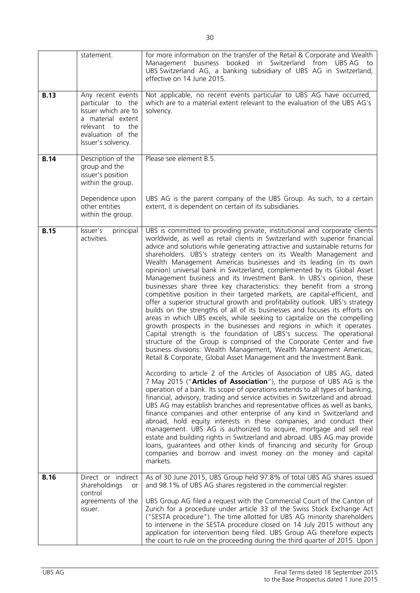|             | statement.                                                                                                                                       | for more information on the transfer of the Retail & Corporate and Wealth<br>Management business booked in Switzerland from UBSAG to<br>UBS Switzerland AG, a banking subsidiary of UBS AG in Switzerland,<br>effective on 14 June 2015.                                                                                                                                                                                                                                                                                                                                                                                                                                                                                                                                                                                                                                                                                                                                                                                                                                                                                                                                                                                                                                                                                                                                                                                                                                                                                                                                                                                                                                                                                                                                                                                                                                                                                                                                                                                                                                                                                                                                      |
|-------------|--------------------------------------------------------------------------------------------------------------------------------------------------|-------------------------------------------------------------------------------------------------------------------------------------------------------------------------------------------------------------------------------------------------------------------------------------------------------------------------------------------------------------------------------------------------------------------------------------------------------------------------------------------------------------------------------------------------------------------------------------------------------------------------------------------------------------------------------------------------------------------------------------------------------------------------------------------------------------------------------------------------------------------------------------------------------------------------------------------------------------------------------------------------------------------------------------------------------------------------------------------------------------------------------------------------------------------------------------------------------------------------------------------------------------------------------------------------------------------------------------------------------------------------------------------------------------------------------------------------------------------------------------------------------------------------------------------------------------------------------------------------------------------------------------------------------------------------------------------------------------------------------------------------------------------------------------------------------------------------------------------------------------------------------------------------------------------------------------------------------------------------------------------------------------------------------------------------------------------------------------------------------------------------------------------------------------------------------|
| <b>B.13</b> | Any recent events<br>particular to the<br>Issuer which are to<br>a material extent<br>relevant to the<br>evaluation of the<br>Issuer's solvency. | Not applicable, no recent events particular to UBS AG have occurred,<br>which are to a material extent relevant to the evaluation of the UBS AG's<br>solvency.                                                                                                                                                                                                                                                                                                                                                                                                                                                                                                                                                                                                                                                                                                                                                                                                                                                                                                                                                                                                                                                                                                                                                                                                                                                                                                                                                                                                                                                                                                                                                                                                                                                                                                                                                                                                                                                                                                                                                                                                                |
| <b>B.14</b> | Description of the<br>group and the<br>issuer's position<br>within the group.                                                                    | Please see element B.5.                                                                                                                                                                                                                                                                                                                                                                                                                                                                                                                                                                                                                                                                                                                                                                                                                                                                                                                                                                                                                                                                                                                                                                                                                                                                                                                                                                                                                                                                                                                                                                                                                                                                                                                                                                                                                                                                                                                                                                                                                                                                                                                                                       |
|             | Dependence upon<br>other entities<br>within the group.                                                                                           | UBS AG is the parent company of the UBS Group. As such, to a certain<br>extent, it is dependent on certain of its subsidiaries.                                                                                                                                                                                                                                                                                                                                                                                                                                                                                                                                                                                                                                                                                                                                                                                                                                                                                                                                                                                                                                                                                                                                                                                                                                                                                                                                                                                                                                                                                                                                                                                                                                                                                                                                                                                                                                                                                                                                                                                                                                               |
| <b>B.15</b> | Issuer's<br>principal<br>activities.                                                                                                             | UBS is committed to providing private, institutional and corporate clients<br>worldwide, as well as retail clients in Switzerland with superior financial<br>advice and solutions while generating attractive and sustainable returns for<br>shareholders. UBS's strategy centers on its Wealth Management and<br>Wealth Management Americas businesses and its leading (in its own<br>opinion) universal bank in Switzerland, complemented by its Global Asset<br>Management business and its Investment Bank. In UBS's opinion, these<br>businesses share three key characteristics: they benefit from a strong<br>competitive position in their targeted markets, are capital-efficient, and<br>offer a superior structural growth and profitability outlook. UBS's strategy<br>builds on the strengths of all of its businesses and focuses its efforts on<br>areas in which UBS excels, while seeking to capitalize on the compelling<br>growth prospects in the businesses and regions in which it operates.<br>Capital strength is the foundation of UBS's success. The operational<br>structure of the Group is comprised of the Corporate Center and five<br>business divisions: Wealth Management, Wealth Management Americas,<br>Retail & Corporate, Global Asset Management and the Investment Bank.<br>According to article 2 of the Articles of Association of UBS AG, dated<br>7 May 2015 ("Articles of Association"), the purpose of UBS AG is the<br>operation of a bank. Its scope of operations extends to all types of banking,<br>financial, advisory, trading and service activities in Switzerland and abroad.<br>UBS AG may establish branches and representative offices as well as banks,<br>finance companies and other enterprise of any kind in Switzerland and<br>abroad, hold equity interests in these companies, and conduct their<br>management. UBS AG is authorized to acquire, mortgage and sell real<br>estate and building rights in Switzerland and abroad. UBS AG may provide<br>loans, guarantees and other kinds of financing and security for Group<br>companies and borrow and invest money on the money and capital<br>markets. |
| <b>B.16</b> | Direct or indirect<br>shareholdings<br>or<br>control<br>agreements of the<br>issuer.                                                             | As of 30 June 2015, UBS Group held 97.8% of total UBS AG shares issued<br>and 98.1% of UBS AG shares registered in the commercial register.<br>UBS Group AG filed a request with the Commercial Court of the Canton of<br>Zurich for a procedure under article 33 of the Swiss Stock Exchange Act<br>("SESTA procedure"). The time allotted for UBS AG minority shareholders<br>to intervene in the SESTA procedure closed on 14 July 2015 without any<br>application for intervention being filed. UBS Group AG therefore expects<br>the court to rule on the proceeding during the third quarter of 2015. Upon                                                                                                                                                                                                                                                                                                                                                                                                                                                                                                                                                                                                                                                                                                                                                                                                                                                                                                                                                                                                                                                                                                                                                                                                                                                                                                                                                                                                                                                                                                                                                              |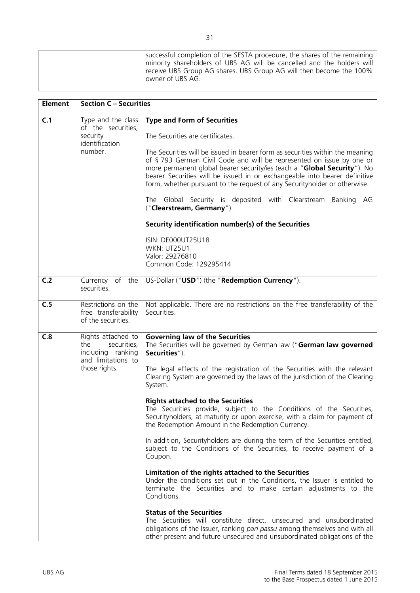|  | owner of UBS AG. | successful completion of the SESTA procedure, the shares of the remaining<br>minority shareholders of UBS AG will be cancelled and the holders will<br>receive UBS Group AG shares. UBS Group AG will then become the 100% |
|--|------------------|----------------------------------------------------------------------------------------------------------------------------------------------------------------------------------------------------------------------------|
|--|------------------|----------------------------------------------------------------------------------------------------------------------------------------------------------------------------------------------------------------------------|

| <b>Element</b> | <b>Section C - Securities</b>                                                                        |                                                                                                                                                                                                                                                                                                                                                                                                                                                                                                                                                                                                                                                                                                                                                                                                                                                                                                                                                                                                                                                                                                                                                                                                                             |
|----------------|------------------------------------------------------------------------------------------------------|-----------------------------------------------------------------------------------------------------------------------------------------------------------------------------------------------------------------------------------------------------------------------------------------------------------------------------------------------------------------------------------------------------------------------------------------------------------------------------------------------------------------------------------------------------------------------------------------------------------------------------------------------------------------------------------------------------------------------------------------------------------------------------------------------------------------------------------------------------------------------------------------------------------------------------------------------------------------------------------------------------------------------------------------------------------------------------------------------------------------------------------------------------------------------------------------------------------------------------|
| C.1            | Type and the class<br>of the securities,<br>security<br>identification<br>number.                    | <b>Type and Form of Securities</b><br>The Securities are certificates.<br>The Securities will be issued in bearer form as securities within the meaning<br>of § 793 German Civil Code and will be represented on issue by one or<br>more permanent global bearer security/ies (each a "Global Security"). No<br>bearer Securities will be issued in or exchangeable into bearer definitive<br>form, whether pursuant to the request of any Securityholder or otherwise.<br>The Global Security is deposited with Clearstream Banking AG<br>("Clearstream, Germany").<br>Security identification number(s) of the Securities                                                                                                                                                                                                                                                                                                                                                                                                                                                                                                                                                                                                 |
|                |                                                                                                      | ISIN: DE000UT25U18<br>WKN: UT25U1<br>Valor: 29276810<br>Common Code: 129295414                                                                                                                                                                                                                                                                                                                                                                                                                                                                                                                                                                                                                                                                                                                                                                                                                                                                                                                                                                                                                                                                                                                                              |
| C.2            | Currency of the<br>securities.                                                                       | US-Dollar ("USD") (the "Redemption Currency").                                                                                                                                                                                                                                                                                                                                                                                                                                                                                                                                                                                                                                                                                                                                                                                                                                                                                                                                                                                                                                                                                                                                                                              |
| C.5            | Restrictions on the<br>free transferability<br>of the securities.                                    | Not applicable. There are no restrictions on the free transferability of the<br>Securities.                                                                                                                                                                                                                                                                                                                                                                                                                                                                                                                                                                                                                                                                                                                                                                                                                                                                                                                                                                                                                                                                                                                                 |
| C.8            | Rights attached to<br>the<br>securities,<br>including ranking<br>and limitations to<br>those rights. | <b>Governing law of the Securities</b><br>The Securities will be governed by German law ("German law governed<br>Securities").<br>The legal effects of the registration of the Securities with the relevant<br>Clearing System are governed by the laws of the jurisdiction of the Clearing<br>System.<br><b>Rights attached to the Securities</b><br>The Securities provide, subject to the Conditions of the Securities,<br>Securityholders, at maturity or upon exercise, with a claim for payment of<br>the Redemption Amount in the Redemption Currency.<br>In addition, Securityholders are during the term of the Securities entitled,<br>subject to the Conditions of the Securities, to receive payment of a<br>Coupon.<br>Limitation of the rights attached to the Securities<br>Under the conditions set out in the Conditions, the Issuer is entitled to<br>terminate the Securities and to make certain adjustments to the<br>Conditions.<br><b>Status of the Securities</b><br>The Securities will constitute direct, unsecured and unsubordinated<br>obligations of the Issuer, ranking pari passu among themselves and with all<br>other present and future unsecured and unsubordinated obligations of the |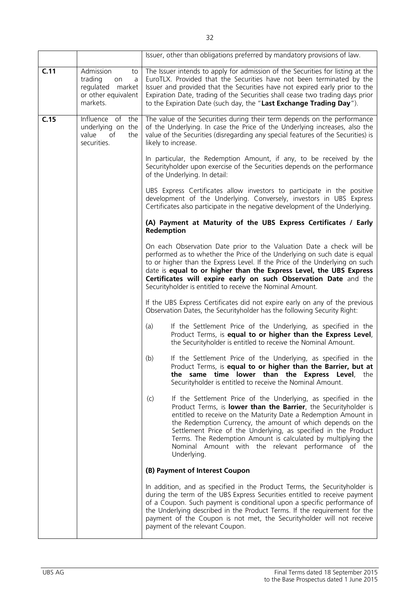|      |                                                                                                 | Issuer, other than obligations preferred by mandatory provisions of law.                                                                                                                                                                                                                                                                                                                                                                                                             |
|------|-------------------------------------------------------------------------------------------------|--------------------------------------------------------------------------------------------------------------------------------------------------------------------------------------------------------------------------------------------------------------------------------------------------------------------------------------------------------------------------------------------------------------------------------------------------------------------------------------|
| C.11 | Admission<br>to<br>trading<br>on<br>a<br>regulated<br>market<br>or other equivalent<br>markets. | The Issuer intends to apply for admission of the Securities for listing at the<br>EuroTLX. Provided that the Securities have not been terminated by the<br>Issuer and provided that the Securities have not expired early prior to the<br>Expiration Date, trading of the Securities shall cease two trading days prior<br>to the Expiration Date (such day, the "Last Exchange Trading Day").                                                                                       |
| C.15 | Influence of the<br>underlying on the<br>of<br>value<br>the<br>securities.                      | The value of the Securities during their term depends on the performance<br>of the Underlying. In case the Price of the Underlying increases, also the<br>value of the Securities (disregarding any special features of the Securities) is<br>likely to increase.                                                                                                                                                                                                                    |
|      |                                                                                                 | In particular, the Redemption Amount, if any, to be received by the<br>Securityholder upon exercise of the Securities depends on the performance<br>of the Underlying. In detail:                                                                                                                                                                                                                                                                                                    |
|      |                                                                                                 | UBS Express Certificates allow investors to participate in the positive<br>development of the Underlying. Conversely, investors in UBS Express<br>Certificates also participate in the negative development of the Underlying.                                                                                                                                                                                                                                                       |
|      |                                                                                                 | (A) Payment at Maturity of the UBS Express Certificates / Early<br>Redemption                                                                                                                                                                                                                                                                                                                                                                                                        |
|      |                                                                                                 | On each Observation Date prior to the Valuation Date a check will be<br>performed as to whether the Price of the Underlying on such date is equal<br>to or higher than the Express Level. If the Price of the Underlying on such<br>date is equal to or higher than the Express Level, the UBS Express<br>Certificates will expire early on such Observation Date and the<br>Securityholder is entitled to receive the Nominal Amount.                                               |
|      |                                                                                                 | If the UBS Express Certificates did not expire early on any of the previous<br>Observation Dates, the Securityholder has the following Security Right:                                                                                                                                                                                                                                                                                                                               |
|      |                                                                                                 | If the Settlement Price of the Underlying, as specified in the<br>(a)<br>Product Terms, is equal to or higher than the Express Level,<br>the Securityholder is entitled to receive the Nominal Amount.                                                                                                                                                                                                                                                                               |
|      |                                                                                                 | If the Settlement Price of the Underlying, as specified in the<br>(b)<br>Product Terms, is equal to or higher than the Barrier, but at<br>the same time lower than the Express Level, the<br>Securityholder is entitled to receive the Nominal Amount.                                                                                                                                                                                                                               |
|      |                                                                                                 | If the Settlement Price of the Underlying, as specified in the<br>(c)<br>Product Terms, is lower than the Barrier, the Securityholder is<br>entitled to receive on the Maturity Date a Redemption Amount in<br>the Redemption Currency, the amount of which depends on the<br>Settlement Price of the Underlying, as specified in the Product<br>Terms. The Redemption Amount is calculated by multiplying the<br>Nominal Amount with the relevant performance of the<br>Underlying. |
|      |                                                                                                 | (B) Payment of Interest Coupon                                                                                                                                                                                                                                                                                                                                                                                                                                                       |
|      |                                                                                                 | In addition, and as specified in the Product Terms, the Security holder is<br>during the term of the UBS Express Securities entitled to receive payment<br>of a Coupon. Such payment is conditional upon a specific performance of<br>the Underlying described in the Product Terms. If the requirement for the<br>payment of the Coupon is not met, the Securityholder will not receive<br>payment of the relevant Coupon.                                                          |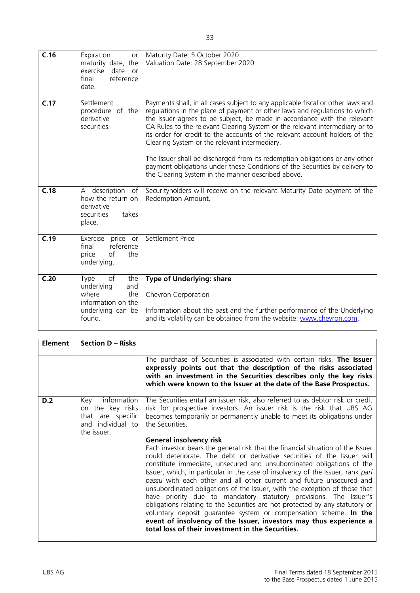| C.16            | Expiration<br><b>or</b>                                                                 | Maturity Date: 5 October 2020                                                                                                                                                                                                                                                                                                                                                                                                                            |
|-----------------|-----------------------------------------------------------------------------------------|----------------------------------------------------------------------------------------------------------------------------------------------------------------------------------------------------------------------------------------------------------------------------------------------------------------------------------------------------------------------------------------------------------------------------------------------------------|
|                 | maturity date, the                                                                      | Valuation Date: 28 September 2020                                                                                                                                                                                                                                                                                                                                                                                                                        |
|                 | date or<br>exercise                                                                     |                                                                                                                                                                                                                                                                                                                                                                                                                                                          |
|                 | reference<br>final                                                                      |                                                                                                                                                                                                                                                                                                                                                                                                                                                          |
|                 | date.                                                                                   |                                                                                                                                                                                                                                                                                                                                                                                                                                                          |
|                 |                                                                                         |                                                                                                                                                                                                                                                                                                                                                                                                                                                          |
| C.17            | Settlement<br>procedure of the<br>derivative<br>securities.                             | Payments shall, in all cases subject to any applicable fiscal or other laws and<br>regulations in the place of payment or other laws and regulations to which<br>the Issuer agrees to be subject, be made in accordance with the relevant<br>CA Rules to the relevant Clearing System or the relevant intermediary or to<br>its order for credit to the accounts of the relevant account holders of the<br>Clearing System or the relevant intermediary. |
|                 |                                                                                         | The Issuer shall be discharged from its redemption obligations or any other<br>payment obligations under these Conditions of the Securities by delivery to<br>the Clearing System in the manner described above.                                                                                                                                                                                                                                         |
| C.18            | A description<br>of<br>how the return on<br>derivative<br>securities<br>takes<br>place. | Securityholders will receive on the relevant Maturity Date payment of the<br>Redemption Amount.                                                                                                                                                                                                                                                                                                                                                          |
| C.19            | Exercise<br>price<br>or                                                                 | Settlement Price                                                                                                                                                                                                                                                                                                                                                                                                                                         |
|                 | reference<br>final<br>of<br>price<br>the<br>underlying.                                 |                                                                                                                                                                                                                                                                                                                                                                                                                                                          |
| C <sub>20</sub> | Type<br>of<br>the                                                                       | Type of Underlying: share                                                                                                                                                                                                                                                                                                                                                                                                                                |
|                 | underlying<br>and                                                                       |                                                                                                                                                                                                                                                                                                                                                                                                                                                          |
|                 | where<br>the                                                                            | Chevron Corporation                                                                                                                                                                                                                                                                                                                                                                                                                                      |
|                 | information on the<br>underlying can be<br>found.                                       | Information about the past and the further performance of the Underlying<br>and its volatility can be obtained from the website: www.chevron.com.                                                                                                                                                                                                                                                                                                        |
|                 |                                                                                         |                                                                                                                                                                                                                                                                                                                                                                                                                                                          |
| EI.             | C <sub>refion</sub><br><b>Dicks</b>                                                     |                                                                                                                                                                                                                                                                                                                                                                                                                                                          |

| Element | <b>Section D – Risks</b>                                                                        |                                                                                                                                                                                                                                                                                                                                                                                                                                                                                                                                                                                                                                                                                                                                                                                                                                                                                                                                                                                                                                                                                                                                |
|---------|-------------------------------------------------------------------------------------------------|--------------------------------------------------------------------------------------------------------------------------------------------------------------------------------------------------------------------------------------------------------------------------------------------------------------------------------------------------------------------------------------------------------------------------------------------------------------------------------------------------------------------------------------------------------------------------------------------------------------------------------------------------------------------------------------------------------------------------------------------------------------------------------------------------------------------------------------------------------------------------------------------------------------------------------------------------------------------------------------------------------------------------------------------------------------------------------------------------------------------------------|
|         |                                                                                                 | The purchase of Securities is associated with certain risks. <b>The Issuer</b><br>expressly points out that the description of the risks associated<br>with an investment in the Securities describes only the key risks<br>which were known to the Issuer at the date of the Base Prospectus.                                                                                                                                                                                                                                                                                                                                                                                                                                                                                                                                                                                                                                                                                                                                                                                                                                 |
| D.2     | information<br>Key<br>on the key risks<br>that are specific<br>and individual to<br>the issuer. | The Securities entail an issuer risk, also referred to as debtor risk or credit<br>risk for prospective investors. An issuer risk is the risk that UBS AG<br>becomes temporarily or permanently unable to meet its obligations under<br>the Securities.<br><b>General insolvency risk</b><br>Each investor bears the general risk that the financial situation of the Issuer<br>could deteriorate. The debt or derivative securities of the Issuer will<br>constitute immediate, unsecured and unsubordinated obligations of the<br>Issuer, which, in particular in the case of insolvency of the Issuer, rank pari<br>passu with each other and all other current and future unsecured and<br>unsubordinated obligations of the Issuer, with the exception of those that<br>have priority due to mandatory statutory provisions. The Issuer's<br>obligations relating to the Securities are not protected by any statutory or<br>voluntary deposit quarantee system or compensation scheme. In the<br>event of insolvency of the Issuer, investors may thus experience a<br>total loss of their investment in the Securities. |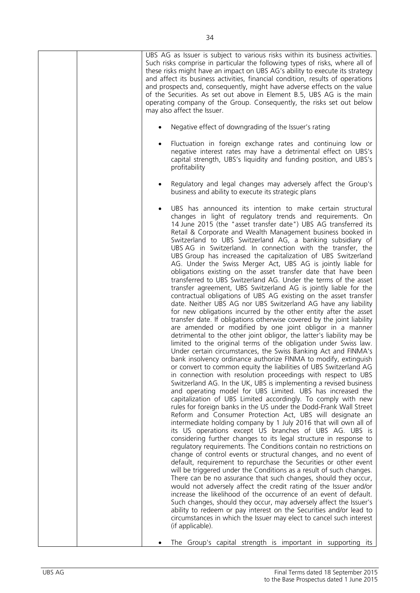| UBS AG as Issuer is subject to various risks within its business activities.<br>Such risks comprise in particular the following types of risks, where all of<br>these risks might have an impact on UBS AG's ability to execute its strategy<br>and affect its business activities, financial condition, results of operations<br>and prospects and, consequently, might have adverse effects on the value<br>of the Securities. As set out above in Element B.5, UBS AG is the main<br>operating company of the Group. Consequently, the risks set out below<br>may also affect the Issuer.<br>Negative effect of downgrading of the Issuer's rating<br>$\bullet$<br>Fluctuation in foreign exchange rates and continuing low or<br>$\bullet$<br>negative interest rates may have a detrimental effect on UBS's<br>capital strength, UBS's liquidity and funding position, and UBS's<br>profitability<br>Regulatory and legal changes may adversely affect the Group's<br>business and ability to execute its strategic plans<br>UBS has announced its intention to make certain structural<br>changes in light of regulatory trends and requirements. On<br>14 June 2015 (the "asset transfer date") UBS AG transferred its<br>Retail & Corporate and Wealth Management business booked in<br>Switzerland to UBS Switzerland AG, a banking subsidiary of<br>UBS AG in Switzerland. In connection with the transfer, the<br>UBS Group has increased the capitalization of UBS Switzerland<br>AG. Under the Swiss Merger Act, UBS AG is jointly liable for<br>obligations existing on the asset transfer date that have been<br>transferred to UBS Switzerland AG. Under the terms of the asset<br>transfer agreement, UBS Switzerland AG is jointly liable for the |
|---------------------------------------------------------------------------------------------------------------------------------------------------------------------------------------------------------------------------------------------------------------------------------------------------------------------------------------------------------------------------------------------------------------------------------------------------------------------------------------------------------------------------------------------------------------------------------------------------------------------------------------------------------------------------------------------------------------------------------------------------------------------------------------------------------------------------------------------------------------------------------------------------------------------------------------------------------------------------------------------------------------------------------------------------------------------------------------------------------------------------------------------------------------------------------------------------------------------------------------------------------------------------------------------------------------------------------------------------------------------------------------------------------------------------------------------------------------------------------------------------------------------------------------------------------------------------------------------------------------------------------------------------------------------------------------------------------------------------------------------------------------------|
| contractual obligations of UBS AG existing on the asset transfer<br>date. Neither UBS AG nor UBS Switzerland AG have any liability<br>for new obligations incurred by the other entity after the asset<br>transfer date. If obligations otherwise covered by the joint liability<br>are amended or modified by one joint obligor in a manner<br>detrimental to the other joint obligor, the latter's liability may be<br>limited to the original terms of the obligation under Swiss law.<br>Under certain circumstances, the Swiss Banking Act and FINMA's<br>bank insolvency ordinance authorize FINMA to modify, extinguish<br>or convert to common equity the liabilities of UBS Switzerland AG<br>in connection with resolution proceedings with respect to UBS<br>Switzerland AG. In the UK, UBS is implementing a revised business<br>and operating model for UBS Limited. UBS has increased the<br>capitalization of UBS Limited accordingly. To comply with new<br>rules for foreign banks in the US under the Dodd-Frank Wall Street<br>Reform and Consumer Protection Act, UBS will designate an<br>intermediate holding company by 1 July 2016 that will own all of<br>its US operations except US branches of UBS AG. UBS is<br>considering further changes to its legal structure in response to<br>regulatory requirements. The Conditions contain no restrictions on<br>change of control events or structural changes, and no event of                                                                                                                                                                                                                                                                                                             |
| default, requirement to repurchase the Securities or other event<br>will be triggered under the Conditions as a result of such changes.<br>There can be no assurance that such changes, should they occur,<br>would not adversely affect the credit rating of the Issuer and/or<br>increase the likelihood of the occurrence of an event of default.<br>Such changes, should they occur, may adversely affect the Issuer's<br>ability to redeem or pay interest on the Securities and/or lead to<br>circumstances in which the Issuer may elect to cancel such interest<br>(if applicable).<br>The Group's capital strength is important in supporting its                                                                                                                                                                                                                                                                                                                                                                                                                                                                                                                                                                                                                                                                                                                                                                                                                                                                                                                                                                                                                                                                                                          |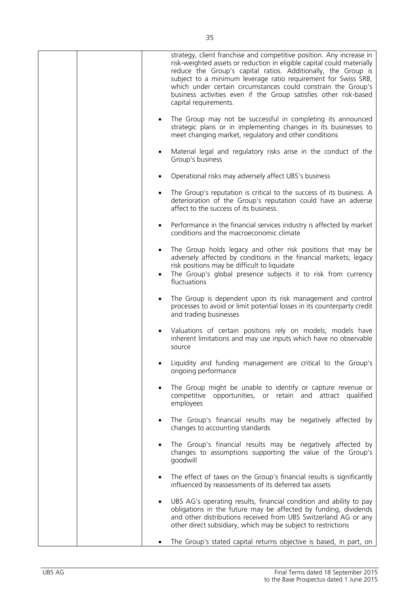| strategy, client franchise and competitive position. Any increase in<br>risk-weighted assets or reduction in eligible capital could materially<br>reduce the Group's capital ratios. Additionally, the Group is<br>subject to a minimum leverage ratio requirement for Swiss SRB,<br>which under certain circumstances could constrain the Group's<br>business activities even if the Group satisfies other risk-based<br>capital requirements. |
|-------------------------------------------------------------------------------------------------------------------------------------------------------------------------------------------------------------------------------------------------------------------------------------------------------------------------------------------------------------------------------------------------------------------------------------------------|
| The Group may not be successful in completing its announced<br>$\bullet$<br>strategic plans or in implementing changes in its businesses to<br>meet changing market, regulatory and other conditions                                                                                                                                                                                                                                            |
| Material legal and regulatory risks arise in the conduct of the<br>$\bullet$<br>Group's business                                                                                                                                                                                                                                                                                                                                                |
| Operational risks may adversely affect UBS's business                                                                                                                                                                                                                                                                                                                                                                                           |
| The Group's reputation is critical to the success of its business. A<br>$\bullet$<br>deterioration of the Group's reputation could have an adverse<br>affect to the success of its business.                                                                                                                                                                                                                                                    |
| Performance in the financial services industry is affected by market<br>$\bullet$<br>conditions and the macroeconomic climate                                                                                                                                                                                                                                                                                                                   |
| The Group holds legacy and other risk positions that may be<br>$\bullet$<br>adversely affected by conditions in the financial markets; legacy<br>risk positions may be difficult to liquidate<br>The Group's global presence subjects it to risk from currency<br>$\bullet$<br>fluctuations                                                                                                                                                     |
| The Group is dependent upon its risk management and control<br>$\bullet$<br>processes to avoid or limit potential losses in its counterparty credit<br>and trading businesses                                                                                                                                                                                                                                                                   |
| Valuations of certain positions rely on models; models have<br>$\bullet$<br>inherent limitations and may use inputs which have no observable<br>source                                                                                                                                                                                                                                                                                          |
| Liquidity and funding management are critical to the Group's<br>ongoing performance                                                                                                                                                                                                                                                                                                                                                             |
| The Group might be unable to identify or capture revenue or<br>$\bullet$<br>opportunities, or retain and attract qualified<br>competitive<br>employees                                                                                                                                                                                                                                                                                          |
| The Group's financial results may be negatively affected by<br>$\bullet$<br>changes to accounting standards                                                                                                                                                                                                                                                                                                                                     |
| The Group's financial results may be negatively affected by<br>$\bullet$<br>changes to assumptions supporting the value of the Group's<br>goodwill                                                                                                                                                                                                                                                                                              |
| The effect of taxes on the Group's financial results is significantly<br>$\bullet$<br>influenced by reassessments of its deferred tax assets                                                                                                                                                                                                                                                                                                    |
| UBS AG's operating results, financial condition and ability to pay<br>$\bullet$<br>obligations in the future may be affected by funding, dividends<br>and other distributions received from UBS Switzerland AG or any<br>other direct subsidiary, which may be subject to restrictions                                                                                                                                                          |
| The Group's stated capital returns objective is based, in part, on                                                                                                                                                                                                                                                                                                                                                                              |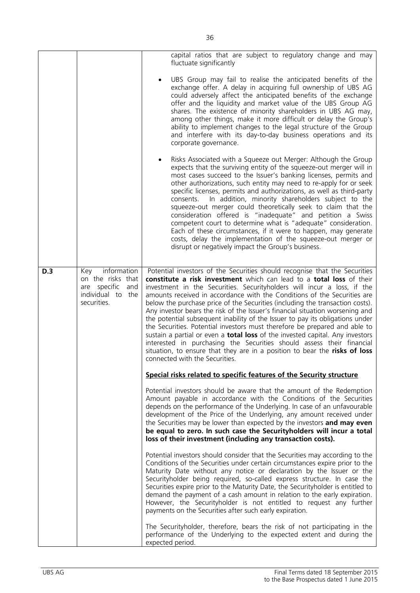|     |                                                                                                       | capital ratios that are subject to regulatory change and may<br>fluctuate significantly                                                                                                                                                                                                                                                                                                                                                                                                                                                                                                                                                                                                                                                                                                                                                                                                                                     |
|-----|-------------------------------------------------------------------------------------------------------|-----------------------------------------------------------------------------------------------------------------------------------------------------------------------------------------------------------------------------------------------------------------------------------------------------------------------------------------------------------------------------------------------------------------------------------------------------------------------------------------------------------------------------------------------------------------------------------------------------------------------------------------------------------------------------------------------------------------------------------------------------------------------------------------------------------------------------------------------------------------------------------------------------------------------------|
|     |                                                                                                       | UBS Group may fail to realise the anticipated benefits of the<br>exchange offer. A delay in acquiring full ownership of UBS AG<br>could adversely affect the anticipated benefits of the exchange<br>offer and the liquidity and market value of the UBS Group AG<br>shares. The existence of minority shareholders in UBS AG may,<br>among other things, make it more difficult or delay the Group's<br>ability to implement changes to the legal structure of the Group<br>and interfere with its day-to-day business operations and its<br>corporate governance.                                                                                                                                                                                                                                                                                                                                                         |
|     |                                                                                                       | Risks Associated with a Squeeze out Merger: Although the Group<br>expects that the surviving entity of the squeeze-out merger will in<br>most cases succeed to the Issuer's banking licenses, permits and<br>other authorizations, such entity may need to re-apply for or seek<br>specific licenses, permits and authorizations, as well as third-party<br>In addition, minority shareholders subject to the<br>consents.<br>squeeze-out merger could theoretically seek to claim that the<br>consideration offered is "inadequate" and petition a Swiss<br>competent court to determine what is "adequate" consideration.<br>Each of these circumstances, if it were to happen, may generate<br>costs, delay the implementation of the squeeze-out merger or<br>disrupt or negatively impact the Group's business.                                                                                                        |
| D.3 | information<br>Key<br>on the risks that<br>are specific<br>and<br>individual to<br>the<br>securities. | Potential investors of the Securities should recognise that the Securities<br>constitute a risk investment which can lead to a total loss of their<br>investment in the Securities. Securityholders will incur a loss, if the<br>amounts received in accordance with the Conditions of the Securities are<br>below the purchase price of the Securities (including the transaction costs).<br>Any investor bears the risk of the Issuer's financial situation worsening and<br>the potential subsequent inability of the Issuer to pay its obligations under<br>the Securities. Potential investors must therefore be prepared and able to<br>sustain a partial or even a <b>total loss</b> of the invested capital. Any investors<br>interested in purchasing the Securities should assess their financial<br>situation, to ensure that they are in a position to bear the risks of loss<br>connected with the Securities. |
|     |                                                                                                       | Special risks related to specific features of the Security structure                                                                                                                                                                                                                                                                                                                                                                                                                                                                                                                                                                                                                                                                                                                                                                                                                                                        |
|     |                                                                                                       | Potential investors should be aware that the amount of the Redemption<br>Amount payable in accordance with the Conditions of the Securities<br>depends on the performance of the Underlying. In case of an unfavourable<br>development of the Price of the Underlying, any amount received under<br>the Securities may be lower than expected by the investors and may even<br>be equal to zero. In such case the Securityholders will incur a total<br>loss of their investment (including any transaction costs).                                                                                                                                                                                                                                                                                                                                                                                                         |
|     |                                                                                                       | Potential investors should consider that the Securities may according to the<br>Conditions of the Securities under certain circumstances expire prior to the<br>Maturity Date without any notice or declaration by the Issuer or the<br>Securityholder being required, so-called express structure. In case the<br>Securities expire prior to the Maturity Date, the Securityholder is entitled to<br>demand the payment of a cash amount in relation to the early expiration.<br>However, the Securityholder is not entitled to request any further<br>payments on the Securities after such early expiration.                                                                                                                                                                                                                                                                                                             |
|     |                                                                                                       | The Securityholder, therefore, bears the risk of not participating in the<br>performance of the Underlying to the expected extent and during the<br>expected period.                                                                                                                                                                                                                                                                                                                                                                                                                                                                                                                                                                                                                                                                                                                                                        |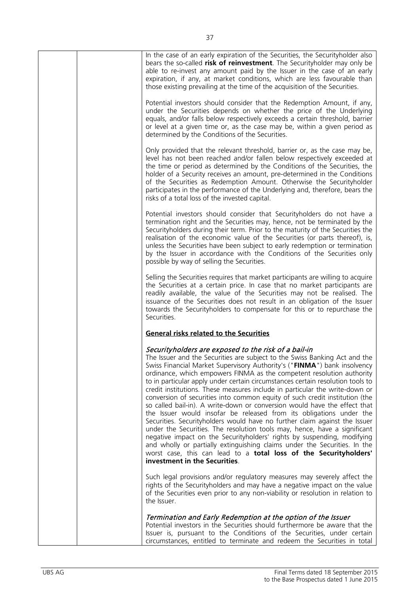| In the case of an early expiration of the Securities, the Securityholder also<br>bears the so-called risk of reinvestment. The Securityholder may only be<br>able to re-invest any amount paid by the Issuer in the case of an early<br>expiration, if any, at market conditions, which are less favourable than<br>those existing prevailing at the time of the acquisition of the Securities.                                                                                                                                                                                                                                                                                                                                                                                                                                                                                                                                                                                                                                                                                                                       |
|-----------------------------------------------------------------------------------------------------------------------------------------------------------------------------------------------------------------------------------------------------------------------------------------------------------------------------------------------------------------------------------------------------------------------------------------------------------------------------------------------------------------------------------------------------------------------------------------------------------------------------------------------------------------------------------------------------------------------------------------------------------------------------------------------------------------------------------------------------------------------------------------------------------------------------------------------------------------------------------------------------------------------------------------------------------------------------------------------------------------------|
| Potential investors should consider that the Redemption Amount, if any,<br>under the Securities depends on whether the price of the Underlying<br>equals, and/or falls below respectively exceeds a certain threshold, barrier<br>or level at a given time or, as the case may be, within a given period as<br>determined by the Conditions of the Securities.                                                                                                                                                                                                                                                                                                                                                                                                                                                                                                                                                                                                                                                                                                                                                        |
| Only provided that the relevant threshold, barrier or, as the case may be,<br>level has not been reached and/or fallen below respectively exceeded at<br>the time or period as determined by the Conditions of the Securities, the<br>holder of a Security receives an amount, pre-determined in the Conditions<br>of the Securities as Redemption Amount. Otherwise the Securityholder<br>participates in the performance of the Underlying and, therefore, bears the<br>risks of a total loss of the invested capital.                                                                                                                                                                                                                                                                                                                                                                                                                                                                                                                                                                                              |
| Potential investors should consider that Securityholders do not have a<br>termination right and the Securities may, hence, not be terminated by the<br>Security holders during their term. Prior to the maturity of the Securities the<br>realisation of the economic value of the Securities (or parts thereof), is,<br>unless the Securities have been subject to early redemption or termination<br>by the Issuer in accordance with the Conditions of the Securities only<br>possible by way of selling the Securities.                                                                                                                                                                                                                                                                                                                                                                                                                                                                                                                                                                                           |
| Selling the Securities requires that market participants are willing to acquire<br>the Securities at a certain price. In case that no market participants are<br>readily available, the value of the Securities may not be realised. The<br>issuance of the Securities does not result in an obligation of the Issuer<br>towards the Securityholders to compensate for this or to repurchase the<br>Securities.                                                                                                                                                                                                                                                                                                                                                                                                                                                                                                                                                                                                                                                                                                       |
| <b>General risks related to the Securities</b>                                                                                                                                                                                                                                                                                                                                                                                                                                                                                                                                                                                                                                                                                                                                                                                                                                                                                                                                                                                                                                                                        |
| Securityholders are exposed to the risk of a bail-in<br>The Issuer and the Securities are subject to the Swiss Banking Act and the<br>Swiss Financial Market Supervisory Authority's ("FINMA") bank insolvency<br>ordinance, which empowers FINMA as the competent resolution authority<br>to in particular apply under certain circumstances certain resolution tools to<br>credit institutions. These measures include in particular the write-down or<br>conversion of securities into common equity of such credit institution (the<br>so called bail-in). A write-down or conversion would have the effect that<br>the Issuer would insofar be released from its obligations under the<br>Securities. Security holders would have no further claim against the Issuer<br>under the Securities. The resolution tools may, hence, have a significant<br>negative impact on the Securityholders' rights by suspending, modifying<br>and wholly or partially extinguishing claims under the Securities. In the<br>worst case, this can lead to a total loss of the Securityholders'<br>investment in the Securities. |
|                                                                                                                                                                                                                                                                                                                                                                                                                                                                                                                                                                                                                                                                                                                                                                                                                                                                                                                                                                                                                                                                                                                       |
| Such legal provisions and/or regulatory measures may severely affect the<br>rights of the Securityholders and may have a negative impact on the value<br>of the Securities even prior to any non-viability or resolution in relation to<br>the Issuer.                                                                                                                                                                                                                                                                                                                                                                                                                                                                                                                                                                                                                                                                                                                                                                                                                                                                |
| Termination and Early Redemption at the option of the Issuer<br>Potential investors in the Securities should furthermore be aware that the<br>Issuer is, pursuant to the Conditions of the Securities, under certain<br>circumstances, entitled to terminate and redeem the Securities in total                                                                                                                                                                                                                                                                                                                                                                                                                                                                                                                                                                                                                                                                                                                                                                                                                       |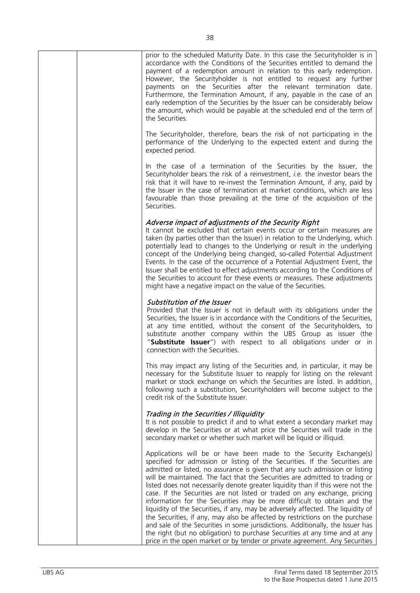| prior to the scheduled Maturity Date. In this case the Securityholder is in<br>accordance with the Conditions of the Securities entitled to demand the<br>payment of a redemption amount in relation to this early redemption.<br>However, the Securityholder is not entitled to request any further<br>payments on the Securities after the relevant termination date.<br>Furthermore, the Termination Amount, if any, payable in the case of an<br>early redemption of the Securities by the Issuer can be considerably below<br>the amount, which would be payable at the scheduled end of the term of<br>the Securities.                                                                                                                                                                                                                                                                                                                                                 |
|------------------------------------------------------------------------------------------------------------------------------------------------------------------------------------------------------------------------------------------------------------------------------------------------------------------------------------------------------------------------------------------------------------------------------------------------------------------------------------------------------------------------------------------------------------------------------------------------------------------------------------------------------------------------------------------------------------------------------------------------------------------------------------------------------------------------------------------------------------------------------------------------------------------------------------------------------------------------------|
| The Securityholder, therefore, bears the risk of not participating in the<br>performance of the Underlying to the expected extent and during the<br>expected period.                                                                                                                                                                                                                                                                                                                                                                                                                                                                                                                                                                                                                                                                                                                                                                                                         |
| In the case of a termination of the Securities by the Issuer, the<br>Securityholder bears the risk of a reinvestment, <i>i.e.</i> the investor bears the<br>risk that it will have to re-invest the Termination Amount, if any, paid by<br>the Issuer in the case of termination at market conditions, which are less<br>favourable than those prevailing at the time of the acquisition of the<br>Securities.                                                                                                                                                                                                                                                                                                                                                                                                                                                                                                                                                               |
| Adverse impact of adjustments of the Security Right<br>It cannot be excluded that certain events occur or certain measures are<br>taken (by parties other than the Issuer) in relation to the Underlying, which<br>potentially lead to changes to the Underlying or result in the underlying<br>concept of the Underlying being changed, so-called Potential Adjustment<br>Events. In the case of the occurrence of a Potential Adjustment Event, the<br>Issuer shall be entitled to effect adjustments according to the Conditions of<br>the Securities to account for these events or measures. These adjustments<br>might have a negative impact on the value of the Securities.                                                                                                                                                                                                                                                                                          |
| Substitution of the Issuer<br>Provided that the Issuer is not in default with its obligations under the<br>Securities, the Issuer is in accordance with the Conditions of the Securities,<br>at any time entitled, without the consent of the Securityholders, to<br>substitute another company within the UBS Group as issuer (the<br>"Substitute Issuer") with respect to all obligations under or in<br>connection with the Securities.                                                                                                                                                                                                                                                                                                                                                                                                                                                                                                                                   |
| This may impact any listing of the Securities and, in particular, it may be<br>necessary for the Substitute Issuer to reapply for listing on the relevant<br>market or stock exchange on which the Securities are listed. In addition,<br>following such a substitution, Securityholders will become subject to the<br>credit risk of the Substitute Issuer.                                                                                                                                                                                                                                                                                                                                                                                                                                                                                                                                                                                                                 |
| Trading in the Securities / Illiquidity<br>It is not possible to predict if and to what extent a secondary market may<br>develop in the Securities or at what price the Securities will trade in the<br>secondary market or whether such market will be liquid or illiquid.                                                                                                                                                                                                                                                                                                                                                                                                                                                                                                                                                                                                                                                                                                  |
| Applications will be or have been made to the Security Exchange(s)<br>specified for admission or listing of the Securities. If the Securities are<br>admitted or listed, no assurance is given that any such admission or listing<br>will be maintained. The fact that the Securities are admitted to trading or<br>listed does not necessarily denote greater liquidity than if this were not the<br>case. If the Securities are not listed or traded on any exchange, pricing<br>information for the Securities may be more difficult to obtain and the<br>liquidity of the Securities, if any, may be adversely affected. The liquidity of<br>the Securities, if any, may also be affected by restrictions on the purchase<br>and sale of the Securities in some jurisdictions. Additionally, the Issuer has<br>the right (but no obligation) to purchase Securities at any time and at any<br>price in the open market or by tender or private agreement. Any Securities |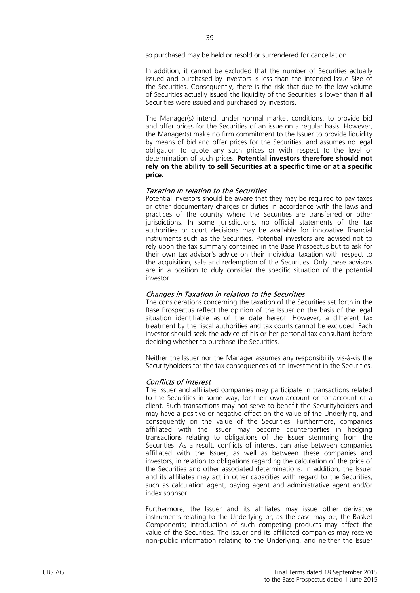| so purchased may be held or resold or surrendered for cancellation.                                                                                                                                                                                                                                                                                                                                                                                                                                                                                                                                                                                                                                                                                                                                                                                                                                                                                                                                                                                                       |
|---------------------------------------------------------------------------------------------------------------------------------------------------------------------------------------------------------------------------------------------------------------------------------------------------------------------------------------------------------------------------------------------------------------------------------------------------------------------------------------------------------------------------------------------------------------------------------------------------------------------------------------------------------------------------------------------------------------------------------------------------------------------------------------------------------------------------------------------------------------------------------------------------------------------------------------------------------------------------------------------------------------------------------------------------------------------------|
| In addition, it cannot be excluded that the number of Securities actually<br>issued and purchased by investors is less than the intended Issue Size of<br>the Securities. Consequently, there is the risk that due to the low volume<br>of Securities actually issued the liquidity of the Securities is lower than if all<br>Securities were issued and purchased by investors.                                                                                                                                                                                                                                                                                                                                                                                                                                                                                                                                                                                                                                                                                          |
| The Manager(s) intend, under normal market conditions, to provide bid<br>and offer prices for the Securities of an issue on a regular basis. However,<br>the Manager(s) make no firm commitment to the Issuer to provide liquidity<br>by means of bid and offer prices for the Securities, and assumes no legal<br>obligation to quote any such prices or with respect to the level or<br>determination of such prices. Potential investors therefore should not<br>rely on the ability to sell Securities at a specific time or at a specific<br>price.                                                                                                                                                                                                                                                                                                                                                                                                                                                                                                                  |
| Taxation in relation to the Securities<br>Potential investors should be aware that they may be required to pay taxes<br>or other documentary charges or duties in accordance with the laws and<br>practices of the country where the Securities are transferred or other<br>jurisdictions. In some jurisdictions, no official statements of the tax<br>authorities or court decisions may be available for innovative financial<br>instruments such as the Securities. Potential investors are advised not to<br>rely upon the tax summary contained in the Base Prospectus but to ask for<br>their own tax advisor's advice on their individual taxation with respect to<br>the acquisition, sale and redemption of the Securities. Only these advisors<br>are in a position to duly consider the specific situation of the potential<br>investor.                                                                                                                                                                                                                       |
| Changes in Taxation in relation to the Securities<br>The considerations concerning the taxation of the Securities set forth in the<br>Base Prospectus reflect the opinion of the Issuer on the basis of the legal<br>situation identifiable as of the date hereof. However, a different tax<br>treatment by the fiscal authorities and tax courts cannot be excluded. Each<br>investor should seek the advice of his or her personal tax consultant before<br>deciding whether to purchase the Securities.                                                                                                                                                                                                                                                                                                                                                                                                                                                                                                                                                                |
| Neither the Issuer nor the Manager assumes any responsibility vis-à-vis the<br>Securityholders for the tax consequences of an investment in the Securities.                                                                                                                                                                                                                                                                                                                                                                                                                                                                                                                                                                                                                                                                                                                                                                                                                                                                                                               |
| <b>Conflicts of interest</b><br>The Issuer and affiliated companies may participate in transactions related<br>to the Securities in some way, for their own account or for account of a<br>client. Such transactions may not serve to benefit the Securityholders and<br>may have a positive or negative effect on the value of the Underlying, and<br>consequently on the value of the Securities. Furthermore, companies<br>affiliated with the Issuer may become counterparties in hedging<br>transactions relating to obligations of the Issuer stemming from the<br>Securities. As a result, conflicts of interest can arise between companies<br>affiliated with the Issuer, as well as between these companies and<br>investors, in relation to obligations regarding the calculation of the price of<br>the Securities and other associated determinations. In addition, the Issuer<br>and its affiliates may act in other capacities with regard to the Securities,<br>such as calculation agent, paying agent and administrative agent and/or<br>index sponsor. |
| Furthermore, the Issuer and its affiliates may issue other derivative<br>instruments relating to the Underlying or, as the case may be, the Basket<br>Components; introduction of such competing products may affect the<br>value of the Securities. The Issuer and its affiliated companies may receive<br>non-public information relating to the Underlying, and neither the Issuer                                                                                                                                                                                                                                                                                                                                                                                                                                                                                                                                                                                                                                                                                     |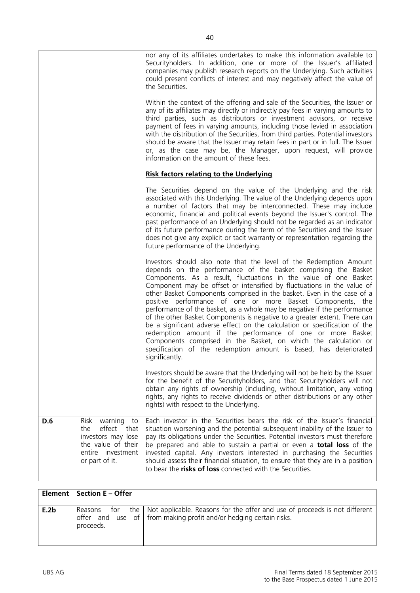|     |                                                                                                                             | nor any of its affiliates undertakes to make this information available to<br>Securityholders. In addition, one or more of the Issuer's affiliated<br>companies may publish research reports on the Underlying. Such activities<br>could present conflicts of interest and may negatively affect the value of<br>the Securities.                                                                                                                                                                                                                                                                                                                                                                                                                                                                                                                                                          |
|-----|-----------------------------------------------------------------------------------------------------------------------------|-------------------------------------------------------------------------------------------------------------------------------------------------------------------------------------------------------------------------------------------------------------------------------------------------------------------------------------------------------------------------------------------------------------------------------------------------------------------------------------------------------------------------------------------------------------------------------------------------------------------------------------------------------------------------------------------------------------------------------------------------------------------------------------------------------------------------------------------------------------------------------------------|
|     |                                                                                                                             | Within the context of the offering and sale of the Securities, the Issuer or<br>any of its affiliates may directly or indirectly pay fees in varying amounts to<br>third parties, such as distributors or investment advisors, or receive<br>payment of fees in varying amounts, including those levied in association<br>with the distribution of the Securities, from third parties. Potential investors<br>should be aware that the Issuer may retain fees in part or in full. The Issuer<br>or, as the case may be, the Manager, upon request, will provide<br>information on the amount of these fees.                                                                                                                                                                                                                                                                               |
|     |                                                                                                                             | <b>Risk factors relating to the Underlying</b>                                                                                                                                                                                                                                                                                                                                                                                                                                                                                                                                                                                                                                                                                                                                                                                                                                            |
|     |                                                                                                                             | The Securities depend on the value of the Underlying and the risk<br>associated with this Underlying. The value of the Underlying depends upon<br>a number of factors that may be interconnected. These may include<br>economic, financial and political events beyond the Issuer's control. The<br>past performance of an Underlying should not be regarded as an indicator<br>of its future performance during the term of the Securities and the Issuer<br>does not give any explicit or tacit warranty or representation regarding the<br>future performance of the Underlying.                                                                                                                                                                                                                                                                                                       |
|     |                                                                                                                             | Investors should also note that the level of the Redemption Amount<br>depends on the performance of the basket comprising the Basket<br>Components. As a result, fluctuations in the value of one Basket<br>Component may be offset or intensified by fluctuations in the value of<br>other Basket Components comprised in the basket. Even in the case of a<br>positive performance of one or more Basket Components, the<br>performance of the basket, as a whole may be negative if the performance<br>of the other Basket Components is negative to a greater extent. There can<br>be a significant adverse effect on the calculation or specification of the<br>redemption amount if the performance of one or more Basket<br>Components comprised in the Basket, on which the calculation or<br>specification of the redemption amount is based, has deteriorated<br>significantly. |
|     |                                                                                                                             | Investors should be aware that the Underlying will not be held by the Issuer<br>for the benefit of the Securityholders, and that Securityholders will not<br>obtain any rights of ownership (including, without limitation, any voting<br>rights, any rights to receive dividends or other distributions or any other<br>rights) with respect to the Underlying.                                                                                                                                                                                                                                                                                                                                                                                                                                                                                                                          |
| D.6 | Risk warning<br>to<br>effect that<br>the<br>investors may lose<br>the value of their<br>entire investment<br>or part of it. | Each investor in the Securities bears the risk of the Issuer's financial<br>situation worsening and the potential subsequent inability of the Issuer to<br>pay its obligations under the Securities. Potential investors must therefore<br>be prepared and able to sustain a partial or even a <b>total loss</b> of the<br>invested capital. Any investors interested in purchasing the Securities<br>should assess their financial situation, to ensure that they are in a position<br>to bear the risks of loss connected with the Securities.                                                                                                                                                                                                                                                                                                                                          |

|      | Element   Section E - Offer |                                                                                                                                                                   |
|------|-----------------------------|-------------------------------------------------------------------------------------------------------------------------------------------------------------------|
| E.2b | proceeds.                   | Reasons for the   Not applicable. Reasons for the offer and use of proceeds is not different<br>offer and use of from making profit and/or hedging certain risks. |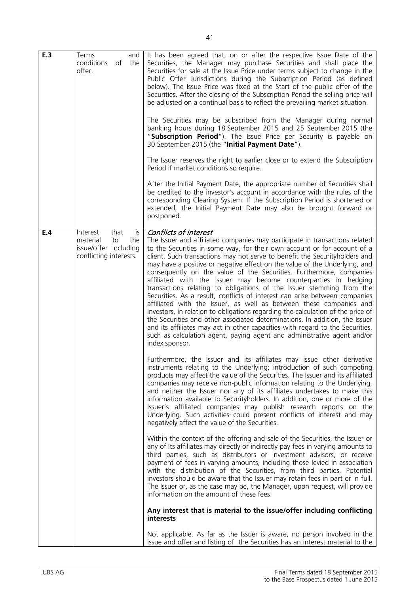| E.3 | Terms<br>and<br>conditions<br>the<br>of<br>offer.                                                  | It has been agreed that, on or after the respective Issue Date of the<br>Securities, the Manager may purchase Securities and shall place the<br>Securities for sale at the Issue Price under terms subject to change in the<br>Public Offer Jurisdictions during the Subscription Period (as defined<br>below). The Issue Price was fixed at the Start of the public offer of the<br>Securities. After the closing of the Subscription Period the selling price will<br>be adjusted on a continual basis to reflect the prevailing market situation.<br>The Securities may be subscribed from the Manager during normal<br>banking hours during 18 September 2015 and 25 September 2015 (the<br>"Subscription Period"). The Issue Price per Security is payable on<br>30 September 2015 (the "Initial Payment Date").<br>The Issuer reserves the right to earlier close or to extend the Subscription<br>Period if market conditions so require.<br>After the Initial Payment Date, the appropriate number of Securities shall<br>be credited to the investor's account in accordance with the rules of the<br>corresponding Clearing System. If the Subscription Period is shortened or<br>extended, the Initial Payment Date may also be brought forward or<br>postponed. |
|-----|----------------------------------------------------------------------------------------------------|-----------------------------------------------------------------------------------------------------------------------------------------------------------------------------------------------------------------------------------------------------------------------------------------------------------------------------------------------------------------------------------------------------------------------------------------------------------------------------------------------------------------------------------------------------------------------------------------------------------------------------------------------------------------------------------------------------------------------------------------------------------------------------------------------------------------------------------------------------------------------------------------------------------------------------------------------------------------------------------------------------------------------------------------------------------------------------------------------------------------------------------------------------------------------------------------------------------------------------------------------------------------------------|
| E.4 | Interest<br>that<br>is<br>the<br>material<br>to<br>issue/offer including<br>conflicting interests. | <b>Conflicts of interest</b><br>The Issuer and affiliated companies may participate in transactions related<br>to the Securities in some way, for their own account or for account of a<br>client. Such transactions may not serve to benefit the Securityholders and<br>may have a positive or negative effect on the value of the Underlying, and<br>consequently on the value of the Securities. Furthermore, companies<br>affiliated with the Issuer may become counterparties in hedging<br>transactions relating to obligations of the Issuer stemming from the<br>Securities. As a result, conflicts of interest can arise between companies<br>affiliated with the Issuer, as well as between these companies and<br>investors, in relation to obligations regarding the calculation of the price of<br>the Securities and other associated determinations. In addition, the Issuer<br>and its affiliates may act in other capacities with regard to the Securities,<br>such as calculation agent, paying agent and administrative agent and/or<br>index sponsor.                                                                                                                                                                                                   |
|     |                                                                                                    | Furthermore, the Issuer and its affiliates may issue other derivative<br>instruments relating to the Underlying; introduction of such competing<br>products may affect the value of the Securities. The Issuer and its affiliated<br>companies may receive non-public information relating to the Underlying,<br>and neither the Issuer nor any of its affiliates undertakes to make this<br>information available to Securityholders. In addition, one or more of the<br>Issuer's affiliated companies may publish research reports on the<br>Underlying. Such activities could present conflicts of interest and may<br>negatively affect the value of the Securities.<br>Within the context of the offering and sale of the Securities, the Issuer or<br>any of its affiliates may directly or indirectly pay fees in varying amounts to<br>third parties, such as distributors or investment advisors, or receive<br>payment of fees in varying amounts, including those levied in association                                                                                                                                                                                                                                                                          |
|     |                                                                                                    | with the distribution of the Securities, from third parties. Potential<br>investors should be aware that the Issuer may retain fees in part or in full.<br>The Issuer or, as the case may be, the Manager, upon request, will provide<br>information on the amount of these fees.                                                                                                                                                                                                                                                                                                                                                                                                                                                                                                                                                                                                                                                                                                                                                                                                                                                                                                                                                                                           |
|     |                                                                                                    | Any interest that is material to the issue/offer including conflicting<br>interests                                                                                                                                                                                                                                                                                                                                                                                                                                                                                                                                                                                                                                                                                                                                                                                                                                                                                                                                                                                                                                                                                                                                                                                         |
|     |                                                                                                    | Not applicable. As far as the Issuer is aware, no person involved in the<br>issue and offer and listing of the Securities has an interest material to the                                                                                                                                                                                                                                                                                                                                                                                                                                                                                                                                                                                                                                                                                                                                                                                                                                                                                                                                                                                                                                                                                                                   |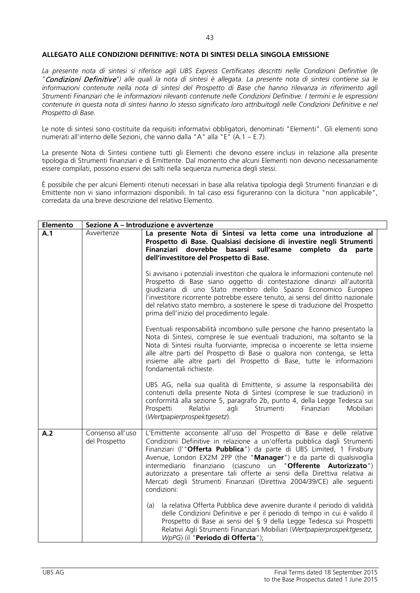#### **ALLEGATO ALLE CONDIZIONI DEFINITIVE: NOTA DI SINTESI DELLA SINGOLA EMISSIONE**

*La presente nota di sintesi si riferisce agli UBS Express Certificates descritti nelle Condizioni Definitive (le "*Condizioni Definitive*") alle quali la nota di sintesi è allegata. La presente nota di sintesi contiene sia le informazioni contenute nella nota di sintesi del Prospetto di Base che hanno rilevanza in riferimento agli Strumenti Finanziari che le informazioni rilevanti contenute nelle Condizioni Definitive. I termini e le espressioni contenute in questa nota di sintesi hanno lo stesso significato loro attribuitogli nelle Condizioni Definitive e nel Prospetto di Base.*

Le note di sintesi sono costituite da requisiti informativi obbligatori, denominati "Elementi". Gli elementi sono numerati all'interno delle Sezioni, che vanno dalla "A" alla "E" (A.1 – E.7).

La presente Nota di Sintesi contiene tutti gli Elementi che devono essere inclusi in relazione alla presente tipologia di Strumenti finanziari e di Emittente. Dal momento che alcuni Elementi non devono necessariamente essere compilati, possono esservi dei salti nella sequenza numerica degli stessi.

È possibile che per alcuni Elementi ritenuti necessari in base alla relativa tipologia degli Strumenti finanziari e di Emittente non vi siano informazioni disponibili. In tal caso essi figureranno con la dicitura "non applicabile", corredata da una breve descrizione del relativo Elemento.

| Elemento | Sezione A - Introduzione e avvertenze |                                                                                                                                                                                                                                                                                                                                                                                                                                                                                                                                                                                                                                                                                                                                                                                                                                                                                                                                                                                                                                                                                                                |  |  |
|----------|---------------------------------------|----------------------------------------------------------------------------------------------------------------------------------------------------------------------------------------------------------------------------------------------------------------------------------------------------------------------------------------------------------------------------------------------------------------------------------------------------------------------------------------------------------------------------------------------------------------------------------------------------------------------------------------------------------------------------------------------------------------------------------------------------------------------------------------------------------------------------------------------------------------------------------------------------------------------------------------------------------------------------------------------------------------------------------------------------------------------------------------------------------------|--|--|
| A.1      | Avvertenze                            | La presente Nota di Sintesi va letta come una introduzione al<br>Prospetto di Base. Qualsiasi decisione di investire negli Strumenti<br>Finanziari dovrebbe basarsi sull'esame completo da parte<br>dell'investitore del Prospetto di Base.<br>Si avvisano i potenziali investitori che qualora le informazioni contenute nel<br>Prospetto di Base siano oggetto di contestazione dinanzi all'autorità<br>giudiziaria di uno Stato membro dello Spazio Economico Europeo<br>l'investitore ricorrente potrebbe essere tenuto, ai sensi del diritto nazionale<br>del relativo stato membro, a sostenere le spese di traduzione del Prospetto<br>prima dell'inizio del procedimento legale.<br>Eventuali responsabilità incombono sulle persone che hanno presentato la<br>Nota di Sintesi, comprese le sue eventuali traduzioni, ma soltanto se la<br>Nota di Sintesi risulta fuorviante, imprecisa o incoerente se letta insieme<br>alle altre parti del Prospetto di Base o qualora non contenga, se letta<br>insieme alle altre parti del Prospetto di Base, tutte le informazioni<br>fondamentali richieste. |  |  |
|          |                                       | UBS AG, nella sua qualità di Emittente, si assume la responsabilità dei<br>contenuti della presente Nota di Sintesi (comprese le sue traduzioni) in<br>conformità alla sezione 5, paragrafo 2b, punto 4, della Legge Tedesca sui<br>Relativi<br>Finanziari<br>Mobiliari<br>Prospetti<br>agli<br>Strumenti<br>(Wertpapierprospektgesetz).                                                                                                                                                                                                                                                                                                                                                                                                                                                                                                                                                                                                                                                                                                                                                                       |  |  |
| A.2      | Consenso all'uso<br>del Prospetto     | L'Emittente acconsente all'uso del Prospetto di Base e delle relative<br>Condizioni Definitive in relazione a un'offerta pubblica dagli Strumenti<br>Finanziari (I'" Offerta Pubblica") da parte di UBS Limited, 1 Finsbury<br>Avenue, London EX2M 2PP (the "Manager") e da parte di qualsivoglia<br>intermediario finanziario (ciascuno un "Offerente Autorizzato")<br>autorizzato a presentare tali offerte ai sensi della Direttiva relativa ai<br>Mercati degli Strumenti Finanziari (Direttiva 2004/39/CE) alle seguenti<br>condizioni:<br>la relativa Offerta Pubblica deve avvenire durante il periodo di validità<br>(a)<br>delle Condizioni Definitive e per il periodo di tempo in cui è valido il<br>Prospetto di Base ai sensi del § 9 della Legge Tedesca sui Prospetti<br>Relativi Agli Strumenti Finanziari Mobiliari (Wertpapierprospektgesetz,<br>WpPG) (il "Periodo di Offerta");                                                                                                                                                                                                            |  |  |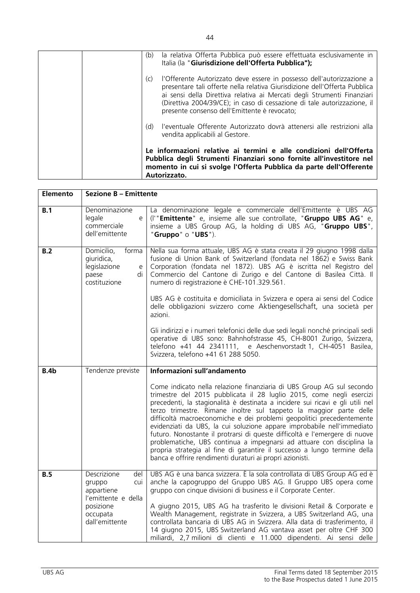|     | Le informazioni relative ai termini e alle condizioni dell'Offerta<br>Pubblica degli Strumenti Finanziari sono fornite all'investitore nel<br>momento in cui si svolge l'Offerta Pubblica da parte dell'Offerente<br>Autorizzato.                                                                                                                          |
|-----|------------------------------------------------------------------------------------------------------------------------------------------------------------------------------------------------------------------------------------------------------------------------------------------------------------------------------------------------------------|
| (d) | l'eventuale Offerente Autorizzato dovrà attenersi alle restrizioni alla<br>vendita applicabili al Gestore.                                                                                                                                                                                                                                                 |
| (c) | l'Offerente Autorizzato deve essere in possesso dell'autorizzazione a<br>presentare tali offerte nella relativa Giurisdizione dell'Offerta Pubblica<br>ai sensi della Direttiva relativa ai Mercati degli Strumenti Finanziari<br>(Direttiva 2004/39/CE); in caso di cessazione di tale autorizzazione, il<br>presente consenso dell'Emittente è revocato; |
| (b) | la relativa Offerta Pubblica può essere effettuata esclusivamente in<br>Italia (la "Giurisdizione dell'Offerta Pubblica");                                                                                                                                                                                                                                 |

| <b>Elemento</b> | <b>Sezione B - Emittente</b>                                                                                        |                                                                                                                                                                                                                                                                                                                                                                                                                                                                                                                                                                                                                                                                                                                                                        |
|-----------------|---------------------------------------------------------------------------------------------------------------------|--------------------------------------------------------------------------------------------------------------------------------------------------------------------------------------------------------------------------------------------------------------------------------------------------------------------------------------------------------------------------------------------------------------------------------------------------------------------------------------------------------------------------------------------------------------------------------------------------------------------------------------------------------------------------------------------------------------------------------------------------------|
| B.1             | Denominazione<br>legale<br>e<br>commerciale<br>dell'emittente                                                       | La denominazione legale e commerciale dell'Emittente è UBS AG<br>(I'" Emittente" e, insieme alle sue controllate, "Gruppo UBS AG" e,<br>insieme a UBS Group AG, la holding di UBS AG, "Gruppo UBS",<br>"Gruppo" o "UBS").                                                                                                                                                                                                                                                                                                                                                                                                                                                                                                                              |
| B.2             | forma<br>Domicilio,<br>giuridica,<br>legislazione<br>е<br>paese<br>di<br>costituzione                               | Nella sua forma attuale, UBS AG è stata creata il 29 giugno 1998 dalla<br>fusione di Union Bank of Switzerland (fondata nel 1862) e Swiss Bank<br>Corporation (fondata nel 1872). UBS AG è iscritta nel Registro del<br>Commercio del Cantone di Zurigo e del Cantone di Basilea Città. Il<br>numero di registrazione è CHE-101.329.561.                                                                                                                                                                                                                                                                                                                                                                                                               |
|                 |                                                                                                                     | UBS AG è costituita e domiciliata in Svizzera e opera ai sensi del Codice<br>delle obbligazioni svizzero come Aktiengesellschaft, una società per<br>azioni.                                                                                                                                                                                                                                                                                                                                                                                                                                                                                                                                                                                           |
|                 |                                                                                                                     | Gli indirizzi e i numeri telefonici delle due sedi legali nonché principali sedi<br>operative di UBS sono: Bahnhofstrasse 45, CH-8001 Zurigo, Svizzera,<br>telefono +41 44 2341111, e Aeschenvorstadt 1, CH-4051 Basilea,<br>Svizzera, telefono +41 61 288 5050.                                                                                                                                                                                                                                                                                                                                                                                                                                                                                       |
| B.4b            | Tendenze previste                                                                                                   | Informazioni sull'andamento                                                                                                                                                                                                                                                                                                                                                                                                                                                                                                                                                                                                                                                                                                                            |
|                 |                                                                                                                     | Come indicato nella relazione finanziaria di UBS Group AG sul secondo<br>trimestre del 2015 pubblicata il 28 luglio 2015, come negli esercizi<br>precedenti, la stagionalità è destinata a incidere sui ricavi e gli utili nel<br>terzo trimestre. Rimane inoltre sul tappeto la maggior parte delle<br>difficoltà macroeconomiche e dei problemi geopolitici precedentemente<br>evidenziati da UBS, la cui soluzione appare improbabile nell'immediato<br>futuro. Nonostante il protrarsi di queste difficoltà e l'emergere di nuove<br>problematiche, UBS continua a impegnarsi ad attuare con disciplina la<br>propria strategia al fine di garantire il successo a lungo termine della<br>banca e offrire rendimenti duraturi ai propri azionisti. |
| B.5             | Descrizione<br>del<br>gruppo<br>cui<br>appartiene<br>l'emittente e della<br>posizione<br>occupata<br>dall'emittente | UBS AG è una banca svizzera. È la sola controllata di UBS Group AG ed è<br>anche la capogruppo del Gruppo UBS AG. Il Gruppo UBS opera come<br>gruppo con cinque divisioni di business e il Corporate Center.<br>A giugno 2015, UBS AG ha trasferito le divisioni Retail & Corporate e<br>Wealth Management, registrate in Svizzera, a UBS Switzerland AG, una<br>controllata bancaria di UBS AG in Svizzera. Alla data di trasferimento, il<br>14 giugno 2015, UBS Switzerland AG vantava asset per oltre CHF 300<br>miliardi, 2,7 milioni di clienti e 11.000 dipendenti. Ai sensi delle                                                                                                                                                              |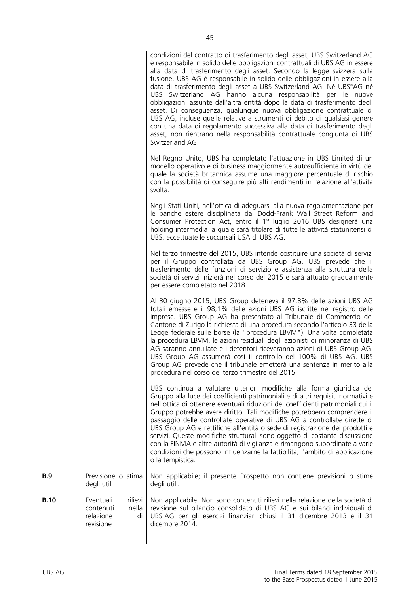|             |                                                                            | condizioni del contratto di trasferimento degli asset, UBS Switzerland AG<br>è responsabile in solido delle obbligazioni contrattuali di UBS AG in essere<br>alla data di trasferimento degli asset. Secondo la legge svizzera sulla<br>fusione, UBS AG è responsabile in solido delle obbligazioni in essere alla<br>data di trasferimento degli asset a UBS Switzerland AG. Né UBS°AG né<br>UBS Switzerland AG hanno alcuna responsabilità per le nuove<br>obbligazioni assunte dall'altra entità dopo la data di trasferimento degli<br>asset. Di conseguenza, qualunque nuova obbligazione contrattuale di<br>UBS AG, incluse quelle relative a strumenti di debito di qualsiasi genere<br>con una data di regolamento successiva alla data di trasferimento degli<br>asset, non rientrano nella responsabilità contrattuale congiunta di UBS<br>Switzerland AG. |
|-------------|----------------------------------------------------------------------------|----------------------------------------------------------------------------------------------------------------------------------------------------------------------------------------------------------------------------------------------------------------------------------------------------------------------------------------------------------------------------------------------------------------------------------------------------------------------------------------------------------------------------------------------------------------------------------------------------------------------------------------------------------------------------------------------------------------------------------------------------------------------------------------------------------------------------------------------------------------------|
|             |                                                                            | Nel Regno Unito, UBS ha completato l'attuazione in UBS Limited di un<br>modello operativo e di business maggiormente autosufficiente in virtù del<br>quale la società britannica assume una maggiore percentuale di rischio<br>con la possibilità di conseguire più alti rendimenti in relazione all'attività<br>svolta.                                                                                                                                                                                                                                                                                                                                                                                                                                                                                                                                             |
|             |                                                                            | Negli Stati Uniti, nell'ottica di adeguarsi alla nuova regolamentazione per<br>le banche estere disciplinata dal Dodd-Frank Wall Street Reform and<br>Consumer Protection Act, entro il 1º luglio 2016 UBS designerà una<br>holding intermedia la quale sarà titolare di tutte le attività statunitensi di<br>UBS, eccettuate le succursali USA di UBS AG.                                                                                                                                                                                                                                                                                                                                                                                                                                                                                                           |
|             |                                                                            | Nel terzo trimestre del 2015, UBS intende costituire una società di servizi<br>per il Gruppo controllata da UBS Group AG. UBS prevede che il<br>trasferimento delle funzioni di servizio e assistenza alla struttura della<br>società di servizi inizierà nel corso del 2015 e sarà attuato gradualmente<br>per essere completato nel 2018.                                                                                                                                                                                                                                                                                                                                                                                                                                                                                                                          |
|             |                                                                            | Al 30 giugno 2015, UBS Group deteneva il 97,8% delle azioni UBS AG<br>totali emesse e il 98,1% delle azioni UBS AG iscritte nel registro delle<br>imprese. UBS Group AG ha presentato al Tribunale di Commercio del<br>Cantone di Zurigo la richiesta di una procedura secondo l'articolo 33 della<br>Legge federale sulle borse (la "procedura LBVM"). Una volta completata<br>la procedura LBVM, le azioni residuali degli azionisti di minoranza di UBS<br>AG saranno annullate e i detentori riceveranno azioni di UBS Group AG.<br>UBS Group AG assumerà così il controllo del 100% di UBS AG. UBS<br>Group AG prevede che il tribunale emetterà una sentenza in merito alla<br>procedura nel corso del terzo trimestre del 2015.                                                                                                                               |
|             |                                                                            | UBS continua a valutare ulteriori modifiche alla forma giuridica del<br>Gruppo alla luce dei coefficienti patrimoniali e di altri requisiti normativi e<br>nell'ottica di ottenere eventuali riduzioni dei coefficienti patrimoniali cui il<br>Gruppo potrebbe avere diritto. Tali modifiche potrebbero comprendere il<br>passaggio delle controllate operative di UBS AG a controllate dirette di<br>UBS Group AG e rettifiche all'entità o sede di registrazione dei prodotti e<br>servizi. Queste modifiche strutturali sono oggetto di costante discussione<br>con la FINMA e altre autorità di vigilanza e rimangono subordinate a varie<br>condizioni che possono influenzarne la fattibilità, l'ambito di applicazione<br>o la tempistica.                                                                                                                    |
| <b>B.9</b>  | Previsione o stima<br>degli utili                                          | Non applicabile; il presente Prospetto non contiene previsioni o stime<br>degli utili.                                                                                                                                                                                                                                                                                                                                                                                                                                                                                                                                                                                                                                                                                                                                                                               |
| <b>B.10</b> | Eventuali<br>rilievi<br>contenuti<br>nella<br>relazione<br>di<br>revisione | Non applicabile. Non sono contenuti rilievi nella relazione della società di<br>revisione sul bilancio consolidato di UBS AG e sui bilanci individuali di<br>UBS AG per gli esercizi finanziari chiusi il 31 dicembre 2013 e il 31<br>dicembre 2014.                                                                                                                                                                                                                                                                                                                                                                                                                                                                                                                                                                                                                 |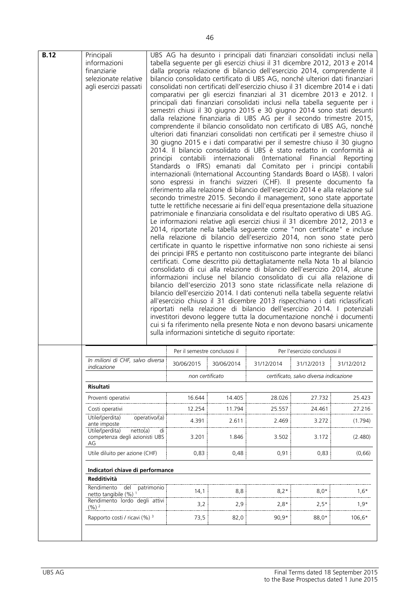| <b>B.12</b> | Principali<br>informazioni<br>finanziarie<br>selezionate relative<br>agli esercizi passati | UBS AG ha desunto i principali dati finanziari consolidati inclusi nella<br>tabella seguente per gli esercizi chiusi il 31 dicembre 2012, 2013 e 2014<br>dalla propria relazione di bilancio dell'esercizio 2014, comprendente il<br>bilancio consolidato certificato di UBS AG, nonché ulteriori dati finanziari<br>consolidati non certificati dell'esercizio chiuso il 31 dicembre 2014 e i dati<br>comparativi per gli esercizi finanziari al 31 dicembre 2013 e 2012. I<br>principali dati finanziari consolidati inclusi nella tabella seguente per i<br>semestri chiusi il 30 giugno 2015 e 30 giugno 2014 sono stati desunti<br>dalla relazione finanziaria di UBS AG per il secondo trimestre 2015,<br>comprendente il bilancio consolidato non certificato di UBS AG, nonché<br>ulteriori dati finanziari consolidati non certificati per il semestre chiuso il<br>30 giugno 2015 e i dati comparativi per il semestre chiuso il 30 giugno<br>2014. Il bilancio consolidato di UBS è stato redatto in conformità ai<br>principi contabili internazionali (International Financial<br>Standards o IFRS) emanati dal Comitato per i principi contabili<br>internazionali (International Accounting Standards Board o IASB). I valori<br>sono espressi in franchi svizzeri (CHF). Il presente documento fa<br>riferimento alla relazione di bilancio dell'esercizio 2014 e alla relazione sul<br>secondo trimestre 2015. Secondo il management, sono state apportate<br>tutte le rettifiche necessarie ai fini dell'equa presentazione della situazione<br>patrimoniale e finanziaria consolidata e del risultato operativo di UBS AG.<br>Le informazioni relative agli esercizi chiusi il 31 dicembre 2012, 2013 e<br>2014, riportate nella tabella seguente come "non certificate" e incluse<br>nella relazione di bilancio dell'esercizio 2014, non sono state però<br>certificate in quanto le rispettive informative non sono richieste ai sensi<br>dei principi IFRS e pertanto non costituiscono parte integrante dei bilanci<br>certificati. Come descritto più dettagliatamente nella Nota 1b al bilancio<br>consolidato di cui alla relazione di bilancio dell'esercizio 2014, alcune<br>informazioni incluse nel bilancio consolidato di cui alla relazione di<br>bilancio dell'esercizio 2013 sono state riclassificate nella relazione di<br>bilancio dell'esercizio 2014. I dati contenuti nella tabella seguente relativi<br>all'esercizio chiuso il 31 dicembre 2013 rispecchiano i dati riclassificati<br>riportati nella relazione di bilancio dell'esercizio 2014. I potenziali<br>investitori devono leggere tutta la documentazione nonché i documenti<br>cui si fa riferimento nella presente Nota e non devono basarsi unicamente |                                             | sulla informazioni sintetiche di seguito riportate: | Reporting  |                                        |            |
|-------------|--------------------------------------------------------------------------------------------|-----------------------------------------------------------------------------------------------------------------------------------------------------------------------------------------------------------------------------------------------------------------------------------------------------------------------------------------------------------------------------------------------------------------------------------------------------------------------------------------------------------------------------------------------------------------------------------------------------------------------------------------------------------------------------------------------------------------------------------------------------------------------------------------------------------------------------------------------------------------------------------------------------------------------------------------------------------------------------------------------------------------------------------------------------------------------------------------------------------------------------------------------------------------------------------------------------------------------------------------------------------------------------------------------------------------------------------------------------------------------------------------------------------------------------------------------------------------------------------------------------------------------------------------------------------------------------------------------------------------------------------------------------------------------------------------------------------------------------------------------------------------------------------------------------------------------------------------------------------------------------------------------------------------------------------------------------------------------------------------------------------------------------------------------------------------------------------------------------------------------------------------------------------------------------------------------------------------------------------------------------------------------------------------------------------------------------------------------------------------------------------------------------------------------------------------------------------------------------------------------------------------------------------------------------------------------------------------------------------------------------------------------------------------------------------------------------------------------------------------------------------------|---------------------------------------------|-----------------------------------------------------|------------|----------------------------------------|------------|
|             |                                                                                            |                                                                                                                                                                                                                                                                                                                                                                                                                                                                                                                                                                                                                                                                                                                                                                                                                                                                                                                                                                                                                                                                                                                                                                                                                                                                                                                                                                                                                                                                                                                                                                                                                                                                                                                                                                                                                                                                                                                                                                                                                                                                                                                                                                                                                                                                                                                                                                                                                                                                                                                                                                                                                                                                                                                                                                 |                                             |                                                     |            | Per l'esercizio conclusosi il          |            |
|             | In milioni di CHF, salvo diversa                                                           |                                                                                                                                                                                                                                                                                                                                                                                                                                                                                                                                                                                                                                                                                                                                                                                                                                                                                                                                                                                                                                                                                                                                                                                                                                                                                                                                                                                                                                                                                                                                                                                                                                                                                                                                                                                                                                                                                                                                                                                                                                                                                                                                                                                                                                                                                                                                                                                                                                                                                                                                                                                                                                                                                                                                                                 | Per il semestre conclusosi il<br>30/06/2015 | 30/06/2014                                          | 31/12/2014 | 31/12/2013                             | 31/12/2012 |
|             | indicazione                                                                                |                                                                                                                                                                                                                                                                                                                                                                                                                                                                                                                                                                                                                                                                                                                                                                                                                                                                                                                                                                                                                                                                                                                                                                                                                                                                                                                                                                                                                                                                                                                                                                                                                                                                                                                                                                                                                                                                                                                                                                                                                                                                                                                                                                                                                                                                                                                                                                                                                                                                                                                                                                                                                                                                                                                                                                 | non certificato                             |                                                     |            | certificato, salvo diversa indicazione |            |
|             | <b>Risultati</b>                                                                           |                                                                                                                                                                                                                                                                                                                                                                                                                                                                                                                                                                                                                                                                                                                                                                                                                                                                                                                                                                                                                                                                                                                                                                                                                                                                                                                                                                                                                                                                                                                                                                                                                                                                                                                                                                                                                                                                                                                                                                                                                                                                                                                                                                                                                                                                                                                                                                                                                                                                                                                                                                                                                                                                                                                                                                 |                                             |                                                     |            |                                        |            |
|             | Proventi operativi                                                                         |                                                                                                                                                                                                                                                                                                                                                                                                                                                                                                                                                                                                                                                                                                                                                                                                                                                                                                                                                                                                                                                                                                                                                                                                                                                                                                                                                                                                                                                                                                                                                                                                                                                                                                                                                                                                                                                                                                                                                                                                                                                                                                                                                                                                                                                                                                                                                                                                                                                                                                                                                                                                                                                                                                                                                                 | 16.644                                      | 14.405                                              | 28.026     | 27.732                                 | 25.423     |
|             | Costi operativi                                                                            |                                                                                                                                                                                                                                                                                                                                                                                                                                                                                                                                                                                                                                                                                                                                                                                                                                                                                                                                                                                                                                                                                                                                                                                                                                                                                                                                                                                                                                                                                                                                                                                                                                                                                                                                                                                                                                                                                                                                                                                                                                                                                                                                                                                                                                                                                                                                                                                                                                                                                                                                                                                                                                                                                                                                                                 | 12.254                                      | 11.794                                              | 25.557     | 24.461                                 | 27.216     |
|             | Utile/(perdita)<br>ante imposte                                                            | operativo/(a)                                                                                                                                                                                                                                                                                                                                                                                                                                                                                                                                                                                                                                                                                                                                                                                                                                                                                                                                                                                                                                                                                                                                                                                                                                                                                                                                                                                                                                                                                                                                                                                                                                                                                                                                                                                                                                                                                                                                                                                                                                                                                                                                                                                                                                                                                                                                                                                                                                                                                                                                                                                                                                                                                                                                                   | 4.391                                       | 2.611                                               | 2.469      | 3.272                                  | (1.794)    |
|             | Utile/(perdita)<br>netto(a)<br>competenza degli azionisti UBS<br>AG                        | di                                                                                                                                                                                                                                                                                                                                                                                                                                                                                                                                                                                                                                                                                                                                                                                                                                                                                                                                                                                                                                                                                                                                                                                                                                                                                                                                                                                                                                                                                                                                                                                                                                                                                                                                                                                                                                                                                                                                                                                                                                                                                                                                                                                                                                                                                                                                                                                                                                                                                                                                                                                                                                                                                                                                                              | 3.201                                       | 1.846                                               | 3.502      | 3.172                                  | (2.480)    |
|             | Utile diluito per azione (CHF)                                                             |                                                                                                                                                                                                                                                                                                                                                                                                                                                                                                                                                                                                                                                                                                                                                                                                                                                                                                                                                                                                                                                                                                                                                                                                                                                                                                                                                                                                                                                                                                                                                                                                                                                                                                                                                                                                                                                                                                                                                                                                                                                                                                                                                                                                                                                                                                                                                                                                                                                                                                                                                                                                                                                                                                                                                                 | 0,83                                        | 0,48                                                | 0,91       | 0,83                                   | (0,66)     |
|             | Indicatori chiave di performance                                                           |                                                                                                                                                                                                                                                                                                                                                                                                                                                                                                                                                                                                                                                                                                                                                                                                                                                                                                                                                                                                                                                                                                                                                                                                                                                                                                                                                                                                                                                                                                                                                                                                                                                                                                                                                                                                                                                                                                                                                                                                                                                                                                                                                                                                                                                                                                                                                                                                                                                                                                                                                                                                                                                                                                                                                                 |                                             |                                                     |            |                                        |            |
|             | Redditività<br>Rendimento<br>del                                                           | patrimonio                                                                                                                                                                                                                                                                                                                                                                                                                                                                                                                                                                                                                                                                                                                                                                                                                                                                                                                                                                                                                                                                                                                                                                                                                                                                                                                                                                                                                                                                                                                                                                                                                                                                                                                                                                                                                                                                                                                                                                                                                                                                                                                                                                                                                                                                                                                                                                                                                                                                                                                                                                                                                                                                                                                                                      |                                             |                                                     |            |                                        |            |
|             | netto tangibile (%) <sup>1</sup>                                                           |                                                                                                                                                                                                                                                                                                                                                                                                                                                                                                                                                                                                                                                                                                                                                                                                                                                                                                                                                                                                                                                                                                                                                                                                                                                                                                                                                                                                                                                                                                                                                                                                                                                                                                                                                                                                                                                                                                                                                                                                                                                                                                                                                                                                                                                                                                                                                                                                                                                                                                                                                                                                                                                                                                                                                                 | 14,1                                        | 8,8                                                 | $8,2*$     | $8,0*$                                 | $1,6*$     |
|             | Rendimento lordo degli attivi<br>$(%)^2$                                                   |                                                                                                                                                                                                                                                                                                                                                                                                                                                                                                                                                                                                                                                                                                                                                                                                                                                                                                                                                                                                                                                                                                                                                                                                                                                                                                                                                                                                                                                                                                                                                                                                                                                                                                                                                                                                                                                                                                                                                                                                                                                                                                                                                                                                                                                                                                                                                                                                                                                                                                                                                                                                                                                                                                                                                                 | 3,2                                         | 2,9                                                 | $2,8*$     | $2,5*$                                 | $1,9*$     |
|             | Rapporto costi / ricavi (%) <sup>3</sup>                                                   |                                                                                                                                                                                                                                                                                                                                                                                                                                                                                                                                                                                                                                                                                                                                                                                                                                                                                                                                                                                                                                                                                                                                                                                                                                                                                                                                                                                                                                                                                                                                                                                                                                                                                                                                                                                                                                                                                                                                                                                                                                                                                                                                                                                                                                                                                                                                                                                                                                                                                                                                                                                                                                                                                                                                                                 | 73,5                                        | 82,0                                                | $90,9*$    | 88,0*                                  | 106,6*     |
|             |                                                                                            |                                                                                                                                                                                                                                                                                                                                                                                                                                                                                                                                                                                                                                                                                                                                                                                                                                                                                                                                                                                                                                                                                                                                                                                                                                                                                                                                                                                                                                                                                                                                                                                                                                                                                                                                                                                                                                                                                                                                                                                                                                                                                                                                                                                                                                                                                                                                                                                                                                                                                                                                                                                                                                                                                                                                                                 |                                             |                                                     |            |                                        |            |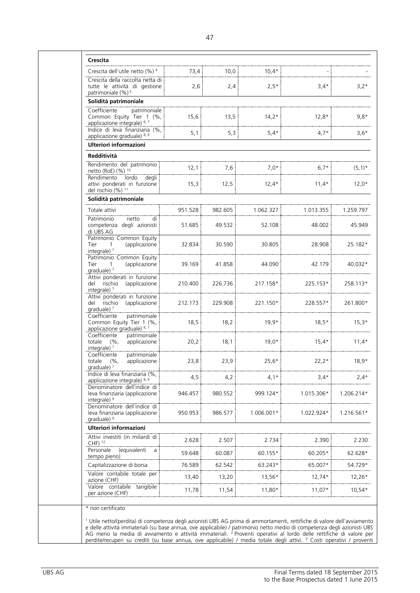|              |            | $10,4*$    | 10,0    | 73,4    | Crescita dell'utile netto (%) 4                                                                    |
|--------------|------------|------------|---------|---------|----------------------------------------------------------------------------------------------------|
| $3,2*$       | $3,4*$     | $2,5*$     | 2,4     | 2,6     | Crescita della raccolta netta di<br>tutte le attività di gestione<br>patrimoniale (%) <sup>5</sup> |
|              |            |            |         |         | Solidità patrimoniale                                                                              |
| $9,8*$       | $12,8*$    | $14,2*$    | 13,5    | 15,6    | Coefficiente<br>patrimoniale<br>Common Equity Tier 1 (%,<br>applicazione integrale) 6, 7           |
| $3,6*$       | $4,7*$     | $5,4*$     | 5,3     | 5,1     | Indice di leva finanziaria (%,<br>applicazione graduale) 8, 9                                      |
|              |            |            |         |         | Ulteriori informazioni                                                                             |
|              |            |            |         |         | Redditività                                                                                        |
| $(5,1)^*$    | $6,7*$     | $7,0*$     | 7,6     | 12,1    | Rendimento del patrimonio<br>netto (RoE) (%) 10                                                    |
| $12,0*$      | $11,4*$    | $12,4*$    | 12,5    | 15,3    | Rendimento<br>lordo<br>degli<br>attivi ponderati in funzione<br>del rischio (%) <sup>11</sup>      |
|              |            |            |         |         | Solidità patrimoniale                                                                              |
| 1.259.797    | 1.013.355  | 1.062.327  | 982.605 | 951.528 | Totale attivi                                                                                      |
| 45.949       | 48.002     | 52.108     | 49.532  | 51.685  | Patrimonio<br>netto<br>di<br>competenza degli azionisti<br>di UBS AG                               |
| 25.182*      | 28.908     | 30.805     | 30.590  | 32.834  | Patrimonio Common Equity<br>Tier<br>(applicazione<br>$\mathbf{1}$<br>integrale) <sup>7</sup>       |
| 40.032*      | 42.179     | 44.090     | 41.858  | 39.169  | Patrimonio Common Equity<br>(applicazione<br>Tier<br>$\mathbf{1}$<br>graduale) $7$                 |
| 258.113*     | 225.153*   | 217.158*   | 226.736 | 210.400 | Attivi ponderati in funzione<br>del rischio<br>(applicazione<br>integrale) <sup>7</sup>            |
| 261.800*     | 228.557*   | 221.150*   | 229.908 | 212.173 | Attivi ponderati in funzione<br>del rischio<br>(applicazione<br>graduale) <sup>7</sup>             |
| $15,3*$      | $18,5*$    | $19,9*$    | 18,2    | 18,5    | Coefficiente<br>patrimoniale<br>Common Equity Tier 1 (%,<br>applicazione graduale) 6, 7            |
| $11,4*$      | $15,4*$    | $19,0*$    | 18,1    | 20,2    | Coefficiente<br>patrimoniale<br>totale<br>(%,<br>applicazione<br>integrale) <sup>7</sup>           |
| $18,9*$      | $22,2*$    | $25,6*$    | 23,9    | 23,8    | Coefficiente<br>patrimoniale<br>applicazione<br>totale (%,<br>graduale) 7                          |
| $2,4*$       | $3,4*$     | $4,1*$     | 4,2     | 4,5     | Indice di leva finanziaria (%,<br>applicazione integrale) 8, 9                                     |
| $1.206.214*$ | 1.015.306* | 999.124*   | 980.552 | 946.457 | Denominatore dell'indice di<br>leva finanziaria (applicazione<br>integrale) <sup>9</sup>           |
| 1.216.561*   | 1.022.924* | 1.006.001* | 986.577 | 950.953 | Denominatore dell'indice di<br>leva finanziaria (applicazione<br>graduale) <sup>9</sup>            |
|              |            |            |         |         | Ulteriori informazioni                                                                             |
| 2.230        | 2.390      | 2.734      | 2.507   | 2.628   | Attivi investiti (in miliardi di<br>$CHF)$ <sup>12</sup>                                           |
| 62.628*      | 60.205*    | 60.155*    | 60.087  | 59.648  | Personale<br>(equivalenti<br>a<br>tempo pieno)                                                     |
| 54.729*      | 65.007*    | 63.243*    | 62.542  | 76.589  | Capitalizzazione di borsa                                                                          |
| $12,26*$     | $12,74*$   | $13,56*$   | 13,20   | 13,40   | Valore contabile totale per<br>azione (CHF)                                                        |
| $10,54*$     | $11,07*$   | 11,80*     | 11,54   | 11,78   | Valore contabile tangibile<br>per azione (CHF)                                                     |

perdite/recuperi su crediti (su base annua, ove applicabile) / media totale degli attivi. 3 Costi operativi / proventi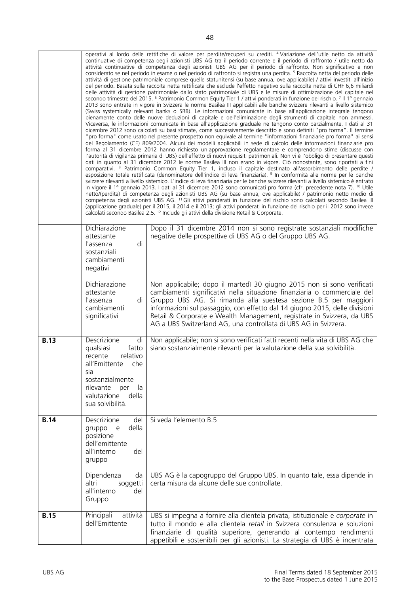|             | continuative di competenza degli azionisti UBS AG tra il periodo corrente e il periodo di raffronto / utile netto da<br>attività continuative di competenza degli azionisti UBS AG per il periodo di raffronto. Non significativo e non<br>considerato se nel periodo in esame o nel periodo di raffronto si registra una perdita. <sup>5</sup> Raccolta netta del periodo delle<br>attività di gestione patrimoniale comprese quelle statunitensi (su base annua, ove applicabile) / attivi investiti all'inizio<br>del periodo. Basata sulla raccolta netta rettificata che esclude l'effetto negativo sulla raccolta netta di CHF 6,6 miliardi<br>delle attività di gestione patrimoniale dallo stato patrimoniale di UBS e le misure di ottimizzazione del capitale nel<br>secondo trimestre del 2015. <sup>6</sup> Patrimonio Common Equity Tier 1 / attivi ponderati in funzione del rischio. 7 Il 1º gennaio<br>2013 sono entrate in vigore in Svizzera le norme Basilea III applicabili alle banche svizzere rilevanti a livello sistemico<br>(Swiss systemically relevant banks o SRB). Le informazioni comunicate in base all'applicazione integrale tengono<br>pienamente conto delle nuove deduzioni di capitale e dell'eliminazione degli strumenti di capitale non ammessi.<br>Viceversa, le informazioni comunicate in base all'applicazione graduale ne tengono conto parzialmente. I dati al 31<br>dicembre 2012 sono calcolati su basi stimate, come successivamente descritto e sono definiti "pro forma". Il termine<br>"pro forma" come usato nel presente prospetto non equivale al termine "informazioni finanziarie pro forma" ai sensi<br>del Regolamento (CE) 809/2004. Alcuni dei modelli applicabili in sede di calcolo delle informazioni finanziarie pro<br>forma al 31 dicembre 2012 hanno richiesto un'approvazione regolamentare e comprendono stime (discusse con<br>l'autorità di vigilanza primaria di UBS) dell'effetto di nuovi requisiti patrimoniali. Non vi è l'obbligo di presentare questi<br>dati in quanto al 31 dicembre 2012 le norme Basilea III non erano in vigore. Ciò nonostante, sono riportati a fini<br>comparativi. <sup>8</sup> Patrimonio Common Equity Tier 1, incluso il capitale destinato all'assorbimento delle perdite /<br>esposizione totale rettificata (denominatore dell'indice di leva finanziaria). <sup>9</sup> In conformità alle norme per le banche<br>svizzere rilevanti a livello sistemico. L'indice di leva finanziaria per le banche svizzere rilevanti a livello sistemico è entrato<br>in vigore il 1º gennaio 2013. I dati al 31 dicembre 2012 sono comunicati pro forma (cfr. precedente nota 7). <sup>10</sup> Utile<br>netto/(perdita) di competenza degli azionisti UBS AG (su base annua, ove applicabile) / patrimonio netto medio di<br>competenza degli azionisti UBS AG. 11 Gli attivi ponderati in funzione del rischio sono calcolati secondo Basilea III<br>(applicazione graduale) per il 2015, il 2014 e il 2013; gli attivi ponderati in funzione del rischio per il 2012 sono invece<br>calcolati secondo Basilea 2.5. <sup>12</sup> Include gli attivi della divisione Retail & Corporate. |                                                                                                                                                                                                                                                                                                                                                                                                                                                    |  |  |  |
|-------------|------------------------------------------------------------------------------------------------------------------------------------------------------------------------------------------------------------------------------------------------------------------------------------------------------------------------------------------------------------------------------------------------------------------------------------------------------------------------------------------------------------------------------------------------------------------------------------------------------------------------------------------------------------------------------------------------------------------------------------------------------------------------------------------------------------------------------------------------------------------------------------------------------------------------------------------------------------------------------------------------------------------------------------------------------------------------------------------------------------------------------------------------------------------------------------------------------------------------------------------------------------------------------------------------------------------------------------------------------------------------------------------------------------------------------------------------------------------------------------------------------------------------------------------------------------------------------------------------------------------------------------------------------------------------------------------------------------------------------------------------------------------------------------------------------------------------------------------------------------------------------------------------------------------------------------------------------------------------------------------------------------------------------------------------------------------------------------------------------------------------------------------------------------------------------------------------------------------------------------------------------------------------------------------------------------------------------------------------------------------------------------------------------------------------------------------------------------------------------------------------------------------------------------------------------------------------------------------------------------------------------------------------------------------------------------------------------------------------------------------------------------------------------------------------------------------------------------------------------------------------------------------------------------------------------------------------------------------------------------------------------------------------------------------------------------------------------------------------------------------------------------------------------------------------------------------------|----------------------------------------------------------------------------------------------------------------------------------------------------------------------------------------------------------------------------------------------------------------------------------------------------------------------------------------------------------------------------------------------------------------------------------------------------|--|--|--|
|             | Dichiarazione<br>attestante<br>di<br>l'assenza<br>sostanziali<br>cambiamenti<br>negativi                                                                                                                                                                                                                                                                                                                                                                                                                                                                                                                                                                                                                                                                                                                                                                                                                                                                                                                                                                                                                                                                                                                                                                                                                                                                                                                                                                                                                                                                                                                                                                                                                                                                                                                                                                                                                                                                                                                                                                                                                                                                                                                                                                                                                                                                                                                                                                                                                                                                                                                                                                                                                                                                                                                                                                                                                                                                                                                                                                                                                                                                                                       | Dopo il 31 dicembre 2014 non si sono registrate sostanziali modifiche<br>negative delle prospettive di UBS AG o del Gruppo UBS AG.                                                                                                                                                                                                                                                                                                                 |  |  |  |
|             | Dichiarazione<br>attestante<br>l'assenza<br>di<br>cambiamenti<br>significativi                                                                                                                                                                                                                                                                                                                                                                                                                                                                                                                                                                                                                                                                                                                                                                                                                                                                                                                                                                                                                                                                                                                                                                                                                                                                                                                                                                                                                                                                                                                                                                                                                                                                                                                                                                                                                                                                                                                                                                                                                                                                                                                                                                                                                                                                                                                                                                                                                                                                                                                                                                                                                                                                                                                                                                                                                                                                                                                                                                                                                                                                                                                 | Non applicabile; dopo il martedì 30 giugno 2015 non si sono verificati<br>cambiamenti significativi nella situazione finanziaria o commerciale del<br>Gruppo UBS AG. Si rimanda alla suestesa sezione B.5 per maggiori<br>informazioni sul passaggio, con effetto dal 14 giugno 2015, delle divisioni<br>Retail & Corporate e Wealth Management, registrate in Svizzera, da UBS<br>AG a UBS Switzerland AG, una controllata di UBS AG in Svizzera. |  |  |  |
| <b>B.13</b> | Descrizione<br>di<br>fatto<br>qualsiasi<br>recente<br>relativo<br>all'Emittente<br>che<br>sia<br>sostanzialmente<br>rilevante<br>la<br>per<br>valutazione<br>della<br>sua solvibilità.                                                                                                                                                                                                                                                                                                                                                                                                                                                                                                                                                                                                                                                                                                                                                                                                                                                                                                                                                                                                                                                                                                                                                                                                                                                                                                                                                                                                                                                                                                                                                                                                                                                                                                                                                                                                                                                                                                                                                                                                                                                                                                                                                                                                                                                                                                                                                                                                                                                                                                                                                                                                                                                                                                                                                                                                                                                                                                                                                                                                         | Non applicabile; non si sono verificati fatti recenti nella vita di UBS AG che<br>siano sostanzialmente rilevanti per la valutazione della sua solvibilità.                                                                                                                                                                                                                                                                                        |  |  |  |
| <b>B.14</b> | Descrizione<br>del<br>della<br>gruppo<br>$\epsilon$<br>posizione<br>dell'emittente<br>all'interno<br>del<br>gruppo                                                                                                                                                                                                                                                                                                                                                                                                                                                                                                                                                                                                                                                                                                                                                                                                                                                                                                                                                                                                                                                                                                                                                                                                                                                                                                                                                                                                                                                                                                                                                                                                                                                                                                                                                                                                                                                                                                                                                                                                                                                                                                                                                                                                                                                                                                                                                                                                                                                                                                                                                                                                                                                                                                                                                                                                                                                                                                                                                                                                                                                                             | Si veda l'elemento B.5                                                                                                                                                                                                                                                                                                                                                                                                                             |  |  |  |
|             | Dipendenza<br>da<br>altri<br>soggetti<br>all'interno<br>del<br>Gruppo                                                                                                                                                                                                                                                                                                                                                                                                                                                                                                                                                                                                                                                                                                                                                                                                                                                                                                                                                                                                                                                                                                                                                                                                                                                                                                                                                                                                                                                                                                                                                                                                                                                                                                                                                                                                                                                                                                                                                                                                                                                                                                                                                                                                                                                                                                                                                                                                                                                                                                                                                                                                                                                                                                                                                                                                                                                                                                                                                                                                                                                                                                                          | UBS AG è la capogruppo del Gruppo UBS. In quanto tale, essa dipende in<br>certa misura da alcune delle sue controllate.                                                                                                                                                                                                                                                                                                                            |  |  |  |
| <b>B.15</b> | Principali<br>attività<br>dell'Emittente                                                                                                                                                                                                                                                                                                                                                                                                                                                                                                                                                                                                                                                                                                                                                                                                                                                                                                                                                                                                                                                                                                                                                                                                                                                                                                                                                                                                                                                                                                                                                                                                                                                                                                                                                                                                                                                                                                                                                                                                                                                                                                                                                                                                                                                                                                                                                                                                                                                                                                                                                                                                                                                                                                                                                                                                                                                                                                                                                                                                                                                                                                                                                       | UBS si impegna a fornire alla clientela privata, istituzionale e corporate in<br>tutto il mondo e alla clientela retail in Svizzera consulenza e soluzioni<br>finanziarie di qualità superiore, generando al contempo rendimenti<br>appetibili e sostenibili per gli azionisti. La strategia di UBS è incentrata                                                                                                                                   |  |  |  |

operativi al lordo delle rettifiche di valore per perdite/recuperi su crediti. 4 Variazione dell'utile netto da attività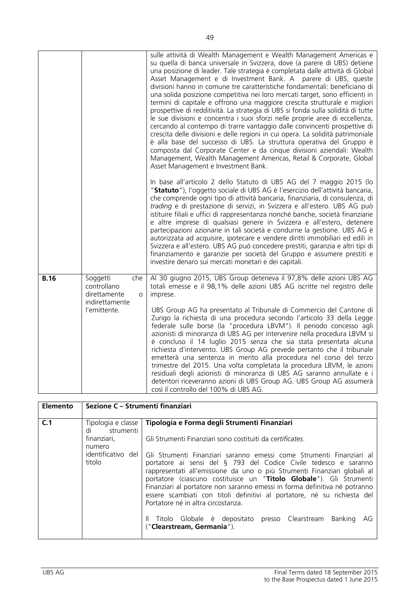|             |                                                                                             | sulle attività di Wealth Management e Wealth Management Americas e<br>su quella di banca universale in Svizzera, dove (a parere di UBS) detiene<br>una posizione di leader. Tale strategia è completata dalle attività di Global<br>Asset Management e di Investment Bank. A parere di UBS, queste<br>divisioni hanno in comune tre caratteristiche fondamentali: beneficiano di<br>una solida posizione competitiva nei loro mercati target, sono efficienti in<br>termini di capitale e offrono una maggiore crescita strutturale e migliori<br>prospettive di redditività. La strategia di UBS si fonda sulla solidità di tutte<br>le sue divisioni e concentra i suoi sforzi nelle proprie aree di eccellenza,<br>cercando al contempo di trarre vantaggio dalle convincenti prospettive di<br>crescita delle divisioni e delle regioni in cui opera. La solidità patrimoniale<br>è alla base del successo di UBS. La struttura operativa del Gruppo è<br>composta dal Corporate Center e da cinque divisioni aziendali: Wealth<br>Management, Wealth Management Americas, Retail & Corporate, Global<br>Asset Management e Investment Bank. |
|-------------|---------------------------------------------------------------------------------------------|--------------------------------------------------------------------------------------------------------------------------------------------------------------------------------------------------------------------------------------------------------------------------------------------------------------------------------------------------------------------------------------------------------------------------------------------------------------------------------------------------------------------------------------------------------------------------------------------------------------------------------------------------------------------------------------------------------------------------------------------------------------------------------------------------------------------------------------------------------------------------------------------------------------------------------------------------------------------------------------------------------------------------------------------------------------------------------------------------------------------------------------------------|
|             |                                                                                             | In base all'articolo 2 dello Statuto di UBS AG del 7 maggio 2015 (lo<br>"Statuto"), l'oggetto sociale di UBS AG è l'esercizio dell'attività bancaria,<br>che comprende ogni tipo di attività bancaria, finanziaria, di consulenza, di<br>trading e di prestazione di servizi, in Svizzera e all'estero. UBS AG può<br>istituire filiali e uffici di rappresentanza nonché banche, società finanziarie<br>e altre imprese di qualsiasi genere in Svizzera e all'estero, detenere<br>partecipazioni azionarie in tali società e condurne la gestione. UBS AG è<br>autorizzata ad acquisire, ipotecare e vendere diritti immobiliari ed edili in<br>Svizzera e all'estero. UBS AG può concedere prestiti, garanzia e altri tipi di<br>finanziamento e garanzie per società del Gruppo e assumere prestiti e<br>investire denaro sui mercati monetari e dei capitali.                                                                                                                                                                                                                                                                                |
| <b>B.16</b> | Soggetti<br>che<br>controllano<br>direttamente<br>$\circ$<br>indirettamente<br>l'emittente. | Al 30 giugno 2015, UBS Group deteneva il 97,8% delle azioni UBS AG<br>totali emesse e il 98,1% delle azioni UBS AG iscritte nel registro delle<br>imprese.<br>UBS Group AG ha presentato al Tribunale di Commercio del Cantone di<br>Zurigo la richiesta di una procedura secondo l'articolo 33 della Legge<br>federale sulle borse (la "procedura LBVM"). Il periodo concesso agli<br>azionisti di minoranza di UBS AG per intervenire nella procedura LBVM si<br>è concluso il 14 luglio 2015 senza che sia stata presentata alcuna<br>richiesta d'intervento. UBS Group AG prevede pertanto che il tribunale<br>emetterà una sentenza in merito alla procedura nel corso del terzo<br>trimestre del 2015. Una volta completata la procedura LBVM, le azioni<br>residuali degli azionisti di minoranza di UBS AG saranno annullate e i<br>detentori riceveranno azioni di UBS Group AG. UBS Group AG assumerà<br>così il controllo del 100% di UBS AG.                                                                                                                                                                                         |

| Elemento | Sezione C - Strumenti finanziari      |                                                                                                                                                                                                                                                                                                                                                                                                                                                                                                                                                                                           |
|----------|---------------------------------------|-------------------------------------------------------------------------------------------------------------------------------------------------------------------------------------------------------------------------------------------------------------------------------------------------------------------------------------------------------------------------------------------------------------------------------------------------------------------------------------------------------------------------------------------------------------------------------------------|
| C.1      | Tipologia e classe<br>strumenti<br>di | Tipologia e Forma degli Strumenti Finanziari                                                                                                                                                                                                                                                                                                                                                                                                                                                                                                                                              |
|          | finanziari,<br>numero                 | Gli Strumenti Finanziari sono costituiti da certificates.                                                                                                                                                                                                                                                                                                                                                                                                                                                                                                                                 |
|          | identificativo del<br>titolo          | Gli Strumenti Finanziari saranno emessi come Strumenti Finanziari al<br>portatore ai sensi del § 793 del Codice Civile tedesco e saranno<br>rappresentati all'emissione da uno o più Strumenti Finanziari globali al<br>portatore (ciascuno costituisce un "Titolo Globale"). Gli Strumenti<br>Finanziari al portatore non saranno emessi in forma definitiva né potranno<br>essere scambiati con titoli definitivi al portatore, né su richiesta del<br>Portatore né in altra circostanza.<br>Il Titolo Globale è depositato presso Clearstream Banking AG<br>("Clearstream, Germania"). |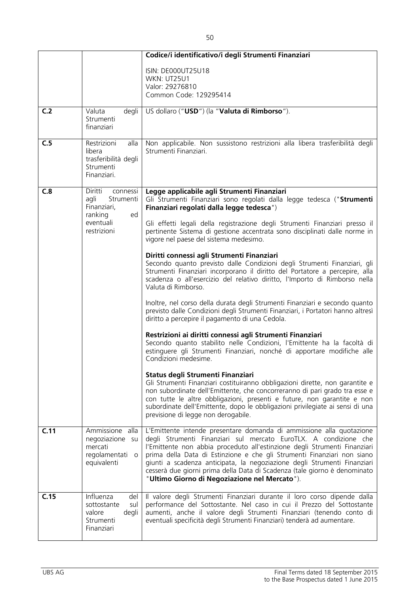|      |                                                                                                      | Codice/i identificativo/i degli Strumenti Finanziari                                                                                                                                                                                                                                                                                                                                                                                                                                                                                                                                                                                                                                                                                                                                                                                                                                                                                                                                                                                                                                                                                                                                                                                                                                                                                                                                                                                                                                                                                                          |
|------|------------------------------------------------------------------------------------------------------|---------------------------------------------------------------------------------------------------------------------------------------------------------------------------------------------------------------------------------------------------------------------------------------------------------------------------------------------------------------------------------------------------------------------------------------------------------------------------------------------------------------------------------------------------------------------------------------------------------------------------------------------------------------------------------------------------------------------------------------------------------------------------------------------------------------------------------------------------------------------------------------------------------------------------------------------------------------------------------------------------------------------------------------------------------------------------------------------------------------------------------------------------------------------------------------------------------------------------------------------------------------------------------------------------------------------------------------------------------------------------------------------------------------------------------------------------------------------------------------------------------------------------------------------------------------|
|      |                                                                                                      | <b>ISIN: DE000UT25U18</b><br>WKN: UT25U1<br>Valor: 29276810<br>Common Code: 129295414                                                                                                                                                                                                                                                                                                                                                                                                                                                                                                                                                                                                                                                                                                                                                                                                                                                                                                                                                                                                                                                                                                                                                                                                                                                                                                                                                                                                                                                                         |
| C.2  | Valuta<br>degli<br>Strumenti<br>finanziari                                                           | US dollaro ("USD") (la "Valuta di Rimborso").                                                                                                                                                                                                                                                                                                                                                                                                                                                                                                                                                                                                                                                                                                                                                                                                                                                                                                                                                                                                                                                                                                                                                                                                                                                                                                                                                                                                                                                                                                                 |
| C.5  | Restrizioni<br>alla<br>libera<br>trasferibilità degli<br>Strumenti<br>Finanziari.                    | Non applicabile. Non sussistono restrizioni alla libera trasferibilità degli<br>Strumenti Finanziari.                                                                                                                                                                                                                                                                                                                                                                                                                                                                                                                                                                                                                                                                                                                                                                                                                                                                                                                                                                                                                                                                                                                                                                                                                                                                                                                                                                                                                                                         |
| C.8  | Diritti<br>connessi<br>agli<br>Strumenti<br>Finanziari,<br>ranking<br>ed<br>eventuali<br>restrizioni | Legge applicabile agli Strumenti Finanziari<br>Gli Strumenti Finanziari sono regolati dalla legge tedesca ("Strumenti<br>Finanziari regolati dalla legge tedesca")<br>Gli effetti legali della registrazione degli Strumenti Finanziari presso il<br>pertinente Sistema di gestione accentrata sono disciplinati dalle norme in<br>vigore nel paese del sistema medesimo.<br>Diritti connessi agli Strumenti Finanziari<br>Secondo quanto previsto dalle Condizioni degli Strumenti Finanziari, gli<br>Strumenti Finanziari incorporano il diritto del Portatore a percepire, alla<br>scadenza o all'esercizio del relativo diritto, l'Importo di Rimborso nella<br>Valuta di Rimborso.<br>Inoltre, nel corso della durata degli Strumenti Finanziari e secondo quanto<br>previsto dalle Condizioni degli Strumenti Finanziari, i Portatori hanno altresì<br>diritto a percepire il pagamento di una Cedola.<br>Restrizioni ai diritti connessi agli Strumenti Finanziari<br>Secondo quanto stabilito nelle Condizioni, l'Emittente ha la facoltà di<br>estinguere gli Strumenti Finanziari, nonché di apportare modifiche alle<br>Condizioni medesime.<br>Status degli Strumenti Finanziari<br>Gli Strumenti Finanziari costituiranno obbligazioni dirette, non garantite e<br>non subordinate dell'Emittente, che concorreranno di pari grado tra esse e<br>con tutte le altre obbligazioni, presenti e future, non garantite e non<br>subordinate dell'Emittente, dopo le obbligazioni privilegiate ai sensi di una<br>previsione di legge non derogabile. |
| C.11 | Ammissione alla<br>negoziazione su<br>mercati<br>regolamentati o<br>equivalenti                      | L'Emittente intende presentare domanda di ammissione alla quotazione<br>degli Strumenti Finanziari sul mercato EuroTLX. A condizione che<br>l'Emittente non abbia proceduto all'estinzione degli Strumenti Finanziari<br>prima della Data di Estinzione e che gli Strumenti Finanziari non siano<br>giunti a scadenza anticipata, la negoziazione degli Strumenti Finanziari<br>cesserà due giorni prima della Data di Scadenza (tale giorno è denominato<br>"Ultimo Giorno di Negoziazione nel Mercato").                                                                                                                                                                                                                                                                                                                                                                                                                                                                                                                                                                                                                                                                                                                                                                                                                                                                                                                                                                                                                                                    |
| C.15 | Influenza<br>del<br>sottostante<br>sul<br>valore<br>degli<br>Strumenti<br>Finanziari                 | Il valore degli Strumenti Finanziari durante il loro corso dipende dalla<br>performance del Sottostante. Nel caso in cui il Prezzo del Sottostante<br>aumenti, anche il valore degli Strumenti Finanziari (tenendo conto di<br>eventuali specificità degli Strumenti Finanziari) tenderà ad aumentare.                                                                                                                                                                                                                                                                                                                                                                                                                                                                                                                                                                                                                                                                                                                                                                                                                                                                                                                                                                                                                                                                                                                                                                                                                                                        |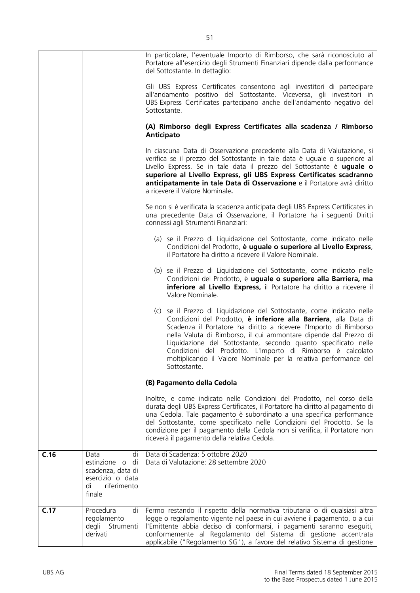|      |                                                                                                          | In particolare, l'eventuale Importo di Rimborso, che sarà riconosciuto al<br>Portatore all'esercizio degli Strumenti Finanziari dipende dalla performance<br>del Sottostante. In dettaglio:                                                                                                                                                                                                                                                                                                            |
|------|----------------------------------------------------------------------------------------------------------|--------------------------------------------------------------------------------------------------------------------------------------------------------------------------------------------------------------------------------------------------------------------------------------------------------------------------------------------------------------------------------------------------------------------------------------------------------------------------------------------------------|
|      |                                                                                                          | Gli UBS Express Certificates consentono agli investitori di partecipare<br>all'andamento positivo del Sottostante. Viceversa, gli investitori in<br>UBS Express Certificates partecipano anche dell'andamento negativo del<br>Sottostante.                                                                                                                                                                                                                                                             |
|      |                                                                                                          | (A) Rimborso degli Express Certificates alla scadenza / Rimborso<br><b>Anticipato</b>                                                                                                                                                                                                                                                                                                                                                                                                                  |
|      |                                                                                                          | In ciascuna Data di Osservazione precedente alla Data di Valutazione, si<br>verifica se il prezzo del Sottostante in tale data è uguale o superiore al<br>Livello Express. Se in tale data il prezzo del Sottostante è uguale o<br>superiore al Livello Express, gli UBS Express Certificates scadranno<br>anticipatamente in tale Data di Osservazione e il Portatore avrà diritto<br>a ricevere il Valore Nominale.                                                                                  |
|      |                                                                                                          | Se non si è verificata la scadenza anticipata degli UBS Express Certificates in<br>una precedente Data di Osservazione, il Portatore ha i seguenti Diritti<br>connessi agli Strumenti Finanziari:                                                                                                                                                                                                                                                                                                      |
|      |                                                                                                          | (a) se il Prezzo di Liquidazione del Sottostante, come indicato nelle<br>Condizioni del Prodotto, è uguale o superiore al Livello Express,<br>il Portatore ha diritto a ricevere il Valore Nominale.                                                                                                                                                                                                                                                                                                   |
|      |                                                                                                          | (b) se il Prezzo di Liquidazione del Sottostante, come indicato nelle<br>Condizioni del Prodotto, è uguale o superiore alla Barriera, ma<br>inferiore al Livello Express, il Portatore ha diritto a ricevere il<br>Valore Nominale.                                                                                                                                                                                                                                                                    |
|      |                                                                                                          | (c) se il Prezzo di Liquidazione del Sottostante, come indicato nelle<br>Condizioni del Prodotto, è inferiore alla Barriera, alla Data di<br>Scadenza il Portatore ha diritto a ricevere l'Importo di Rimborso<br>nella Valuta di Rimborso, il cui ammontare dipende dal Prezzo di<br>Liquidazione del Sottostante, secondo quanto specificato nelle<br>Condizioni del Prodotto. L'Importo di Rimborso è calcolato<br>moltiplicando il Valore Nominale per la relativa performance del<br>Sottostante. |
|      |                                                                                                          | (B) Pagamento della Cedola                                                                                                                                                                                                                                                                                                                                                                                                                                                                             |
|      |                                                                                                          | Inoltre, e come indicato nelle Condizioni del Prodotto, nel corso della<br>durata degli UBS Express Certificates, il Portatore ha diritto al pagamento di<br>una Cedola. Tale pagamento è subordinato a una specifica performance<br>del Sottostante, come specificato nelle Condizioni del Prodotto. Se la<br>condizione per il pagamento della Cedola non si verifica, il Portatore non<br>riceverà il pagamento della relativa Cedola.                                                              |
| C.16 | Data<br>di<br>estinzione o<br>di<br>scadenza, data di<br>esercizio o data<br>di<br>riferimento<br>finale | Data di Scadenza: 5 ottobre 2020<br>Data di Valutazione: 28 settembre 2020                                                                                                                                                                                                                                                                                                                                                                                                                             |
| C.17 | Procedura<br>di<br>regolamento<br>degli<br>Strumenti<br>derivati                                         | Fermo restando il rispetto della normativa tributaria o di qualsiasi altra<br>legge o regolamento vigente nel paese in cui avviene il pagamento, o a cui<br>l'Emittente abbia deciso di conformarsi, i pagamenti saranno eseguiti,<br>conformemente al Regolamento del Sistema di gestione accentrata<br>applicabile ("Regolamento SG"), a favore del relativo Sistema di gestione                                                                                                                     |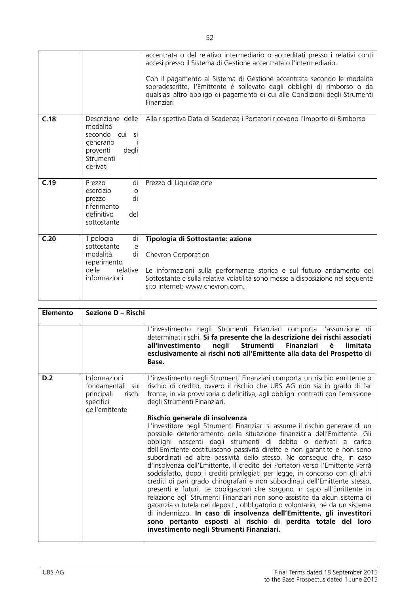|      |                                                                                                           | accentrata o del relativo intermediario o accreditati presso i relativi conti<br>accesi presso il Sistema di Gestione accentrata o l'intermediario.<br>Con il pagamento al Sistema di Gestione accentrata secondo le modalità<br>sopradescritte, l'Emittente è sollevato dagli obblighi di rimborso o da<br>qualsiasi altro obbligo di pagamento di cui alle Condizioni degli Strumenti<br>Finanziari |
|------|-----------------------------------------------------------------------------------------------------------|-------------------------------------------------------------------------------------------------------------------------------------------------------------------------------------------------------------------------------------------------------------------------------------------------------------------------------------------------------------------------------------------------------|
| C.18 | Descrizione delle<br>modalità<br>secondo cui si<br>generano<br>proventi<br>degli<br>Strumenti<br>derivati | Alla rispettiva Data di Scadenza i Portatori ricevono l'Importo di Rimborso                                                                                                                                                                                                                                                                                                                           |
| C.19 | di<br>Prezzo<br>esercizio<br>$\Omega$<br>di<br>prezzo<br>riferimento<br>definitivo<br>del<br>sottostante  | Prezzo di Liquidazione                                                                                                                                                                                                                                                                                                                                                                                |
| C.20 | Tipologia<br>di<br>sottostante<br>e<br>di<br>modalità<br>reperimento<br>delle<br>relative<br>informazioni | Tipologia di Sottostante: azione<br>Chevron Corporation<br>Le informazioni sulla performance storica e sul futuro andamento del<br>Sottostante e sulla relativa volatilità sono messe a disposizione nel seguente<br>sito internet: www.chevron.com.                                                                                                                                                  |

| Elemento | Sezione D - Rischi                                                                      |                                                                                                                                                                                                                                                                                                                                                                                                                                                                                                                                                                                                                                                                                                                                                                                                                                                                                                                                                                                                                                                                                                                                                                                                                                                                                                                                                                              |
|----------|-----------------------------------------------------------------------------------------|------------------------------------------------------------------------------------------------------------------------------------------------------------------------------------------------------------------------------------------------------------------------------------------------------------------------------------------------------------------------------------------------------------------------------------------------------------------------------------------------------------------------------------------------------------------------------------------------------------------------------------------------------------------------------------------------------------------------------------------------------------------------------------------------------------------------------------------------------------------------------------------------------------------------------------------------------------------------------------------------------------------------------------------------------------------------------------------------------------------------------------------------------------------------------------------------------------------------------------------------------------------------------------------------------------------------------------------------------------------------------|
|          |                                                                                         | L'investimento negli Strumenti Finanziari comporta l'assunzione di<br>determinati rischi. Si fa presente che la descrizione dei rischi associati<br>all'investimento negli Strumenti<br>Finanziari<br>limitata<br>è<br>esclusivamente ai rischi noti all'Emittente alla data del Prospetto di<br>Base.                                                                                                                                                                                                                                                                                                                                                                                                                                                                                                                                                                                                                                                                                                                                                                                                                                                                                                                                                                                                                                                                       |
| D.2      | Informazioni<br>fondamentali sui<br>principali<br>rischi<br>specifici<br>dell'emittente | L'investimento negli Strumenti Finanziari comporta un rischio emittente o<br>rischio di credito, ovvero il rischio che UBS AG non sia in grado di far<br>fronte, in via provvisoria o definitiva, agli obblighi contratti con l'emissione<br>degli Strumenti Finanziari.<br>Rischio generale di insolvenza<br>L'investitore negli Strumenti Finanziari si assume il rischio generale di un<br>possibile deterioramento della situazione finanziaria dell'Emittente. Gli<br>obblighi nascenti dagli strumenti di debito o derivati a carico<br>dell'Emittente costituiscono passività dirette e non garantite e non sono<br>subordinati ad altre passività dello stesso. Ne consegue che, in caso<br>d'insolvenza dell'Emittente, il credito dei Portatori verso l'Emittente verrà<br>soddisfatto, dopo i crediti privilegiati per legge, in concorso con gli altri<br>crediti di pari grado chirografari e non subordinati dell'Emittente stesso,<br>presenti e futuri. Le obbligazioni che sorgono in capo all'Emittente in<br>relazione agli Strumenti Finanziari non sono assistite da alcun sistema di<br>garanzia o tutela dei depositi, obbligatorio o volontario, né da un sistema<br>di indennizzo. In caso di insolvenza dell'Emittente, gli investitori<br>sono pertanto esposti al rischio di perdita totale del loro<br>investimento negli Strumenti Finanziari. |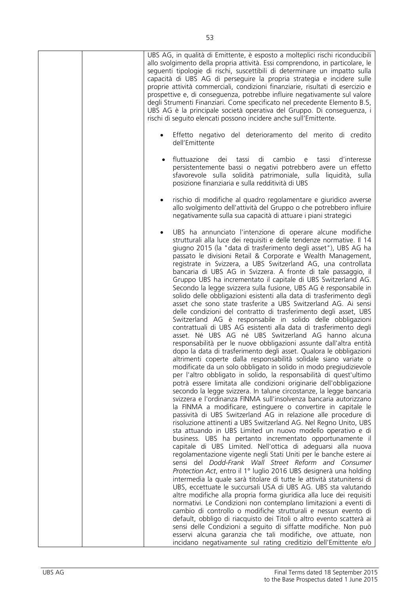| UBS AG, in qualità di Emittente, è esposto a molteplici rischi riconducibili<br>allo svolgimento della propria attività. Essi comprendono, in particolare, le<br>sequenti tipologie di rischi, suscettibili di determinare un impatto sulla<br>capacità di UBS AG di perseguire la propria strategia e incidere sulle<br>proprie attività commerciali, condizioni finanziarie, risultati di esercizio e<br>prospettive e, di conseguenza, potrebbe influire negativamente sul valore<br>degli Strumenti Finanziari. Come specificato nel precedente Elemento B.5,<br>UBS AG è la principale società operativa del Gruppo. Di conseguenza, i<br>rischi di seguito elencati possono incidere anche sull'Emittente.                                                                                                                                                                                                                                                                                                                                                                                                                                                                                                                                                                                                                                                                                                                                                                                                                                                                                                                                                                                                                                                                                                                                                                                                                                                                                                                                                                                                                                                                                                                                                                                                                                                                                                                                                                                                                                                                                                                                                                                                                                                                  |
|-----------------------------------------------------------------------------------------------------------------------------------------------------------------------------------------------------------------------------------------------------------------------------------------------------------------------------------------------------------------------------------------------------------------------------------------------------------------------------------------------------------------------------------------------------------------------------------------------------------------------------------------------------------------------------------------------------------------------------------------------------------------------------------------------------------------------------------------------------------------------------------------------------------------------------------------------------------------------------------------------------------------------------------------------------------------------------------------------------------------------------------------------------------------------------------------------------------------------------------------------------------------------------------------------------------------------------------------------------------------------------------------------------------------------------------------------------------------------------------------------------------------------------------------------------------------------------------------------------------------------------------------------------------------------------------------------------------------------------------------------------------------------------------------------------------------------------------------------------------------------------------------------------------------------------------------------------------------------------------------------------------------------------------------------------------------------------------------------------------------------------------------------------------------------------------------------------------------------------------------------------------------------------------------------------------------------------------------------------------------------------------------------------------------------------------------------------------------------------------------------------------------------------------------------------------------------------------------------------------------------------------------------------------------------------------------------------------------------------------------------------------------------------------|
| Effetto negativo del deterioramento del merito di credito<br>dell'Emittente                                                                                                                                                                                                                                                                                                                                                                                                                                                                                                                                                                                                                                                                                                                                                                                                                                                                                                                                                                                                                                                                                                                                                                                                                                                                                                                                                                                                                                                                                                                                                                                                                                                                                                                                                                                                                                                                                                                                                                                                                                                                                                                                                                                                                                                                                                                                                                                                                                                                                                                                                                                                                                                                                                       |
| fluttuazione<br>cambio<br>d'interesse<br>dei<br>tassi<br>di<br>tassi<br>e<br>$\bullet$<br>persistentemente bassi o negativi potrebbero avere un effetto<br>sfavorevole sulla solidità patrimoniale, sulla liquidità, sulla<br>posizione finanziaria e sulla redditività di UBS                                                                                                                                                                                                                                                                                                                                                                                                                                                                                                                                                                                                                                                                                                                                                                                                                                                                                                                                                                                                                                                                                                                                                                                                                                                                                                                                                                                                                                                                                                                                                                                                                                                                                                                                                                                                                                                                                                                                                                                                                                                                                                                                                                                                                                                                                                                                                                                                                                                                                                    |
| rischio di modifiche al quadro regolamentare e giuridico avverse<br>allo svolgimento dell'attività del Gruppo o che potrebbero influire<br>negativamente sulla sua capacità di attuare i piani strategici                                                                                                                                                                                                                                                                                                                                                                                                                                                                                                                                                                                                                                                                                                                                                                                                                                                                                                                                                                                                                                                                                                                                                                                                                                                                                                                                                                                                                                                                                                                                                                                                                                                                                                                                                                                                                                                                                                                                                                                                                                                                                                                                                                                                                                                                                                                                                                                                                                                                                                                                                                         |
| UBS ha annunciato l'intenzione di operare alcune modifiche<br>strutturali alla luce dei requisiti e delle tendenze normative. Il 14<br>giugno 2015 (la "data di trasferimento degli asset"), UBS AG ha<br>passato le divisioni Retail & Corporate e Wealth Management,<br>registrate in Svizzera, a UBS Switzerland AG, una controllata<br>bancaria di UBS AG in Svizzera. A fronte di tale passaggio, il<br>Gruppo UBS ha incrementato il capitale di UBS Switzerland AG.<br>Secondo la legge svizzera sulla fusione, UBS AG è responsabile in<br>solido delle obbligazioni esistenti alla data di trasferimento degli<br>asset che sono state trasferite a UBS Switzerland AG. Ai sensi<br>delle condizioni del contratto di trasferimento degli asset, UBS<br>Switzerland AG è responsabile in solido delle obbligazioni<br>contrattuali di UBS AG esistenti alla data di trasferimento degli<br>asset. Né UBS AG né UBS Switzerland AG hanno alcuna<br>responsabilità per le nuove obbligazioni assunte dall'altra entità<br>dopo la data di trasferimento degli asset. Qualora le obbligazioni<br>altrimenti coperte dalla responsabilità solidale siano variate o<br>modificate da un solo obbligato in solido in modo pregiudizievole<br>per l'altro obbligato in solido, la responsabilità di quest'ultimo<br>potrà essere limitata alle condizioni originarie dell'obbligazione<br>secondo la legge svizzera. In talune circostanze, la legge bancaria<br>svizzera e l'ordinanza FINMA sull'insolvenza bancaria autorizzano<br>la FINMA a modificare, estinguere o convertire in capitale le<br>passività di UBS Switzerland AG in relazione alle procedure di<br>risoluzione attinenti a UBS Switzerland AG. Nel Regno Unito, UBS<br>sta attuando in UBS Limited un nuovo modello operativo e di<br>business. UBS ha pertanto incrementato opportunamente il<br>capitale di UBS Limited. Nell'ottica di adeguarsi alla nuova<br>regolamentazione vigente negli Stati Uniti per le banche estere ai<br>sensi del Dodd-Frank Wall Street Reform and Consumer<br>Protection Act, entro il 1º luglio 2016 UBS designerà una holding<br>intermedia la quale sarà titolare di tutte le attività statunitensi di<br>UBS, eccettuate le succursali USA di UBS AG. UBS sta valutando<br>altre modifiche alla propria forma giuridica alla luce dei requisiti<br>normativi. Le Condizioni non contemplano limitazioni a eventi di<br>cambio di controllo o modifiche strutturali e nessun evento di<br>default, obbligo di riacquisto dei Titoli o altro evento scatterà ai<br>sensi delle Condizioni a seguito di siffatte modifiche. Non può<br>esservi alcuna garanzia che tali modifiche, ove attuate, non<br>incidano negativamente sul rating creditizio dell'Emittente e/o |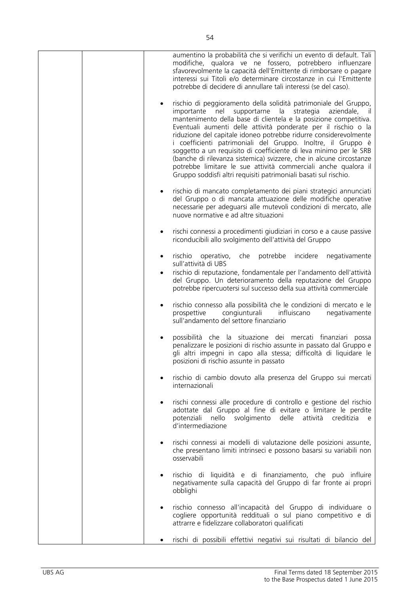| aumentino la probabilità che si verifichi un evento di default. Tali<br>modifiche, qualora ve ne fossero, potrebbero influenzare<br>sfavorevolmente la capacità dell'Emittente di rimborsare o pagare<br>interessi sui Titoli e/o determinare circostanze in cui l'Emittente<br>potrebbe di decidere di annullare tali interessi (se del caso).                                                                                                                                                                                                                                                                                                                                          |
|------------------------------------------------------------------------------------------------------------------------------------------------------------------------------------------------------------------------------------------------------------------------------------------------------------------------------------------------------------------------------------------------------------------------------------------------------------------------------------------------------------------------------------------------------------------------------------------------------------------------------------------------------------------------------------------|
| rischio di peggioramento della solidità patrimoniale del Gruppo,<br>importante nel supportarne la strategia<br>aziendale, il<br>mantenimento della base di clientela e la posizione competitiva.<br>Eventuali aumenti delle attività ponderate per il rischio o la<br>riduzione del capitale idoneo potrebbe ridurre considerevolmente<br>i coefficienti patrimoniali del Gruppo. Inoltre, il Gruppo è<br>soggetto a un requisito di coefficiente di leva minimo per le SRB<br>(banche di rilevanza sistemica) svizzere, che in alcune circostanze<br>potrebbe limitare le sue attività commerciali anche qualora il<br>Gruppo soddisfi altri requisiti patrimoniali basati sul rischio. |
| rischio di mancato completamento dei piani strategici annunciati<br>del Gruppo o di mancata attuazione delle modifiche operative<br>necessarie per adeguarsi alle mutevoli condizioni di mercato, alle<br>nuove normative e ad altre situazioni                                                                                                                                                                                                                                                                                                                                                                                                                                          |
| rischi connessi a procedimenti giudiziari in corso e a cause passive<br>riconducibili allo svolgimento dell'attività del Gruppo                                                                                                                                                                                                                                                                                                                                                                                                                                                                                                                                                          |
| rischio operativo,<br>potrebbe<br>incidere<br>che<br>negativamente<br>sull'attività di UBS<br>rischio di reputazione, fondamentale per l'andamento dell'attività                                                                                                                                                                                                                                                                                                                                                                                                                                                                                                                         |
| del Gruppo. Un deterioramento della reputazione del Gruppo<br>potrebbe ripercuotersi sul successo della sua attività commerciale                                                                                                                                                                                                                                                                                                                                                                                                                                                                                                                                                         |
| rischio connesso alla possibilità che le condizioni di mercato e le<br>$\bullet$<br>congiunturali<br>prospettive<br>influiscano<br>negativamente<br>sull'andamento del settore finanziario                                                                                                                                                                                                                                                                                                                                                                                                                                                                                               |
| possibilità che la situazione dei mercati finanziari<br>possa<br>penalizzare le posizioni di rischio assunte in passato dal Gruppo e<br>gli altri impegni in capo alla stessa; difficoltà di liquidare le<br>posizioni di rischio assunte in passato                                                                                                                                                                                                                                                                                                                                                                                                                                     |
| rischio di cambio dovuto alla presenza del Gruppo sui mercati<br>$\bullet$<br>internazionali                                                                                                                                                                                                                                                                                                                                                                                                                                                                                                                                                                                             |
| rischi connessi alle procedure di controllo e gestione del rischio<br>$\bullet$<br>adottate dal Gruppo al fine di evitare o limitare le perdite<br>svolgimento<br>attività<br>potenziali nello<br>delle<br>creditizia<br>e<br>d'intermediazione                                                                                                                                                                                                                                                                                                                                                                                                                                          |
| rischi connessi ai modelli di valutazione delle posizioni assunte,<br>$\bullet$<br>che presentano limiti intrinseci e possono basarsi su variabili non<br>osservabili                                                                                                                                                                                                                                                                                                                                                                                                                                                                                                                    |
| rischio di liquidità e di finanziamento, che può influire<br>$\bullet$<br>negativamente sulla capacità del Gruppo di far fronte ai propri<br>obblighi                                                                                                                                                                                                                                                                                                                                                                                                                                                                                                                                    |
| rischio connesso all'incapacità del Gruppo di individuare o<br>$\bullet$<br>cogliere opportunità reddituali o sul piano competitivo e di<br>attrarre e fidelizzare collaboratori qualificati                                                                                                                                                                                                                                                                                                                                                                                                                                                                                             |
| rischi di possibili effettivi negativi sui risultati di bilancio del                                                                                                                                                                                                                                                                                                                                                                                                                                                                                                                                                                                                                     |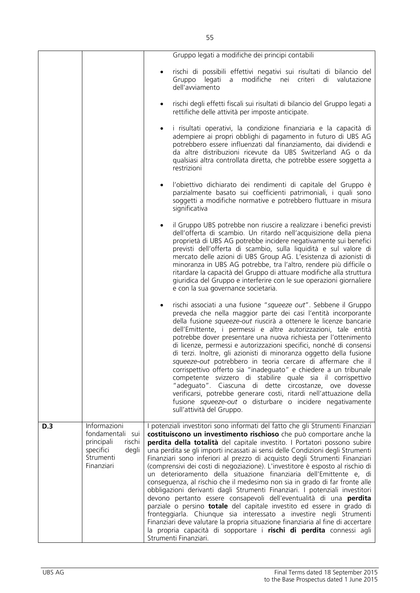|     |                                                                                                           | Gruppo legati a modifiche dei principi contabili                                                                                                                                                                                                                                                                                                                                                                                                                                                                                                                                                                                                                                                                                                                                                                                                                                                                                                                                                                                                                                                                                    |
|-----|-----------------------------------------------------------------------------------------------------------|-------------------------------------------------------------------------------------------------------------------------------------------------------------------------------------------------------------------------------------------------------------------------------------------------------------------------------------------------------------------------------------------------------------------------------------------------------------------------------------------------------------------------------------------------------------------------------------------------------------------------------------------------------------------------------------------------------------------------------------------------------------------------------------------------------------------------------------------------------------------------------------------------------------------------------------------------------------------------------------------------------------------------------------------------------------------------------------------------------------------------------------|
|     |                                                                                                           | rischi di possibili effettivi negativi sui risultati di bilancio del<br>a modifiche nei criteri di valutazione<br>Gruppo legati<br>dell'avviamento                                                                                                                                                                                                                                                                                                                                                                                                                                                                                                                                                                                                                                                                                                                                                                                                                                                                                                                                                                                  |
|     |                                                                                                           | rischi degli effetti fiscali sui risultati di bilancio del Gruppo legati a<br>rettifiche delle attività per imposte anticipate.                                                                                                                                                                                                                                                                                                                                                                                                                                                                                                                                                                                                                                                                                                                                                                                                                                                                                                                                                                                                     |
|     |                                                                                                           | i risultati operativi, la condizione finanziaria e la capacità di<br>adempiere ai propri obblighi di pagamento in futuro di UBS AG<br>potrebbero essere influenzati dal finanziamento, dai dividendi e<br>da altre distribuzioni ricevute da UBS Switzerland AG o da<br>qualsiasi altra controllata diretta, che potrebbe essere soggetta a<br>restrizioni                                                                                                                                                                                                                                                                                                                                                                                                                                                                                                                                                                                                                                                                                                                                                                          |
|     |                                                                                                           | l'obiettivo dichiarato dei rendimenti di capitale del Gruppo è<br>$\bullet$<br>parzialmente basato sui coefficienti patrimoniali, i quali sono<br>soggetti a modifiche normative e potrebbero fluttuare in misura<br>significativa                                                                                                                                                                                                                                                                                                                                                                                                                                                                                                                                                                                                                                                                                                                                                                                                                                                                                                  |
|     |                                                                                                           | il Gruppo UBS potrebbe non riuscire a realizzare i benefici previsti<br>dell'offerta di scambio. Un ritardo nell'acquisizione della piena<br>proprietà di UBS AG potrebbe incidere negativamente sui benefici<br>previsti dell'offerta di scambio, sulla liquidità e sul valore di<br>mercato delle azioni di UBS Group AG. L'esistenza di azionisti di<br>minoranza in UBS AG potrebbe, tra l'altro, rendere più difficile o<br>ritardare la capacità del Gruppo di attuare modifiche alla struttura<br>giuridica del Gruppo e interferire con le sue operazioni giornaliere<br>e con la sua governance societaria.                                                                                                                                                                                                                                                                                                                                                                                                                                                                                                                |
|     |                                                                                                           | rischi associati a una fusione "squeeze out". Sebbene il Gruppo<br>$\bullet$<br>preveda che nella maggior parte dei casi l'entità incorporante<br>della fusione squeeze-out riuscirà a ottenere le licenze bancarie<br>dell'Emittente, i permessi e altre autorizzazioni, tale entità<br>potrebbe dover presentare una nuova richiesta per l'ottenimento<br>di licenze, permessi e autorizzazioni specifici, nonché di consensi<br>di terzi. Inoltre, gli azionisti di minoranza oggetto della fusione<br>squeeze-out potrebbero in teoria cercare di affermare che il<br>corrispettivo offerto sia "inadeguato" e chiedere a un tribunale<br>competente svizzero di stabilire quale sia il corrispettivo<br>"adequato". Ciascuna di dette circostanze, ove dovesse<br>verificarsi, potrebbe generare costi, ritardi nell'attuazione della<br>fusione squeeze-out o disturbare o incidere negativamente<br>sull'attività del Gruppo.                                                                                                                                                                                                |
| D.3 | Informazioni<br>fondamentali sui<br>principali<br>rischi<br>specifici<br>degli<br>Strumenti<br>Finanziari | I potenziali investitori sono informati del fatto che gli Strumenti Finanziari<br>costituiscono un investimento rischioso che può comportare anche la<br>perdita della totalità del capitale investito. I Portatori possono subire<br>una perdita se gli importi incassati ai sensi delle Condizioni degli Strumenti<br>Finanziari sono inferiori al prezzo di acquisto degli Strumenti Finanziari<br>(comprensivi dei costi di negoziazione). L'investitore è esposto al rischio di<br>un deterioramento della situazione finanziaria dell'Emittente e, di<br>conseguenza, al rischio che il medesimo non sia in grado di far fronte alle<br>obbligazioni derivanti dagli Strumenti Finanziari. I potenziali investitori<br>devono pertanto essere consapevoli dell'eventualità di una perdita<br>parziale o persino totale del capitale investito ed essere in grado di<br>fronteggiarla. Chiunque sia interessato a investire negli Strumenti<br>Finanziari deve valutare la propria situazione finanziaria al fine di accertare<br>la propria capacità di sopportare i rischi di perdita connessi agli<br>Strumenti Finanziari. |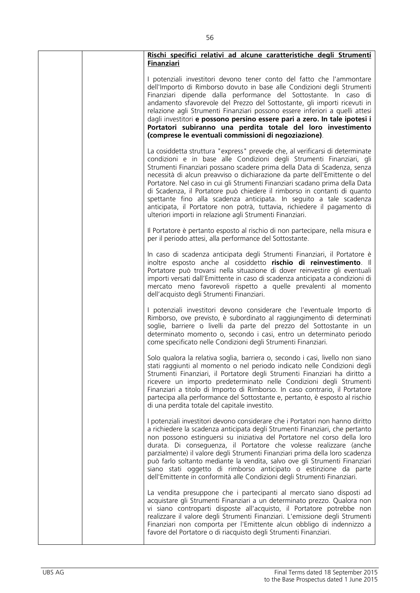| Rischi specifici relativi ad alcune caratteristiche degli Strumenti                                                                                                                                                                                                                                                                                                                                                                                                                                                                                                                                                                                                                        |
|--------------------------------------------------------------------------------------------------------------------------------------------------------------------------------------------------------------------------------------------------------------------------------------------------------------------------------------------------------------------------------------------------------------------------------------------------------------------------------------------------------------------------------------------------------------------------------------------------------------------------------------------------------------------------------------------|
| <b>Finanziari</b>                                                                                                                                                                                                                                                                                                                                                                                                                                                                                                                                                                                                                                                                          |
| I potenziali investitori devono tener conto del fatto che l'ammontare<br>dell'Importo di Rimborso dovuto in base alle Condizioni degli Strumenti<br>Finanziari dipende dalla performance del Sottostante. In caso di<br>andamento sfavorevole del Prezzo del Sottostante, gli importi ricevuti in<br>relazione agli Strumenti Finanziari possono essere inferiori a quelli attesi<br>dagli investitori e possono persino essere pari a zero. In tale ipotesi i<br>Portatori subiranno una perdita totale del loro investimento<br>(comprese le eventuali commissioni di negoziazione).                                                                                                     |
| La cosiddetta struttura "express" prevede che, al verificarsi di determinate<br>condizioni e in base alle Condizioni degli Strumenti Finanziari, gli<br>Strumenti Finanziari possano scadere prima della Data di Scadenza, senza<br>necessità di alcun preavviso o dichiarazione da parte dell'Emittente o del<br>Portatore. Nel caso in cui gli Strumenti Finanziari scadano prima della Data<br>di Scadenza, il Portatore può chiedere il rimborso in contanti di quanto<br>spettante fino alla scadenza anticipata. In seguito a tale scadenza<br>anticipata, il Portatore non potrà, tuttavia, richiedere il pagamento di<br>ulteriori importi in relazione agli Strumenti Finanziari. |
| Il Portatore è pertanto esposto al rischio di non partecipare, nella misura e<br>per il periodo attesi, alla performance del Sottostante.                                                                                                                                                                                                                                                                                                                                                                                                                                                                                                                                                  |
| In caso di scadenza anticipata degli Strumenti Finanziari, il Portatore è<br>inoltre esposto anche al cosiddetto rischio di reinvestimento. Il<br>Portatore può trovarsi nella situazione di dover reinvestire gli eventuali<br>importi versati dall'Emittente in caso di scadenza anticipata a condizioni di<br>mercato meno favorevoli rispetto a quelle prevalenti al momento<br>dell'acquisto degli Strumenti Finanziari.                                                                                                                                                                                                                                                              |
| I potenziali investitori devono considerare che l'eventuale Importo di<br>Rimborso, ove previsto, è subordinato al raggiungimento di determinati<br>soglie, barriere o livelli da parte del prezzo del Sottostante in un<br>determinato momento o, secondo i casi, entro un determinato periodo<br>come specificato nelle Condizioni degli Strumenti Finanziari.                                                                                                                                                                                                                                                                                                                           |
| Solo qualora la relativa soglia, barriera o, secondo i casi, livello non siano<br>stati raggiunti al momento o nel periodo indicato nelle Condizioni degli<br>Strumenti Finanziari, il Portatore degli Strumenti Finanziari ha diritto a<br>ricevere un importo predeterminato nelle Condizioni degli Strumenti<br>Finanziari a titolo di Importo di Rimborso. In caso contrario, il Portatore<br>partecipa alla performance del Sottostante e, pertanto, è esposto al rischio<br>di una perdita totale del capitale investito.                                                                                                                                                            |
| I potenziali investitori devono considerare che i Portatori non hanno diritto<br>a richiedere la scadenza anticipata degli Strumenti Finanziari, che pertanto<br>non possono estinguersi su iniziativa del Portatore nel corso della loro<br>durata. Di conseguenza, il Portatore che volesse realizzare (anche<br>parzialmente) il valore degli Strumenti Finanziari prima della loro scadenza<br>può farlo soltanto mediante la vendita, salvo ove gli Strumenti Finanziari<br>siano stati oggetto di rimborso anticipato o estinzione da parte<br>dell'Emittente in conformità alle Condizioni degli Strumenti Finanziari.                                                              |
| La vendita presuppone che i partecipanti al mercato siano disposti ad<br>acquistare gli Strumenti Finanziari a un determinato prezzo. Qualora non<br>vi siano controparti disposte all'acquisto, il Portatore potrebbe non<br>realizzare il valore degli Strumenti Finanziari. L'emissione degli Strumenti<br>Finanziari non comporta per l'Emittente alcun obbligo di indennizzo a<br>favore del Portatore o di riacquisto degli Strumenti Finanziari.                                                                                                                                                                                                                                    |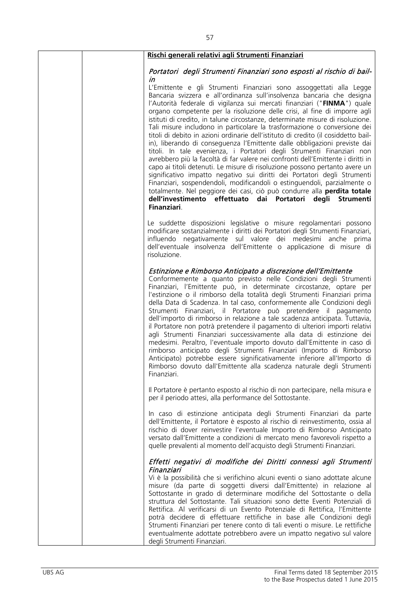|  | Rischi generali relativi agli Strumenti Finanziari                                                                                                                                                                                                                                                                                                                                                                                                                                                                                                                                                                                                                                                                                                                                                                                                                                                                                                                                                                                                                                                                                                                                                                                                                                      |
|--|-----------------------------------------------------------------------------------------------------------------------------------------------------------------------------------------------------------------------------------------------------------------------------------------------------------------------------------------------------------------------------------------------------------------------------------------------------------------------------------------------------------------------------------------------------------------------------------------------------------------------------------------------------------------------------------------------------------------------------------------------------------------------------------------------------------------------------------------------------------------------------------------------------------------------------------------------------------------------------------------------------------------------------------------------------------------------------------------------------------------------------------------------------------------------------------------------------------------------------------------------------------------------------------------|
|  | Portatori degli Strumenti Finanziari sono esposti al rischio di bail-<br>in<br>L'Emittente e gli Strumenti Finanziari sono assoggettati alla Legge<br>Bancaria svizzera e all'ordinanza sull'insolvenza bancaria che designa<br>l'Autorità federale di vigilanza sui mercati finanziari ("FINMA") quale<br>organo competente per la risoluzione delle crisi, al fine di imporre agli<br>istituti di credito, in talune circostanze, determinate misure di risoluzione.<br>Tali misure includono in particolare la trasformazione o conversione dei<br>titoli di debito in azioni ordinarie dell'istituto di credito (il cosiddetto bail-<br>in), liberando di conseguenza l'Emittente dalle obbligazioni previste dai<br>titoli. In tale evenienza, i Portatori degli Strumenti Finanziari non<br>avrebbero più la facoltà di far valere nei confronti dell'Emittente i diritti in<br>capo ai titoli detenuti. Le misure di risoluzione possono pertanto avere un<br>significativo impatto negativo sui diritti dei Portatori degli Strumenti<br>Finanziari, sospendendoli, modificandoli o estinguendoli, parzialmente o<br>totalmente. Nel peggiore dei casi, ciò può condurre alla perdita totale<br>dell'investimento effettuato dai Portatori degli Strumenti<br><b>Finanziari</b> |
|  | Le suddette disposizioni legislative o misure regolamentari possono<br>modificare sostanzialmente i diritti dei Portatori degli Strumenti Finanziari,<br>influendo negativamente sul valore dei medesimi anche prima<br>dell'eventuale insolvenza dell'Emittente o applicazione di misure di<br>risoluzione.                                                                                                                                                                                                                                                                                                                                                                                                                                                                                                                                                                                                                                                                                                                                                                                                                                                                                                                                                                            |
|  | Estinzione e Rimborso Anticipato a discrezione dell'Emittente<br>Conformemente a quanto previsto nelle Condizioni degli Strumenti<br>Finanziari, l'Emittente può, in determinate circostanze, optare per<br>l'estinzione o il rimborso della totalità degli Strumenti Finanziari prima<br>della Data di Scadenza. In tal caso, conformemente alle Condizioni degli<br>Strumenti Finanziari, il Portatore può pretendere il pagamento<br>dell'importo di rimborso in relazione a tale scadenza anticipata. Tuttavia,<br>il Portatore non potrà pretendere il pagamento di ulteriori importi relativi<br>agli Strumenti Finanziari successivamente alla data di estinzione dei<br>medesimi. Peraltro, l'eventuale importo dovuto dall'Emittente in caso di<br>rimborso anticipato degli Strumenti Finanziari (Importo di Rimborso<br>Anticipato) potrebbe essere significativamente inferiore all'Importo di<br>Rimborso dovuto dall'Emittente alla scadenza naturale degli Strumenti<br>Finanziari.                                                                                                                                                                                                                                                                                      |
|  | Il Portatore è pertanto esposto al rischio di non partecipare, nella misura e<br>per il periodo attesi, alla performance del Sottostante.                                                                                                                                                                                                                                                                                                                                                                                                                                                                                                                                                                                                                                                                                                                                                                                                                                                                                                                                                                                                                                                                                                                                               |
|  | In caso di estinzione anticipata degli Strumenti Finanziari da parte<br>dell'Emittente, il Portatore è esposto al rischio di reinvestimento, ossia al<br>rischio di dover reinvestire l'eventuale Importo di Rimborso Anticipato<br>versato dall'Emittente a condizioni di mercato meno favorevoli rispetto a<br>quelle prevalenti al momento dell'acquisto degli Strumenti Finanziari.                                                                                                                                                                                                                                                                                                                                                                                                                                                                                                                                                                                                                                                                                                                                                                                                                                                                                                 |
|  | Effetti negativi di modifiche dei Diritti connessi agli Strumenti<br>Finanziari<br>Vi è la possibilità che si verifichino alcuni eventi o siano adottate alcune<br>misure (da parte di soggetti diversi dall'Emittente) in relazione al<br>Sottostante in grado di determinare modifiche del Sottostante o della<br>struttura del Sottostante. Tali situazioni sono dette Eventi Potenziali di<br>Rettifica. Al verificarsi di un Evento Potenziale di Rettifica, l'Emittente<br>potrà decidere di effettuare rettifiche in base alle Condizioni degli<br>Strumenti Finanziari per tenere conto di tali eventi o misure. Le rettifiche<br>eventualmente adottate potrebbero avere un impatto negativo sul valore<br>degli Strumenti Finanziari.                                                                                                                                                                                                                                                                                                                                                                                                                                                                                                                                         |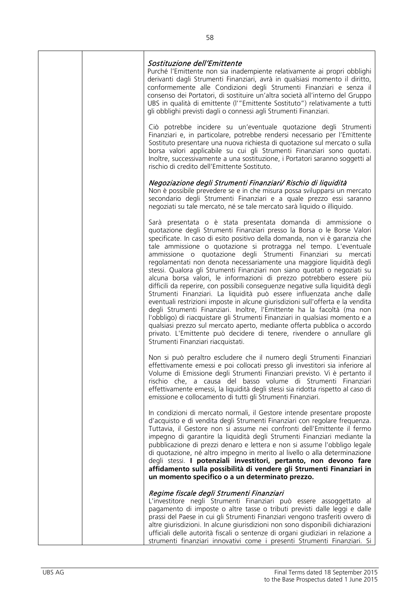| Sostituzione dell'Emittente<br>Purché l'Emittente non sia inadempiente relativamente ai propri obblighi<br>derivanti dagli Strumenti Finanziari, avrà in qualsiasi momento il diritto,<br>conformemente alle Condizioni degli Strumenti Finanziari e senza il<br>consenso dei Portatori, di sostituire un'altra società all'interno del Gruppo<br>UBS in qualità di emittente (l'"Emittente Sostituto") relativamente a tutti<br>gli obblighi previsti dagli o connessi agli Strumenti Finanziari.                                                                                                                                                                                                                                                                                                                                                                                                                                                                                                                                                                                                                                                                                             |
|------------------------------------------------------------------------------------------------------------------------------------------------------------------------------------------------------------------------------------------------------------------------------------------------------------------------------------------------------------------------------------------------------------------------------------------------------------------------------------------------------------------------------------------------------------------------------------------------------------------------------------------------------------------------------------------------------------------------------------------------------------------------------------------------------------------------------------------------------------------------------------------------------------------------------------------------------------------------------------------------------------------------------------------------------------------------------------------------------------------------------------------------------------------------------------------------|
| Ciò potrebbe incidere su un'eventuale quotazione degli Strumenti<br>Finanziari e, in particolare, potrebbe rendersi necessario per l'Emittente<br>Sostituto presentare una nuova richiesta di quotazione sul mercato o sulla<br>borsa valori applicabile su cui gli Strumenti Finanziari sono quotati.<br>Inoltre, successivamente a una sostituzione, i Portatori saranno soggetti al<br>rischio di credito dell'Emittente Sostituto.                                                                                                                                                                                                                                                                                                                                                                                                                                                                                                                                                                                                                                                                                                                                                         |
| Negoziazione degli Strumenti Finanziari/ Rischio di liquidità<br>Non è possibile prevedere se e in che misura possa svilupparsi un mercato<br>secondario degli Strumenti Finanziari e a quale prezzo essi saranno<br>negoziati su tale mercato, né se tale mercato sarà liquido o illiquido.                                                                                                                                                                                                                                                                                                                                                                                                                                                                                                                                                                                                                                                                                                                                                                                                                                                                                                   |
| Sarà presentata o è stata presentata domanda di ammissione o<br>quotazione degli Strumenti Finanziari presso la Borsa o le Borse Valori<br>specificate. In caso di esito positivo della domanda, non vi è garanzia che<br>tale ammissione o quotazione si protragga nel tempo. L'eventuale<br>ammissione o quotazione degli Strumenti Finanziari su mercati<br>regolamentati non denota necessariamente una maggiore liquidità degli<br>stessi. Qualora gli Strumenti Finanziari non siano quotati o negoziati su<br>alcuna borsa valori, le informazioni di prezzo potrebbero essere più<br>difficili da reperire, con possibili conseguenze negative sulla liquidità degli<br>Strumenti Finanziari. La liquidità può essere influenzata anche dalle<br>eventuali restrizioni imposte in alcune giurisdizioni sull'offerta e la vendita<br>degli Strumenti Finanziari. Inoltre, l'Emittente ha la facoltà (ma non<br>l'obbligo) di riacquistare gli Strumenti Finanziari in qualsiasi momento e a<br>qualsiasi prezzo sul mercato aperto, mediante offerta pubblica o accordo<br>privato. L'Emittente può decidere di tenere, rivendere o annullare gli<br>Strumenti Finanziari riacquistati. |
| Non si può peraltro escludere che il numero degli Strumenti Finanziari<br>effettivamente emessi e poi collocati presso gli investitori sia inferiore al<br>Volume di Emissione degli Strumenti Finanziari previsto. Vi è pertanto il<br>rischio che, a causa del basso volume di Strumenti Finanziari<br>effettivamente emessi, la liquidità degli stessi sia ridotta rispetto al caso di<br>emissione e collocamento di tutti gli Strumenti Finanziari.                                                                                                                                                                                                                                                                                                                                                                                                                                                                                                                                                                                                                                                                                                                                       |
| In condizioni di mercato normali, il Gestore intende presentare proposte<br>d'acquisto e di vendita degli Strumenti Finanziari con regolare frequenza.<br>Tuttavia, il Gestore non si assume nei confronti dell'Emittente il fermo<br>impegno di garantire la liquidità degli Strumenti Finanziari mediante la<br>pubblicazione di prezzi denaro e lettera e non si assume l'obbligo legale<br>di quotazione, né altro impegno in merito al livello o alla determinazione<br>degli stessi. I potenziali investitori, pertanto, non devono fare<br>affidamento sulla possibilità di vendere gli Strumenti Finanziari in<br>un momento specifico o a un determinato prezzo.                                                                                                                                                                                                                                                                                                                                                                                                                                                                                                                      |
| Regime fiscale degli Strumenti Finanziari<br>L'investitore negli Strumenti Finanziari può essere assoggettato al<br>pagamento di imposte o altre tasse o tributi previsti dalle leggi e dalle<br>prassi del Paese in cui gli Strumenti Finanziari vengono trasferiti ovvero di<br>altre giurisdizioni. In alcune giurisdizioni non sono disponibili dichiarazioni<br>ufficiali delle autorità fiscali o sentenze di organi giudiziari in relazione a<br>strumenti finanziari innovativi come i presenti Strumenti Finanziari. Si                                                                                                                                                                                                                                                                                                                                                                                                                                                                                                                                                                                                                                                               |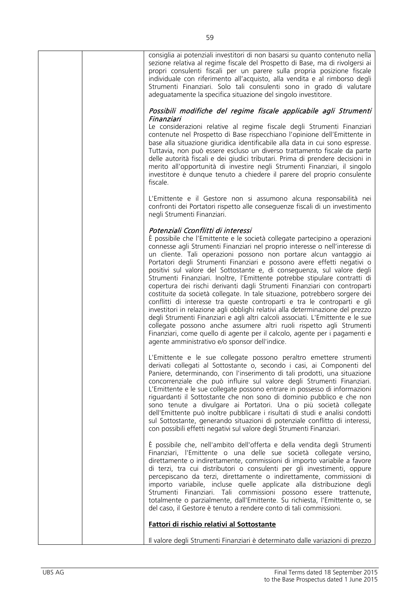| consiglia ai potenziali investitori di non basarsi su quanto contenuto nella<br>sezione relativa al regime fiscale del Prospetto di Base, ma di rivolgersi ai<br>propri consulenti fiscali per un parere sulla propria posizione fiscale<br>individuale con riferimento all'acquisto, alla vendita e al rimborso degli<br>Strumenti Finanziari. Solo tali consulenti sono in grado di valutare<br>adeguatamente la specifica situazione del singolo investitore.                                                                                                                                                                                                                                                                                                                                                                                                                                                                                                                                                                                                                                                                 |
|----------------------------------------------------------------------------------------------------------------------------------------------------------------------------------------------------------------------------------------------------------------------------------------------------------------------------------------------------------------------------------------------------------------------------------------------------------------------------------------------------------------------------------------------------------------------------------------------------------------------------------------------------------------------------------------------------------------------------------------------------------------------------------------------------------------------------------------------------------------------------------------------------------------------------------------------------------------------------------------------------------------------------------------------------------------------------------------------------------------------------------|
| Possibili modifiche del regime fiscale applicabile agli Strumenti<br>Finanziari                                                                                                                                                                                                                                                                                                                                                                                                                                                                                                                                                                                                                                                                                                                                                                                                                                                                                                                                                                                                                                                  |
| Le considerazioni relative al regime fiscale degli Strumenti Finanziari<br>contenute nel Prospetto di Base rispecchiano l'opinione dell'Emittente in<br>base alla situazione giuridica identificabile alla data in cui sono espresse.<br>Tuttavia, non può essere escluso un diverso trattamento fiscale da parte<br>delle autorità fiscali e dei giudici tributari. Prima di prendere decisioni in<br>merito all'opportunità di investire negli Strumenti Finanziari, il singolo<br>investitore è dunque tenuto a chiedere il parere del proprio consulente<br>fiscale.                                                                                                                                                                                                                                                                                                                                                                                                                                                                                                                                                         |
| L'Emittente e il Gestore non si assumono alcuna responsabilità nei<br>confronti dei Portatori rispetto alle conseguenze fiscali di un investimento<br>negli Strumenti Finanziari.                                                                                                                                                                                                                                                                                                                                                                                                                                                                                                                                                                                                                                                                                                                                                                                                                                                                                                                                                |
| Potenziali Cconflitti di interessi<br>È possibile che l'Emittente e le società collegate partecipino a operazioni<br>connesse agli Strumenti Finanziari nel proprio interesse o nell'interesse di<br>un cliente. Tali operazioni possono non portare alcun vantaggio ai<br>Portatori degli Strumenti Finanziari e possono avere effetti negativi o<br>positivi sul valore del Sottostante e, di conseguenza, sul valore degli<br>Strumenti Finanziari. Inoltre, l'Emittente potrebbe stipulare contratti di<br>copertura dei rischi derivanti dagli Strumenti Finanziari con controparti<br>costituite da società collegate. In tale situazione, potrebbero sorgere dei<br>conflitti di interesse tra queste controparti e tra le controparti e gli<br>investitori in relazione agli obblighi relativi alla determinazione del prezzo<br>degli Strumenti Finanziari e agli altri calcoli associati. L'Emittente e le sue<br>collegate possono anche assumere altri ruoli rispetto agli Strumenti<br>Finanziari, come quello di agente per il calcolo, agente per i pagamenti e<br>agente amministrativo e/o sponsor dell'indice. |
| L'Emittente e le sue collegate possono peraltro emettere strumenti<br>derivati collegati al Sottostante o, secondo i casi, ai Componenti del<br>Paniere, determinando, con l'inserimento di tali prodotti, una situazione<br>concorrenziale che può influire sul valore degli Strumenti Finanziari.<br>L'Emittente e le sue collegate possono entrare in possesso di informazioni<br>riguardanti il Sottostante che non sono di dominio pubblico e che non<br>sono tenute a divulgare ai Portatori. Una o più società collegate<br>dell'Emittente può inoltre pubblicare i risultati di studi e analisi condotti<br>sul Sottostante, generando situazioni di potenziale conflitto di interessi,<br>con possibili effetti negativi sul valore degli Strumenti Finanziari.                                                                                                                                                                                                                                                                                                                                                         |
| È possibile che, nell'ambito dell'offerta e della vendita degli Strumenti<br>Finanziari, l'Emittente o una delle sue società collegate versino,<br>direttamente o indirettamente, commissioni di importo variabile a favore<br>di terzi, tra cui distributori o consulenti per gli investimenti, oppure<br>percepiscano da terzi, direttamente o indirettamente, commissioni di<br>importo variabile, incluse quelle applicate alla distribuzione degli<br>Strumenti Finanziari. Tali commissioni possono essere trattenute,<br>totalmente o parzialmente, dall'Emittente. Su richiesta, l'Emittente o, se<br>del caso, il Gestore è tenuto a rendere conto di tali commissioni.                                                                                                                                                                                                                                                                                                                                                                                                                                                 |
| Fattori di rischio relativi al Sottostante                                                                                                                                                                                                                                                                                                                                                                                                                                                                                                                                                                                                                                                                                                                                                                                                                                                                                                                                                                                                                                                                                       |
| Il valore degli Strumenti Finanziari è determinato dalle variazioni di prezzo                                                                                                                                                                                                                                                                                                                                                                                                                                                                                                                                                                                                                                                                                                                                                                                                                                                                                                                                                                                                                                                    |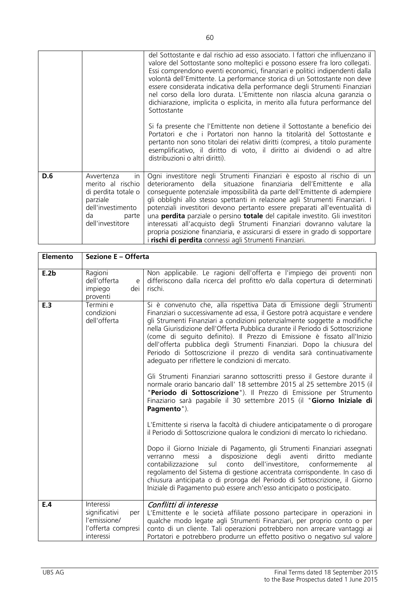|     |                                                                                                                                     | del Sottostante e dal rischio ad esso associato. I fattori che influenzano il<br>valore del Sottostante sono molteplici e possono essere fra loro collegati.<br>Essi comprendono eventi economici, finanziari e politici indipendenti dalla<br>volontà dell'Emittente. La performance storica di un Sottostante non deve<br>essere considerata indicativa della performance degli Strumenti Finanziari<br>nel corso della loro durata. L'Emittente non rilascia alcuna garanzia o<br>dichiarazione, implicita o esplicita, in merito alla futura performance del<br>Sottostante<br>Si fa presente che l'Emittente non detiene il Sottostante a beneficio dei<br>Portatori e che i Portatori non hanno la titolarità del Sottostante e<br>pertanto non sono titolari dei relativi diritti (compresi, a titolo puramente<br>esemplificativo, il diritto di voto, il diritto ai dividendi o ad altre<br>distribuzioni o altri diritti). |
|-----|-------------------------------------------------------------------------------------------------------------------------------------|--------------------------------------------------------------------------------------------------------------------------------------------------------------------------------------------------------------------------------------------------------------------------------------------------------------------------------------------------------------------------------------------------------------------------------------------------------------------------------------------------------------------------------------------------------------------------------------------------------------------------------------------------------------------------------------------------------------------------------------------------------------------------------------------------------------------------------------------------------------------------------------------------------------------------------------|
| D.6 | Avvertenza<br>in.<br>merito al rischio<br>di perdita totale o<br>parziale<br>dell'investimento<br>da l<br>parte<br>dell'investitore | Ogni investitore negli Strumenti Finanziari è esposto al rischio di un<br>deterioramento della situazione finanziaria dell'Emittente e<br>alla<br>conseguente potenziale impossibilità da parte dell'Emittente di adempiere<br>gli obblighi allo stesso spettanti in relazione agli Strumenti Finanziari. I<br>potenziali investitori devono pertanto essere preparati all'eventualità di<br>una perdita parziale o persino totale del capitale investito. Gli investitori<br>interessati all'acquisto degli Strumenti Finanziari dovranno valutare la<br>propria posizione finanziaria, e assicurarsi di essere in grado di sopportare<br>i rischi di perdita connessi agli Strumenti Finanziari.                                                                                                                                                                                                                                   |

| <b>Elemento</b> | Sezione E - Offerta                                                                  |                                                                                                                                                                                                                                                                                                                                                                                                                                                                                                                                                                                                        |
|-----------------|--------------------------------------------------------------------------------------|--------------------------------------------------------------------------------------------------------------------------------------------------------------------------------------------------------------------------------------------------------------------------------------------------------------------------------------------------------------------------------------------------------------------------------------------------------------------------------------------------------------------------------------------------------------------------------------------------------|
| E.2b            | Ragioni<br>dell'offerta<br>e<br>impiego<br>dei<br>proventi                           | Non applicabile. Le ragioni dell'offerta e l'impiego dei proventi non<br>differiscono dalla ricerca del profitto e/o dalla copertura di determinati<br>rischi.                                                                                                                                                                                                                                                                                                                                                                                                                                         |
| E.3             | Termini e<br>condizioni<br>dell'offerta                                              | Si è convenuto che, alla rispettiva Data di Emissione degli Strumenti<br>Finanziari o successivamente ad essa, il Gestore potrà acquistare e vendere<br>gli Strumenti Finanziari a condizioni potenzialmente soggette a modifiche<br>nella Giurisdizione dell'Offerta Pubblica durante il Periodo di Sottoscrizione<br>(come di seguito definito). Il Prezzo di Emissione è fissato all'Inizio<br>dell'offerta pubblica degli Strumenti Finanziari. Dopo la chiusura del<br>Periodo di Sottoscrizione il prezzo di vendita sarà continuativamente<br>adeguato per riflettere le condizioni di mercato. |
|                 |                                                                                      | Gli Strumenti Finanziari saranno sottoscritti presso il Gestore durante il<br>normale orario bancario dall' 18 settembre 2015 al 25 settembre 2015 (il<br>"Periodo di Sottoscrizione"). Il Prezzo di Emissione per Strumento<br>Finaziario sarà pagabile il 30 settembre 2015 (il "Giorno Iniziale di<br>Pagmento").                                                                                                                                                                                                                                                                                   |
|                 |                                                                                      | L'Emittente si riserva la facoltà di chiudere anticipatamente o di prorogare<br>il Periodo di Sottoscrizione qualora le condizioni di mercato lo richiedano.                                                                                                                                                                                                                                                                                                                                                                                                                                           |
|                 |                                                                                      | Dopo il Giorno Iniziale di Pagamento, gli Strumenti Finanziari assegnati<br>disposizione<br>degli aventi<br>diritto<br>verranno messi<br>$\mathsf{a}$<br>mediante<br>sul conto dell'investitore, conformemente<br>contabilizzazione<br>al<br>regolamento del Sistema di gestione accentrata corrispondente. In caso di<br>chiusura anticipata o di proroga del Periodo di Sottoscrizione, il Giorno<br>Iniziale di Pagamento può essere anch'esso anticipato o posticipato.                                                                                                                            |
| E.4             | Interessi<br>significativi<br>per<br>l'emissione/<br>l'offerta compresi<br>interessi | Conflitti di interesse<br>L'Emittente e le società affiliate possono partecipare in operazioni in<br>qualche modo legate agli Strumenti Finanziari, per proprio conto o per<br>conto di un cliente. Tali operazioni potrebbero non arrecare vantaggi ai<br>Portatori e potrebbero produrre un effetto positivo o negativo sul valore                                                                                                                                                                                                                                                                   |